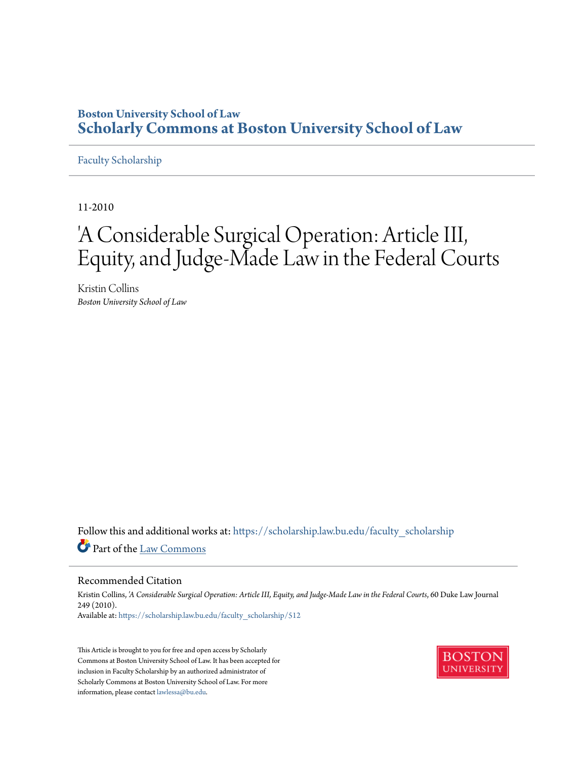### **Boston University School of Law [Scholarly Commons at Boston University School of Law](https://scholarship.law.bu.edu?utm_source=scholarship.law.bu.edu%2Ffaculty_scholarship%2F512&utm_medium=PDF&utm_campaign=PDFCoverPages)**

#### [Faculty Scholarship](https://scholarship.law.bu.edu/faculty_scholarship?utm_source=scholarship.law.bu.edu%2Ffaculty_scholarship%2F512&utm_medium=PDF&utm_campaign=PDFCoverPages)

11-2010

# 'A Considerable Surgical Operation: Article III, Equity, and Judge-Made Law in the Federal Courts

Kristin Collins *Boston University School of Law*

Follow this and additional works at: [https://scholarship.law.bu.edu/faculty\\_scholarship](https://scholarship.law.bu.edu/faculty_scholarship?utm_source=scholarship.law.bu.edu%2Ffaculty_scholarship%2F512&utm_medium=PDF&utm_campaign=PDFCoverPages) Part of the [Law Commons](http://network.bepress.com/hgg/discipline/578?utm_source=scholarship.law.bu.edu%2Ffaculty_scholarship%2F512&utm_medium=PDF&utm_campaign=PDFCoverPages)

#### Recommended Citation

Kristin Collins, *'A Considerable Surgical Operation: Article III, Equity, and Judge-Made Law in the Federal Courts*, 60 Duke Law Journal 249 (2010). Available at: [https://scholarship.law.bu.edu/faculty\\_scholarship/512](https://scholarship.law.bu.edu/faculty_scholarship/512?utm_source=scholarship.law.bu.edu%2Ffaculty_scholarship%2F512&utm_medium=PDF&utm_campaign=PDFCoverPages)

This Article is brought to you for free and open access by Scholarly Commons at Boston University School of Law. It has been accepted for inclusion in Faculty Scholarship by an authorized administrator of Scholarly Commons at Boston University School of Law. For more information, please contact [lawlessa@bu.edu.](mailto:lawlessa@bu.edu)

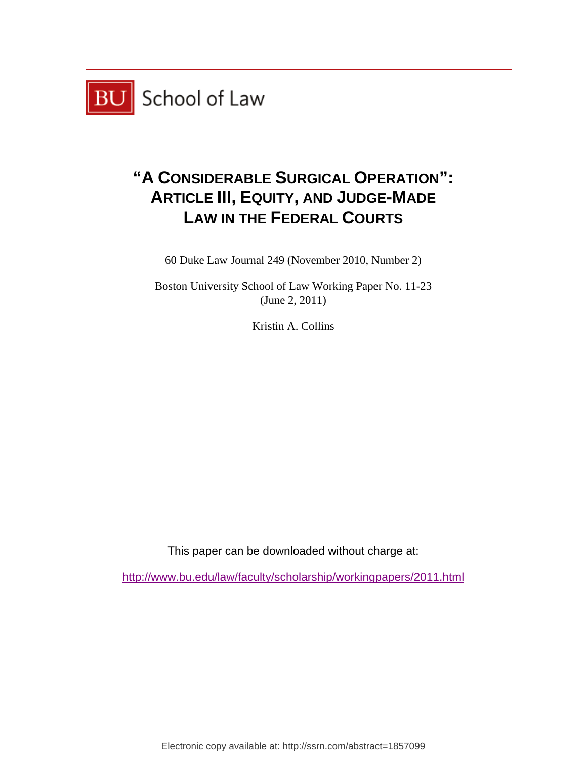

# **"A CONSIDERABLE SURGICAL OPERATION": ARTICLE III, EQUITY, AND JUDGE-MADE LAW IN THE FEDERAL COURTS**

60 Duke Law Journal 249 (November 2010, Number 2)

Boston University School of Law Working Paper No. 11-23 (June 2, 2011)

Kristin A. Collins

This paper can be downloaded without charge at:

http://www.bu.edu/law/faculty/scholarship/workingpapers/2011.html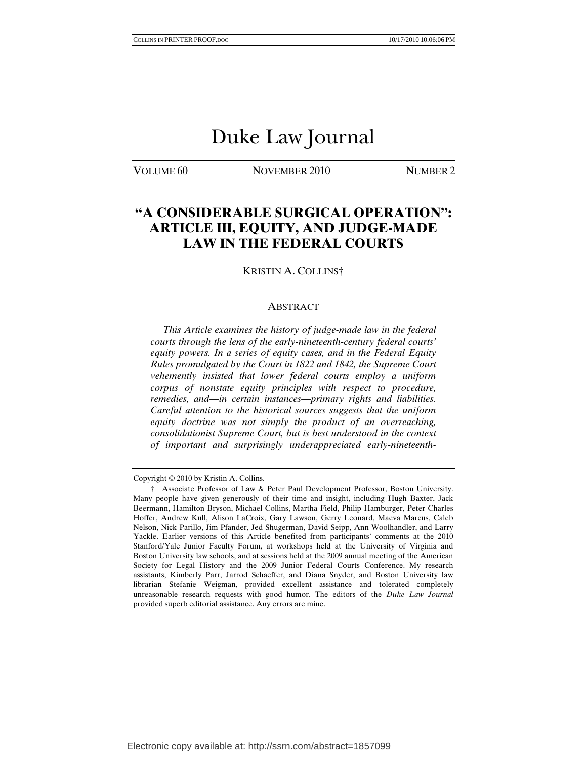## Duke Law Journal

VOLUME 60 NOVEMBER 2010 NUMBER 2

### **"A CONSIDERABLE SURGICAL OPERATION": ARTICLE III, EQUITY, AND JUDGE-MADE LAW IN THE FEDERAL COURTS**

KRISTIN A. COLLINS†

#### ABSTRACT

 *This Article examines the history of judge-made law in the federal courts through the lens of the early-nineteenth-century federal courts' equity powers. In a series of equity cases, and in the Federal Equity Rules promulgated by the Court in 1822 and 1842, the Supreme Court vehemently insisted that lower federal courts employ a uniform corpus of nonstate equity principles with respect to procedure, remedies, and—in certain instances—primary rights and liabilities. Careful attention to the historical sources suggests that the uniform equity doctrine was not simply the product of an overreaching, consolidationist Supreme Court, but is best understood in the context of important and surprisingly underappreciated early-nineteenth-*

Copyright © 2010 by Kristin A. Collins.

 <sup>†</sup> Associate Professor of Law & Peter Paul Development Professor, Boston University. Many people have given generously of their time and insight, including Hugh Baxter, Jack Beermann, Hamilton Bryson, Michael Collins, Martha Field, Philip Hamburger, Peter Charles Hoffer, Andrew Kull, Alison LaCroix, Gary Lawson, Gerry Leonard, Maeva Marcus, Caleb Nelson, Nick Parillo, Jim Pfander, Jed Shugerman, David Seipp, Ann Woolhandler, and Larry Yackle. Earlier versions of this Article benefited from participants' comments at the 2010 Stanford/Yale Junior Faculty Forum, at workshops held at the University of Virginia and Boston University law schools, and at sessions held at the 2009 annual meeting of the American Society for Legal History and the 2009 Junior Federal Courts Conference. My research assistants, Kimberly Parr, Jarrod Schaeffer, and Diana Snyder, and Boston University law librarian Stefanie Weigman, provided excellent assistance and tolerated completely unreasonable research requests with good humor. The editors of the *Duke Law Journal*  provided superb editorial assistance. Any errors are mine.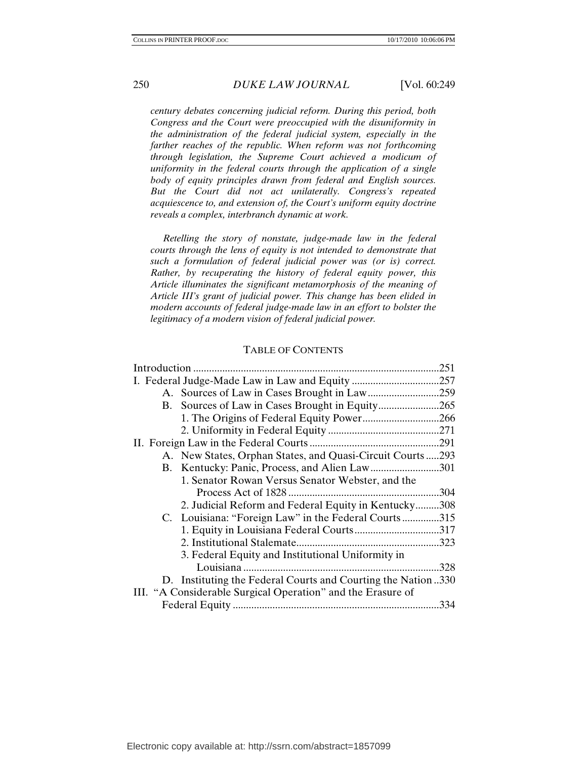*century debates concerning judicial reform. During this period, both Congress and the Court were preoccupied with the disuniformity in the administration of the federal judicial system, especially in the farther reaches of the republic. When reform was not forthcoming through legislation, the Supreme Court achieved a modicum of uniformity in the federal courts through the application of a single body of equity principles drawn from federal and English sources. But the Court did not act unilaterally. Congress's repeated acquiescence to, and extension of, the Court's uniform equity doctrine reveals a complex, interbranch dynamic at work.* 

 *Retelling the story of nonstate, judge-made law in the federal courts through the lens of equity is not intended to demonstrate that such a formulation of federal judicial power was (or is) correct. Rather, by recuperating the history of federal equity power, this Article illuminates the significant metamorphosis of the meaning of Article III's grant of judicial power. This change has been elided in modern accounts of federal judge-made law in an effort to bolster the legitimacy of a modern vision of federal judicial power.* 

#### TABLE OF CONTENTS

|                                                             |                                                               | .251 |
|-------------------------------------------------------------|---------------------------------------------------------------|------|
|                                                             |                                                               | .257 |
|                                                             |                                                               |      |
|                                                             |                                                               |      |
|                                                             | 1. The Origins of Federal Equity Power266                     |      |
|                                                             |                                                               | .271 |
|                                                             |                                                               |      |
|                                                             | A. New States, Orphan States, and Quasi-Circuit Courts  293   |      |
|                                                             | B. Kentucky: Panic, Process, and Alien Law301                 |      |
|                                                             | 1. Senator Rowan Versus Senator Webster, and the              |      |
|                                                             |                                                               | .304 |
|                                                             | 2. Judicial Reform and Federal Equity in Kentucky308          |      |
|                                                             | C. Louisiana: "Foreign Law" in the Federal Courts315          |      |
|                                                             | 1. Equity in Louisiana Federal Courts317                      |      |
|                                                             |                                                               |      |
|                                                             | 3. Federal Equity and Institutional Uniformity in             |      |
|                                                             |                                                               | 328  |
|                                                             | D. Instituting the Federal Courts and Courting the Nation 330 |      |
| III. "A Considerable Surgical Operation" and the Erasure of |                                                               |      |
|                                                             |                                                               | .334 |
|                                                             |                                                               |      |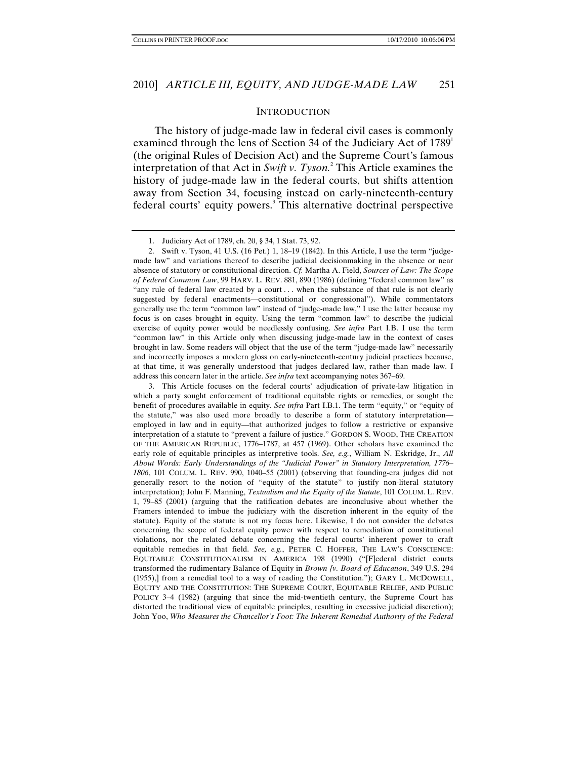#### **INTRODUCTION**

The history of judge-made law in federal civil cases is commonly examined through the lens of Section 34 of the Judiciary Act of  $1789<sup>1</sup>$ (the original Rules of Decision Act) and the Supreme Court's famous interpretation of that Act in *Swift v. Tyson.*<sup>2</sup> This Article examines the history of judge-made law in the federal courts, but shifts attention away from Section 34, focusing instead on early-nineteenth-century federal courts' equity powers.<sup>3</sup> This alternative doctrinal perspective

 2. Swift v. Tyson, 41 U.S. (16 Pet.) 1, 18–19 (1842). In this Article, I use the term "judgemade law" and variations thereof to describe judicial decisionmaking in the absence or near absence of statutory or constitutional direction. *Cf.* Martha A. Field, *Sources of Law: The Scope of Federal Common Law*, 99 HARV. L. REV. 881, 890 (1986) (defining "federal common law" as "any rule of federal law created by a court . . . when the substance of that rule is not clearly suggested by federal enactments—constitutional or congressional"). While commentators generally use the term "common law" instead of "judge-made law," I use the latter because my focus is on cases brought in equity. Using the term "common law" to describe the judicial exercise of equity power would be needlessly confusing. *See infra* Part I.B. I use the term "common law" in this Article only when discussing judge-made law in the context of cases brought in law. Some readers will object that the use of the term "judge-made law" necessarily and incorrectly imposes a modern gloss on early-nineteenth-century judicial practices because, at that time, it was generally understood that judges declared law, rather than made law. I address this concern later in the article. *See infra* text accompanying notes 367–69.

 3. This Article focuses on the federal courts' adjudication of private-law litigation in which a party sought enforcement of traditional equitable rights or remedies, or sought the benefit of procedures available in equity. *See infra* Part I.B.1. The term "equity," or "equity of the statute," was also used more broadly to describe a form of statutory interpretation employed in law and in equity—that authorized judges to follow a restrictive or expansive interpretation of a statute to "prevent a failure of justice." GORDON S. WOOD, THE CREATION OF THE AMERICAN REPUBLIC, 1776–1787, at 457 (1969). Other scholars have examined the early role of equitable principles as interpretive tools. *See, e.g.*, William N. Eskridge, Jr., *All About Words: Early Understandings of the "Judicial Power" in Statutory Interpretation, 1776– 1806*, 101 COLUM. L. REV. 990, 1040–55 (2001) (observing that founding-era judges did not generally resort to the notion of "equity of the statute" to justify non-literal statutory interpretation); John F. Manning, *Textualism and the Equity of the Statute*, 101 COLUM. L. REV. 1, 79–85 (2001) (arguing that the ratification debates are inconclusive about whether the Framers intended to imbue the judiciary with the discretion inherent in the equity of the statute). Equity of the statute is not my focus here. Likewise, I do not consider the debates concerning the scope of federal equity power with respect to remediation of constitutional violations, nor the related debate concerning the federal courts' inherent power to craft equitable remedies in that field. *See, e.g.*, PETER C. HOFFER, THE LAW'S CONSCIENCE: EQUITABLE CONSTITUTIONALISM IN AMERICA 198 (1990) ("[F]ederal district courts transformed the rudimentary Balance of Equity in *Brown [v. Board of Education*, 349 U.S. 294 (1955),] from a remedial tool to a way of reading the Constitution."); GARY L. MCDOWELL, EQUITY AND THE CONSTITUTION: THE SUPREME COURT, EQUITABLE RELIEF, AND PUBLIC POLICY 3–4 (1982) (arguing that since the mid-twentieth century, the Supreme Court has distorted the traditional view of equitable principles, resulting in excessive judicial discretion); John Yoo, *Who Measures the Chancellor's Foot: The Inherent Remedial Authority of the Federal* 

 <sup>1.</sup> Judiciary Act of 1789, ch. 20, § 34, 1 Stat. 73, 92.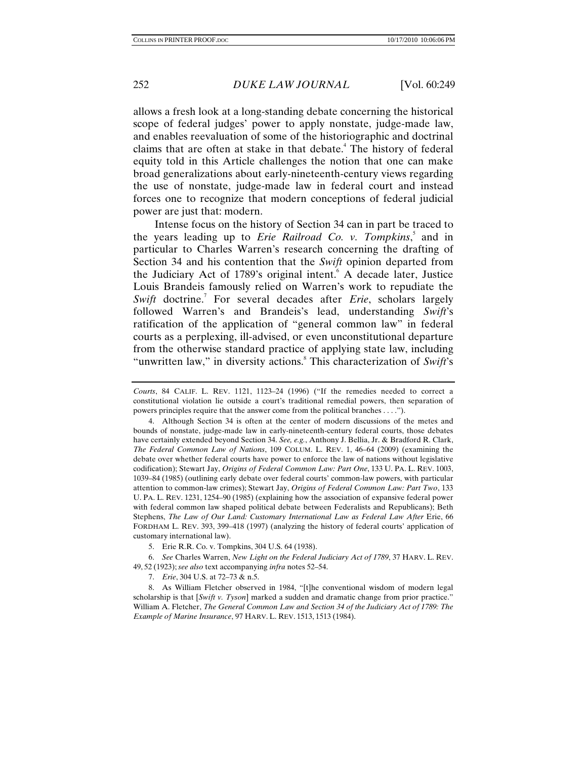allows a fresh look at a long-standing debate concerning the historical scope of federal judges' power to apply nonstate, judge-made law, and enables reevaluation of some of the historiographic and doctrinal claims that are often at stake in that debate.<sup>4</sup> The history of federal equity told in this Article challenges the notion that one can make broad generalizations about early-nineteenth-century views regarding the use of nonstate, judge-made law in federal court and instead forces one to recognize that modern conceptions of federal judicial power are just that: modern.

Intense focus on the history of Section 34 can in part be traced to the years leading up to *Erie Railroad Co. v. Tompkins*, 5 and in particular to Charles Warren's research concerning the drafting of Section 34 and his contention that the *Swift* opinion departed from the Judiciary Act of 1789's original intent.<sup>6</sup> A decade later, Justice Louis Brandeis famously relied on Warren's work to repudiate the Swift doctrine.<sup>7</sup> For several decades after *Erie*, scholars largely followed Warren's and Brandeis's lead, understanding *Swift*'s ratification of the application of "general common law" in federal courts as a perplexing, ill-advised, or even unconstitutional departure from the otherwise standard practice of applying state law, including "unwritten law," in diversity actions.<sup>8</sup> This characterization of *Swift*'s

6. *See* Charles Warren, *New Light on the Federal Judiciary Act of 1789*, 37 HARV. L. REV. 49, 52 (1923); *see also* text accompanying *infra* notes 52–54.

7. *Erie*, 304 U.S. at 72–73 & n.5.

 8. As William Fletcher observed in 1984, "[t]he conventional wisdom of modern legal scholarship is that [*Swift v. Tyson*] marked a sudden and dramatic change from prior practice." William A. Fletcher, *The General Common Law and Section 34 of the Judiciary Act of 1789: The Example of Marine Insurance*, 97 HARV. L. REV. 1513, 1513 (1984).

*Courts*, 84 CALIF. L. REV. 1121, 1123–24 (1996) ("If the remedies needed to correct a constitutional violation lie outside a court's traditional remedial powers, then separation of powers principles require that the answer come from the political branches . . . .").

 <sup>4.</sup> Although Section 34 is often at the center of modern discussions of the metes and bounds of nonstate, judge-made law in early-nineteenth-century federal courts, those debates have certainly extended beyond Section 34. *See, e.g.*, Anthony J. Bellia, Jr. & Bradford R. Clark, *The Federal Common Law of Nations*, 109 COLUM. L. REV. 1, 46–64 (2009) (examining the debate over whether federal courts have power to enforce the law of nations without legislative codification); Stewart Jay, *Origins of Federal Common Law: Part One*, 133 U. PA. L. REV. 1003, 1039–84 (1985) (outlining early debate over federal courts' common-law powers, with particular attention to common-law crimes); Stewart Jay, *Origins of Federal Common Law: Part Two*, 133 U. PA. L. REV. 1231, 1254–90 (1985) (explaining how the association of expansive federal power with federal common law shaped political debate between Federalists and Republicans); Beth Stephens, *The Law of Our Land: Customary International Law as Federal Law After* Erie, 66 FORDHAM L. REV. 393, 399–418 (1997) (analyzing the history of federal courts' application of customary international law).

 <sup>5.</sup> Erie R.R. Co. v. Tompkins, 304 U.S. 64 (1938).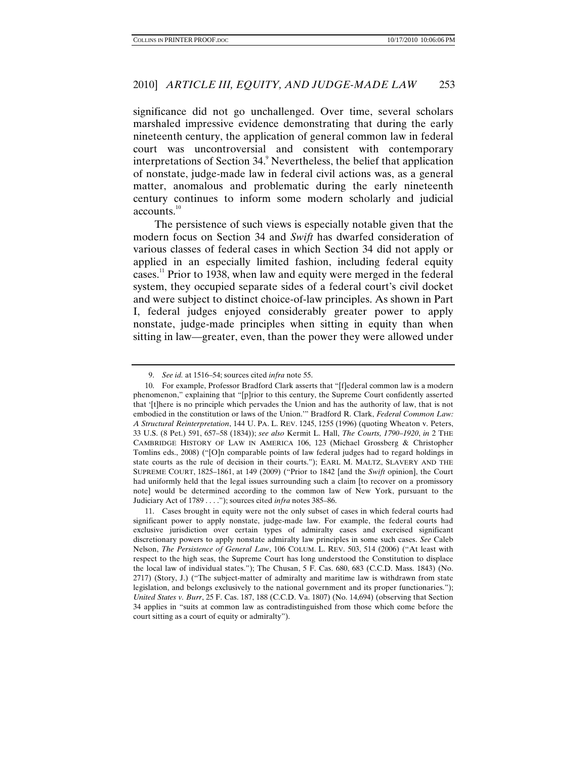significance did not go unchallenged. Over time, several scholars marshaled impressive evidence demonstrating that during the early nineteenth century, the application of general common law in federal court was uncontroversial and consistent with contemporary interpretations of Section 34.<sup>9</sup> Nevertheless, the belief that application of nonstate, judge-made law in federal civil actions was, as a general matter, anomalous and problematic during the early nineteenth century continues to inform some modern scholarly and judicial accounts.<sup>10</sup>

The persistence of such views is especially notable given that the modern focus on Section 34 and *Swift* has dwarfed consideration of various classes of federal cases in which Section 34 did not apply or applied in an especially limited fashion, including federal equity cases.11 Prior to 1938, when law and equity were merged in the federal system, they occupied separate sides of a federal court's civil docket and were subject to distinct choice-of-law principles. As shown in Part I, federal judges enjoyed considerably greater power to apply nonstate, judge-made principles when sitting in equity than when sitting in law—greater, even, than the power they were allowed under

<sup>9.</sup> *See id.* at 1516–54; sources cited *infra* note 55.

 <sup>10.</sup> For example, Professor Bradford Clark asserts that "[f]ederal common law is a modern phenomenon," explaining that "[p]rior to this century, the Supreme Court confidently asserted that '[t]here is no principle which pervades the Union and has the authority of law, that is not embodied in the constitution or laws of the Union.'" Bradford R. Clark, *Federal Common Law: A Structural Reinterpretation*, 144 U. PA. L. REV. 1245, 1255 (1996) (quoting Wheaton v. Peters, 33 U.S. (8 Pet.) 591, 657–58 (1834)); *see also* Kermit L. Hall, *The Courts, 1790*–*1920*, *in* 2 THE CAMBRIDGE HISTORY OF LAW IN AMERICA 106, 123 (Michael Grossberg & Christopher Tomlins eds., 2008) ("[O]n comparable points of law federal judges had to regard holdings in state courts as the rule of decision in their courts."); EARL M. MALTZ, SLAVERY AND THE SUPREME COURT, 1825–1861, at 149 (2009) ("Prior to 1842 [and the *Swift* opinion], the Court had uniformly held that the legal issues surrounding such a claim [to recover on a promissory note] would be determined according to the common law of New York, pursuant to the Judiciary Act of 1789 . . . ."); sources cited *infra* notes 385–86.

 <sup>11.</sup> Cases brought in equity were not the only subset of cases in which federal courts had significant power to apply nonstate, judge-made law. For example, the federal courts had exclusive jurisdiction over certain types of admiralty cases and exercised significant discretionary powers to apply nonstate admiralty law principles in some such cases. *See* Caleb Nelson, *The Persistence of General Law*, 106 COLUM. L. REV. 503, 514 (2006) ("At least with respect to the high seas, the Supreme Court has long understood the Constitution to displace the local law of individual states."); The Chusan, 5 F. Cas. 680, 683 (C.C.D. Mass. 1843) (No. 2717) (Story, J.) ("The subject-matter of admiralty and maritime law is withdrawn from state legislation, and belongs exclusively to the national government and its proper functionaries."); *United States v. Burr*, 25 F. Cas. 187, 188 (C.C.D. Va. 1807) (No. 14,694) (observing that Section 34 applies in "suits at common law as contradistinguished from those which come before the court sitting as a court of equity or admiralty").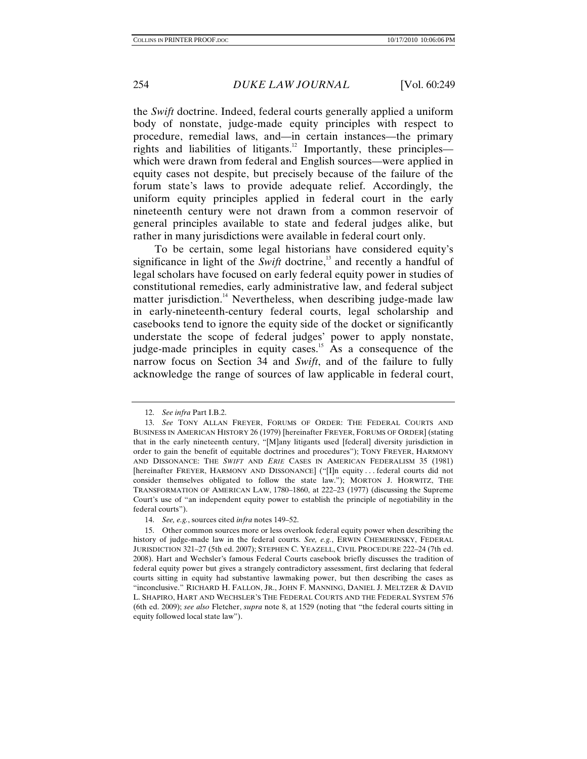the *Swift* doctrine. Indeed, federal courts generally applied a uniform body of nonstate, judge-made equity principles with respect to procedure, remedial laws, and—in certain instances—the primary rights and liabilities of litigants.<sup>12</sup> Importantly, these principles which were drawn from federal and English sources—were applied in equity cases not despite, but precisely because of the failure of the forum state's laws to provide adequate relief. Accordingly, the uniform equity principles applied in federal court in the early nineteenth century were not drawn from a common reservoir of general principles available to state and federal judges alike, but rather in many jurisdictions were available in federal court only.

To be certain, some legal historians have considered equity's significance in light of the *Swift* doctrine,<sup>13</sup> and recently a handful of legal scholars have focused on early federal equity power in studies of constitutional remedies, early administrative law, and federal subject matter jurisdiction.<sup>14</sup> Nevertheless, when describing judge-made law in early-nineteenth-century federal courts, legal scholarship and casebooks tend to ignore the equity side of the docket or significantly understate the scope of federal judges' power to apply nonstate, judge-made principles in equity cases.<sup>15</sup> As a consequence of the narrow focus on Section 34 and *Swift*, and of the failure to fully acknowledge the range of sources of law applicable in federal court,

<sup>12.</sup> *See infra* Part I.B.2.

<sup>13.</sup> *See* TONY ALLAN FREYER, FORUMS OF ORDER: THE FEDERAL COURTS AND BUSINESS IN AMERICAN HISTORY 26 (1979) [hereinafter FREYER, FORUMS OF ORDER] (stating that in the early nineteenth century, "[M]any litigants used [federal] diversity jurisdiction in order to gain the benefit of equitable doctrines and procedures"); TONY FREYER, HARMONY AND DISSONANCE: THE *SWIFT* AND *ERIE* CASES IN AMERICAN FEDERALISM 35 (1981) [hereinafter FREYER, HARMONY AND DISSONANCE] ("[I]n equity . . . federal courts did not consider themselves obligated to follow the state law."); MORTON J. HORWITZ, THE TRANSFORMATION OF AMERICAN LAW, 1780–1860, at 222–23 (1977) (discussing the Supreme Court's use of "an independent equity power to establish the principle of negotiability in the federal courts").

<sup>14.</sup> *See, e.g.*, sources cited *infra* notes 149–52.

 <sup>15.</sup> Other common sources more or less overlook federal equity power when describing the history of judge-made law in the federal courts. *See, e.g.*, ERWIN CHEMERINSKY, FEDERAL JURISDICTION 321–27 (5th ed. 2007); STEPHEN C. YEAZELL, CIVIL PROCEDURE 222–24 (7th ed. 2008). Hart and Wechsler's famous Federal Courts casebook briefly discusses the tradition of federal equity power but gives a strangely contradictory assessment, first declaring that federal courts sitting in equity had substantive lawmaking power, but then describing the cases as "inconclusive." RICHARD H. FALLON, JR., JOHN F. MANNING, DANIEL J. MELTZER & DAVID L. SHAPIRO, HART AND WECHSLER'S THE FEDERAL COURTS AND THE FEDERAL SYSTEM 576 (6th ed. 2009); *see also* Fletcher, *supra* note 8, at 1529 (noting that "the federal courts sitting in equity followed local state law").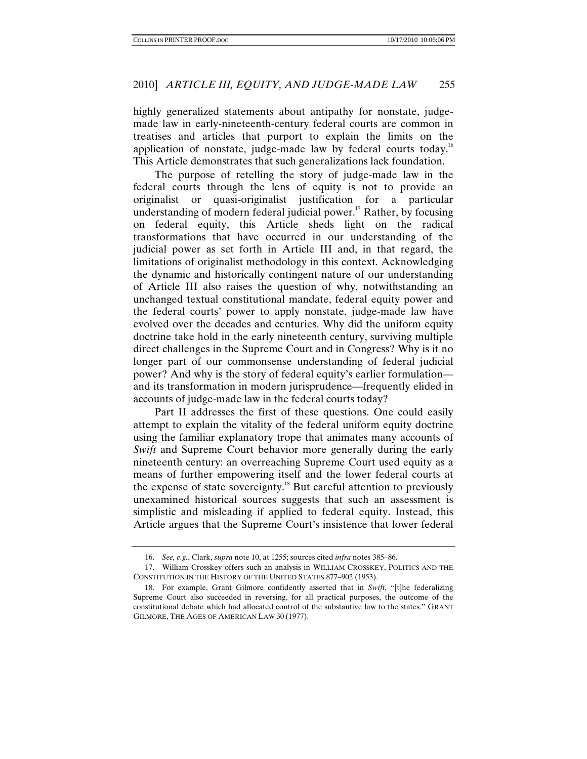highly generalized statements about antipathy for nonstate, judgemade law in early-nineteenth-century federal courts are common in treatises and articles that purport to explain the limits on the application of nonstate, judge-made law by federal courts today.<sup>16</sup> This Article demonstrates that such generalizations lack foundation.

The purpose of retelling the story of judge-made law in the federal courts through the lens of equity is not to provide an originalist or quasi-originalist justification for a particular understanding of modern federal judicial power.<sup>17</sup> Rather, by focusing on federal equity, this Article sheds light on the radical transformations that have occurred in our understanding of the judicial power as set forth in Article III and, in that regard, the limitations of originalist methodology in this context. Acknowledging the dynamic and historically contingent nature of our understanding of Article III also raises the question of why, notwithstanding an unchanged textual constitutional mandate, federal equity power and the federal courts' power to apply nonstate, judge-made law have evolved over the decades and centuries. Why did the uniform equity doctrine take hold in the early nineteenth century, surviving multiple direct challenges in the Supreme Court and in Congress? Why is it no longer part of our commonsense understanding of federal judicial power? And why is the story of federal equity's earlier formulation and its transformation in modern jurisprudence—frequently elided in accounts of judge-made law in the federal courts today?

Part II addresses the first of these questions. One could easily attempt to explain the vitality of the federal uniform equity doctrine using the familiar explanatory trope that animates many accounts of *Swift* and Supreme Court behavior more generally during the early nineteenth century: an overreaching Supreme Court used equity as a means of further empowering itself and the lower federal courts at the expense of state sovereignty.<sup>18</sup> But careful attention to previously unexamined historical sources suggests that such an assessment is simplistic and misleading if applied to federal equity. Instead, this Article argues that the Supreme Court's insistence that lower federal

<sup>16.</sup> *See, e.g.*, Clark, *supra* note 10, at 1255; sources cited *infra* notes 385–86.

 <sup>17.</sup> William Crosskey offers such an analysis in WILLIAM CROSSKEY, POLITICS AND THE CONSTITUTION IN THE HISTORY OF THE UNITED STATES 877–902 (1953).

 <sup>18.</sup> For example, Grant Gilmore confidently asserted that in *Swift*, "[t]he federalizing Supreme Court also succeeded in reversing, for all practical purposes, the outcome of the constitutional debate which had allocated control of the substantive law to the states." GRANT GILMORE, THE AGES OF AMERICAN LAW 30 (1977).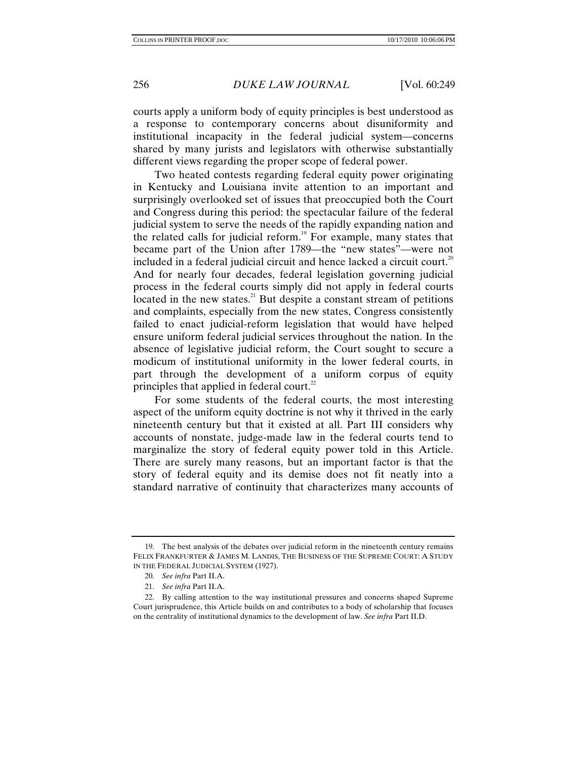courts apply a uniform body of equity principles is best understood as a response to contemporary concerns about disuniformity and institutional incapacity in the federal judicial system—concerns shared by many jurists and legislators with otherwise substantially different views regarding the proper scope of federal power.

Two heated contests regarding federal equity power originating in Kentucky and Louisiana invite attention to an important and surprisingly overlooked set of issues that preoccupied both the Court and Congress during this period: the spectacular failure of the federal judicial system to serve the needs of the rapidly expanding nation and the related calls for judicial reform.<sup>19</sup> For example, many states that became part of the Union after 1789—the "new states"—were not included in a federal judicial circuit and hence lacked a circuit court.<sup>20</sup> And for nearly four decades, federal legislation governing judicial process in the federal courts simply did not apply in federal courts located in the new states. $21$  But despite a constant stream of petitions and complaints, especially from the new states, Congress consistently failed to enact judicial-reform legislation that would have helped ensure uniform federal judicial services throughout the nation. In the absence of legislative judicial reform, the Court sought to secure a modicum of institutional uniformity in the lower federal courts, in part through the development of a uniform corpus of equity principles that applied in federal court.<sup>22</sup>

For some students of the federal courts, the most interesting aspect of the uniform equity doctrine is not why it thrived in the early nineteenth century but that it existed at all. Part III considers why accounts of nonstate, judge-made law in the federal courts tend to marginalize the story of federal equity power told in this Article. There are surely many reasons, but an important factor is that the story of federal equity and its demise does not fit neatly into a standard narrative of continuity that characterizes many accounts of

 <sup>19.</sup> The best analysis of the debates over judicial reform in the nineteenth century remains FELIX FRANKFURTER & JAMES M. LANDIS, THE BUSINESS OF THE SUPREME COURT: A STUDY IN THE FEDERAL JUDICIAL SYSTEM (1927).

<sup>20.</sup> *See infra* Part II.A.

<sup>21.</sup> *See infra* Part II.A.

 <sup>22.</sup> By calling attention to the way institutional pressures and concerns shaped Supreme Court jurisprudence, this Article builds on and contributes to a body of scholarship that focuses on the centrality of institutional dynamics to the development of law. *See infra* Part II.D.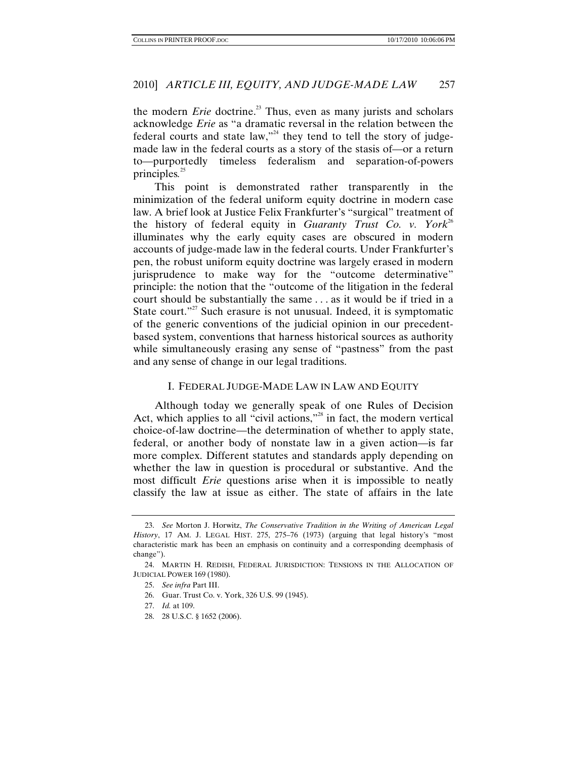the modern *Erie* doctrine.<sup>23</sup> Thus, even as many jurists and scholars acknowledge *Erie* as "a dramatic reversal in the relation between the federal courts and state law,"<sup>24</sup> they tend to tell the story of judgemade law in the federal courts as a story of the stasis of—or a return to—purportedly timeless federalism and separation-of-powers principles*.* 25

This point is demonstrated rather transparently in the minimization of the federal uniform equity doctrine in modern case law. A brief look at Justice Felix Frankfurter's "surgical" treatment of the history of federal equity in *Guaranty Trust Co. v. York*<sup>26</sup> illuminates why the early equity cases are obscured in modern accounts of judge-made law in the federal courts. Under Frankfurter's pen, the robust uniform equity doctrine was largely erased in modern jurisprudence to make way for the "outcome determinative" principle: the notion that the "outcome of the litigation in the federal court should be substantially the same . . . as it would be if tried in a State court."<sup>27</sup> Such erasure is not unusual. Indeed, it is symptomatic of the generic conventions of the judicial opinion in our precedentbased system, conventions that harness historical sources as authority while simultaneously erasing any sense of "pastness" from the past and any sense of change in our legal traditions.

#### I. FEDERAL JUDGE-MADE LAW IN LAW AND EQUITY

Although today we generally speak of one Rules of Decision Act, which applies to all "civil actions,"<sup>28</sup> in fact, the modern vertical choice-of-law doctrine—the determination of whether to apply state, federal, or another body of nonstate law in a given action—is far more complex. Different statutes and standards apply depending on whether the law in question is procedural or substantive. And the most difficult *Erie* questions arise when it is impossible to neatly classify the law at issue as either. The state of affairs in the late

<sup>23.</sup> *See* Morton J. Horwitz, *The Conservative Tradition in the Writing of American Legal History*, 17 AM. J. LEGAL HIST. 275, 275–76 (1973) (arguing that legal history's "most characteristic mark has been an emphasis on continuity and a corresponding deemphasis of change").

 <sup>24.</sup> MARTIN H. REDISH, FEDERAL JURISDICTION: TENSIONS IN THE ALLOCATION OF JUDICIAL POWER 169 (1980).

<sup>25.</sup> *See infra* Part III.

 <sup>26.</sup> Guar. Trust Co. v. York, 326 U.S. 99 (1945).

 <sup>27.</sup> *Id.* at 109.

 <sup>28. 28</sup> U.S.C. § 1652 (2006).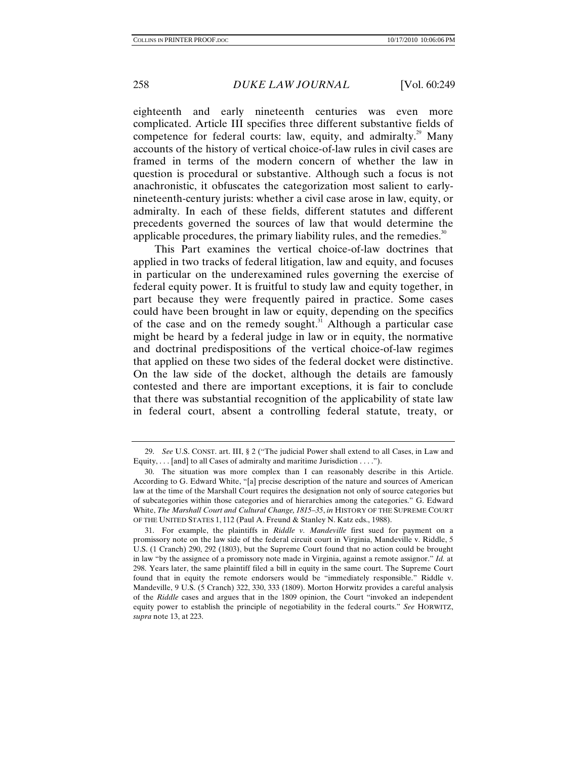eighteenth and early nineteenth centuries was even more complicated. Article III specifies three different substantive fields of competence for federal courts: law, equity, and admiralty.<sup>29</sup> Many accounts of the history of vertical choice-of-law rules in civil cases are framed in terms of the modern concern of whether the law in question is procedural or substantive. Although such a focus is not anachronistic, it obfuscates the categorization most salient to earlynineteenth-century jurists: whether a civil case arose in law, equity, or admiralty. In each of these fields, different statutes and different precedents governed the sources of law that would determine the applicable procedures, the primary liability rules, and the remedies. $30$ 

This Part examines the vertical choice-of-law doctrines that applied in two tracks of federal litigation, law and equity, and focuses in particular on the underexamined rules governing the exercise of federal equity power. It is fruitful to study law and equity together, in part because they were frequently paired in practice. Some cases could have been brought in law or equity, depending on the specifics of the case and on the remedy sought. $31$  Although a particular case might be heard by a federal judge in law or in equity, the normative and doctrinal predispositions of the vertical choice-of-law regimes that applied on these two sides of the federal docket were distinctive. On the law side of the docket, although the details are famously contested and there are important exceptions, it is fair to conclude that there was substantial recognition of the applicability of state law in federal court, absent a controlling federal statute, treaty, or

<sup>29.</sup> *See* U.S. CONST. art. III, § 2 ("The judicial Power shall extend to all Cases, in Law and Equity,  $\ldots$  [and] to all Cases of admiralty and maritime Jurisdiction  $\ldots$ .").

 <sup>30.</sup> The situation was more complex than I can reasonably describe in this Article. According to G. Edward White, "[a] precise description of the nature and sources of American law at the time of the Marshall Court requires the designation not only of source categories but of subcategories within those categories and of hierarchies among the categories." G. Edward White, *The Marshall Court and Cultural Change, 1815–35*, *in* HISTORY OF THE SUPREME COURT OF THE UNITED STATES 1, 112 (Paul A. Freund & Stanley N. Katz eds., 1988).

 <sup>31.</sup> For example, the plaintiffs in *Riddle v. Mandeville* first sued for payment on a promissory note on the law side of the federal circuit court in Virginia, Mandeville v. Riddle, 5 U.S. (1 Cranch) 290, 292 (1803), but the Supreme Court found that no action could be brought in law "by the assignee of a promissory note made in Virginia, against a remote assignor." *Id.* at 298. Years later, the same plaintiff filed a bill in equity in the same court. The Supreme Court found that in equity the remote endorsers would be "immediately responsible." Riddle v. Mandeville, 9 U.S. (5 Cranch) 322, 330, 333 (1809). Morton Horwitz provides a careful analysis of the *Riddle* cases and argues that in the 1809 opinion, the Court "invoked an independent equity power to establish the principle of negotiability in the federal courts." *See* HORWITZ, *supra* note 13, at 223.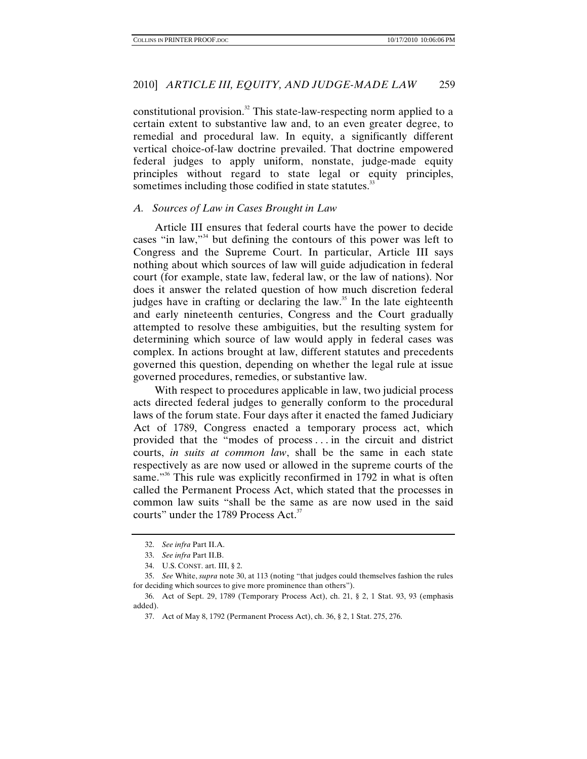constitutional provision.<sup>32</sup> This state-law-respecting norm applied to a certain extent to substantive law and, to an even greater degree, to remedial and procedural law. In equity, a significantly different vertical choice-of-law doctrine prevailed. That doctrine empowered federal judges to apply uniform, nonstate, judge-made equity principles without regard to state legal or equity principles, sometimes including those codified in state statutes.<sup>33</sup>

#### *A. Sources of Law in Cases Brought in Law*

Article III ensures that federal courts have the power to decide cases "in law,"34 but defining the contours of this power was left to Congress and the Supreme Court. In particular, Article III says nothing about which sources of law will guide adjudication in federal court (for example, state law, federal law, or the law of nations). Nor does it answer the related question of how much discretion federal judges have in crafting or declaring the law.<sup>35</sup> In the late eighteenth and early nineteenth centuries, Congress and the Court gradually attempted to resolve these ambiguities, but the resulting system for determining which source of law would apply in federal cases was complex. In actions brought at law, different statutes and precedents governed this question, depending on whether the legal rule at issue governed procedures, remedies, or substantive law.

With respect to procedures applicable in law, two judicial process acts directed federal judges to generally conform to the procedural laws of the forum state. Four days after it enacted the famed Judiciary Act of 1789, Congress enacted a temporary process act, which provided that the "modes of process . . . in the circuit and district courts, *in suits at common law*, shall be the same in each state respectively as are now used or allowed in the supreme courts of the same."<sup>36</sup> This rule was explicitly reconfirmed in 1792 in what is often called the Permanent Process Act, which stated that the processes in common law suits "shall be the same as are now used in the said courts" under the 1789 Process Act.<sup>37</sup>

<sup>32.</sup> *See infra* Part II.A.

<sup>33.</sup> *See infra* Part II.B.

<sup>34.</sup> U.S. CONST. art. III, § 2.

<sup>35.</sup> *See* White, *supra* note 30, at 113 (noting "that judges could themselves fashion the rules for deciding which sources to give more prominence than others").

 <sup>36.</sup> Act of Sept. 29, 1789 (Temporary Process Act), ch. 21, § 2, 1 Stat. 93, 93 (emphasis added).

 <sup>37.</sup> Act of May 8, 1792 (Permanent Process Act), ch. 36, § 2, 1 Stat. 275, 276.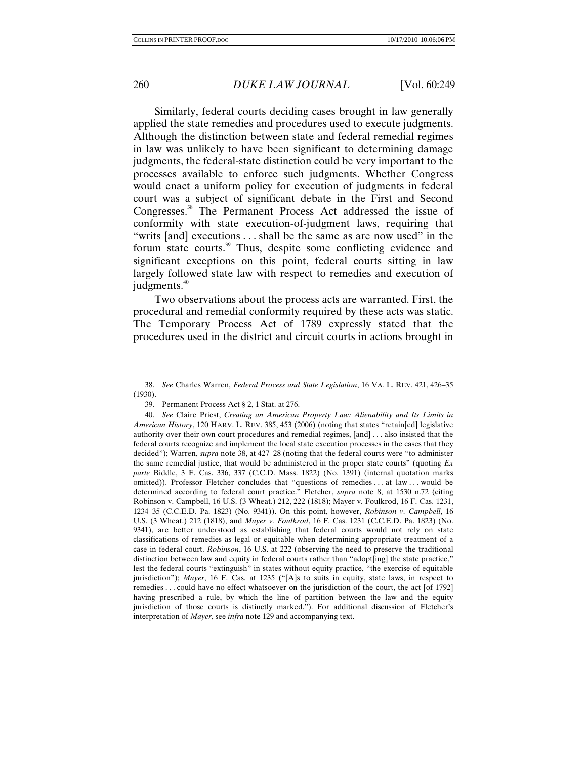Similarly, federal courts deciding cases brought in law generally applied the state remedies and procedures used to execute judgments. Although the distinction between state and federal remedial regimes in law was unlikely to have been significant to determining damage judgments, the federal-state distinction could be very important to the processes available to enforce such judgments. Whether Congress would enact a uniform policy for execution of judgments in federal court was a subject of significant debate in the First and Second Congresses.<sup>38</sup> The Permanent Process Act addressed the issue of conformity with state execution-of-judgment laws, requiring that "writs [and] executions . . . shall be the same as are now used" in the forum state courts.<sup>39</sup> Thus, despite some conflicting evidence and significant exceptions on this point, federal courts sitting in law largely followed state law with respect to remedies and execution of judgments.<sup>40</sup>

Two observations about the process acts are warranted. First, the procedural and remedial conformity required by these acts was static. The Temporary Process Act of 1789 expressly stated that the procedures used in the district and circuit courts in actions brought in

<sup>38.</sup> *See* Charles Warren, *Federal Process and State Legislation*, 16 VA. L. REV. 421, 426–35 (1930).

 <sup>39.</sup> Permanent Process Act § 2, 1 Stat. at 276.

 <sup>40.</sup> *See* Claire Priest, *Creating an American Property Law: Alienability and Its Limits in American History*, 120 HARV. L. REV. 385, 453 (2006) (noting that states "retain[ed] legislative authority over their own court procedures and remedial regimes, [and] . . . also insisted that the federal courts recognize and implement the local state execution processes in the cases that they decided"); Warren, *supra* note 38, at 427–28 (noting that the federal courts were "to administer the same remedial justice, that would be administered in the proper state courts" (quoting *Ex parte* Biddle, 3 F. Cas. 336, 337 (C.C.D. Mass. 1822) (No. 1391) (internal quotation marks omitted)). Professor Fletcher concludes that "questions of remedies . . . at law . . . would be determined according to federal court practice." Fletcher, *supra* note 8, at 1530 n.72 (citing Robinson v. Campbell, 16 U.S. (3 Wheat.) 212, 222 (1818); Mayer v. Foulkrod, 16 F. Cas. 1231, 1234–35 (C.C.E.D. Pa. 1823) (No. 9341)). On this point, however, *Robinson v. Campbell*, 16 U.S. (3 Wheat.) 212 (1818), and *Mayer v. Foulkrod*, 16 F. Cas. 1231 (C.C.E.D. Pa. 1823) (No. 9341), are better understood as establishing that federal courts would not rely on state classifications of remedies as legal or equitable when determining appropriate treatment of a case in federal court. *Robinson*, 16 U.S. at 222 (observing the need to preserve the traditional distinction between law and equity in federal courts rather than "adopt[ing] the state practice," lest the federal courts "extinguish" in states without equity practice, "the exercise of equitable jurisdiction"); *Mayer*, 16 F. Cas. at 1235 ("[A]s to suits in equity, state laws, in respect to remedies . . . could have no effect whatsoever on the jurisdiction of the court, the act [of 1792] having prescribed a rule, by which the line of partition between the law and the equity jurisdiction of those courts is distinctly marked."). For additional discussion of Fletcher's interpretation of *Mayer*, see *infra* note 129 and accompanying text.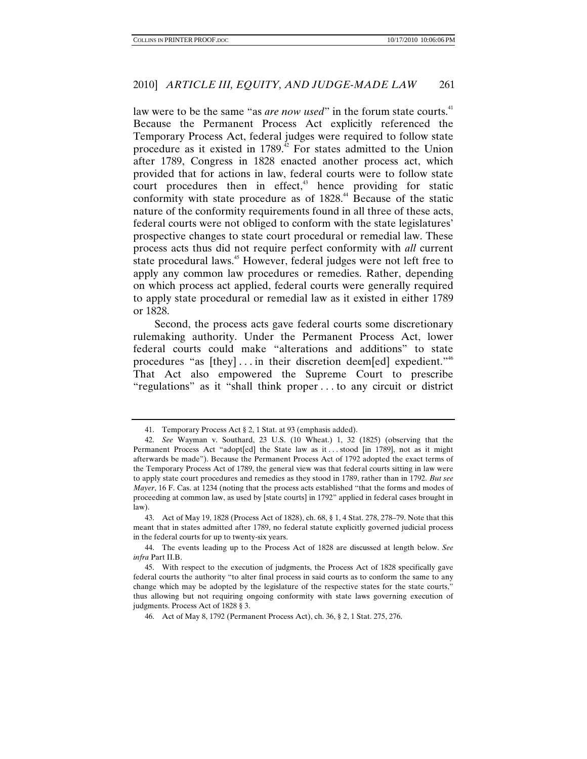law were to be the same "as *are now used*" in the forum state courts.<sup>41</sup> Because the Permanent Process Act explicitly referenced the Temporary Process Act, federal judges were required to follow state procedure as it existed in 1789.<sup>42</sup> For states admitted to the Union after 1789, Congress in 1828 enacted another process act, which provided that for actions in law, federal courts were to follow state court procedures then in effect, $43$  hence providing for static conformity with state procedure as of 1828.<sup>44</sup> Because of the static nature of the conformity requirements found in all three of these acts, federal courts were not obliged to conform with the state legislatures' prospective changes to state court procedural or remedial law. These process acts thus did not require perfect conformity with *all* current state procedural laws.<sup>45</sup> However, federal judges were not left free to apply any common law procedures or remedies. Rather, depending on which process act applied, federal courts were generally required to apply state procedural or remedial law as it existed in either 1789 or 1828.

Second, the process acts gave federal courts some discretionary rulemaking authority. Under the Permanent Process Act, lower federal courts could make "alterations and additions" to state procedures "as  $[$ they $] \dots$  in their discretion deem $[$ ed $]$  expedient."<sup>46</sup> That Act also empowered the Supreme Court to prescribe "regulations" as it "shall think proper . . . to any circuit or district

 <sup>41.</sup> Temporary Process Act § 2, 1 Stat. at 93 (emphasis added).

<sup>42.</sup> *See* Wayman v. Southard, 23 U.S. (10 Wheat.) 1, 32 (1825) (observing that the Permanent Process Act "adopt[ed] the State law as it . . . stood [in 1789], not as it might afterwards be made"). Because the Permanent Process Act of 1792 adopted the exact terms of the Temporary Process Act of 1789, the general view was that federal courts sitting in law were to apply state court procedures and remedies as they stood in 1789, rather than in 1792. *But see Mayer*, 16 F. Cas. at 1234 (noting that the process acts established "that the forms and modes of proceeding at common law, as used by [state courts] in 1792" applied in federal cases brought in law).

 <sup>43.</sup> Act of May 19, 1828 (Process Act of 1828), ch. 68, § 1, 4 Stat. 278, 278–79. Note that this meant that in states admitted after 1789, no federal statute explicitly governed judicial process in the federal courts for up to twenty-six years.

 <sup>44.</sup> The events leading up to the Process Act of 1828 are discussed at length below. *See infra* Part II.B.

 <sup>45.</sup> With respect to the execution of judgments, the Process Act of 1828 specifically gave federal courts the authority "to alter final process in said courts as to conform the same to any change which may be adopted by the legislature of the respective states for the state courts," thus allowing but not requiring ongoing conformity with state laws governing execution of judgments. Process Act of 1828 § 3.

 <sup>46.</sup> Act of May 8, 1792 (Permanent Process Act), ch. 36, § 2, 1 Stat. 275, 276.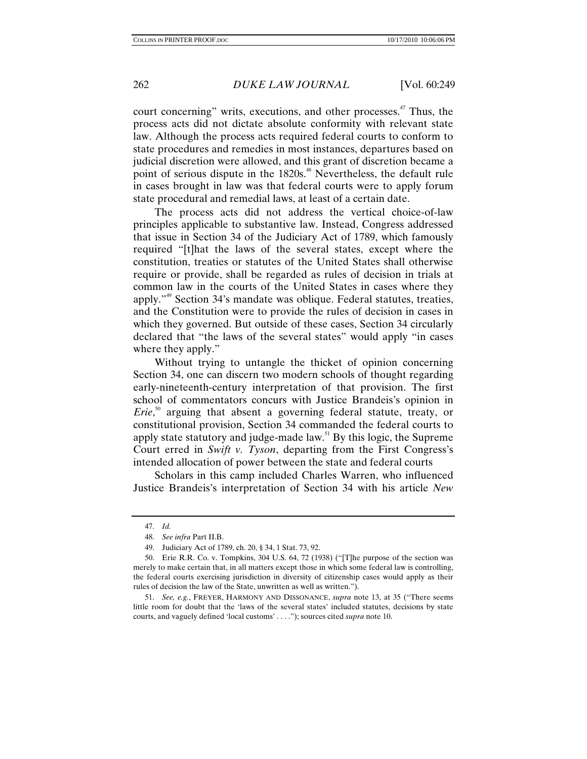court concerning" writs, executions, and other processes.<sup>47</sup> Thus, the process acts did not dictate absolute conformity with relevant state law. Although the process acts required federal courts to conform to state procedures and remedies in most instances, departures based on judicial discretion were allowed, and this grant of discretion became a point of serious dispute in the 1820s.<sup>48</sup> Nevertheless, the default rule in cases brought in law was that federal courts were to apply forum state procedural and remedial laws, at least of a certain date.

The process acts did not address the vertical choice-of-law principles applicable to substantive law. Instead, Congress addressed that issue in Section 34 of the Judiciary Act of 1789, which famously required "[t]hat the laws of the several states, except where the constitution, treaties or statutes of the United States shall otherwise require or provide, shall be regarded as rules of decision in trials at common law in the courts of the United States in cases where they apply."49 Section 34's mandate was oblique. Federal statutes, treaties, and the Constitution were to provide the rules of decision in cases in which they governed. But outside of these cases, Section 34 circularly declared that "the laws of the several states" would apply "in cases where they apply."

Without trying to untangle the thicket of opinion concerning Section 34, one can discern two modern schools of thought regarding early-nineteenth-century interpretation of that provision. The first school of commentators concurs with Justice Brandeis's opinion in *Erie*,<sup>50</sup> arguing that absent a governing federal statute, treaty, or constitutional provision, Section 34 commanded the federal courts to apply state statutory and judge-made law.51 By this logic, the Supreme Court erred in *Swift v. Tyson*, departing from the First Congress's intended allocation of power between the state and federal courts

Scholars in this camp included Charles Warren, who influenced Justice Brandeis's interpretation of Section 34 with his article *New* 

<sup>47.</sup> *Id.*

<sup>48.</sup> *See infra* Part II.B.

 <sup>49.</sup> Judiciary Act of 1789, ch. 20, § 34, 1 Stat. 73, 92.

 <sup>50.</sup> Erie R.R. Co. v. Tompkins, 304 U.S. 64, 72 (1938) ("[T]he purpose of the section was merely to make certain that, in all matters except those in which some federal law is controlling, the federal courts exercising jurisdiction in diversity of citizenship cases would apply as their rules of decision the law of the State, unwritten as well as written.").

<sup>51.</sup> *See, e.g.*, FREYER, HARMONY AND DISSONANCE, *supra* note 13, at 35 ("There seems little room for doubt that the 'laws of the several states' included statutes, decisions by state courts, and vaguely defined 'local customs' . . . ."); sources cited *supra* note 10.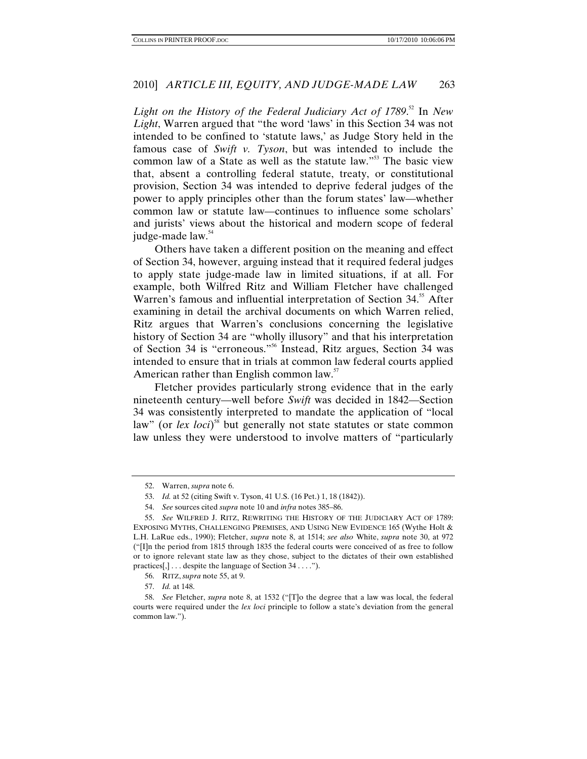Light on the History of the Federal Judiciary Act of 1789.<sup>52</sup> In New *Light*, Warren argued that "the word 'laws' in this Section 34 was not intended to be confined to 'statute laws,' as Judge Story held in the famous case of *Swift v. Tyson*, but was intended to include the common law of a State as well as the statute law."53 The basic view that, absent a controlling federal statute, treaty, or constitutional provision, Section 34 was intended to deprive federal judges of the power to apply principles other than the forum states' law—whether common law or statute law—continues to influence some scholars' and jurists' views about the historical and modern scope of federal judge-made law.<sup>54</sup>

Others have taken a different position on the meaning and effect of Section 34, however, arguing instead that it required federal judges to apply state judge-made law in limited situations, if at all. For example, both Wilfred Ritz and William Fletcher have challenged Warren's famous and influential interpretation of Section 34.<sup>55</sup> After examining in detail the archival documents on which Warren relied, Ritz argues that Warren's conclusions concerning the legislative history of Section 34 are "wholly illusory" and that his interpretation of Section 34 is "erroneous."56 Instead, Ritz argues, Section 34 was intended to ensure that in trials at common law federal courts applied American rather than English common law.<sup>57</sup>

Fletcher provides particularly strong evidence that in the early nineteenth century—well before *Swift* was decided in 1842—Section 34 was consistently interpreted to mandate the application of "local law" (or *lex loci*)<sup>58</sup> but generally not state statutes or state common law unless they were understood to involve matters of "particularly

 <sup>52.</sup> Warren, *supra* note 6.

<sup>53.</sup> *Id.* at 52 (citing Swift v. Tyson, 41 U.S. (16 Pet.) 1, 18 (1842)).

<sup>54.</sup> *See* sources cited *supra* note 10 and *infra* notes 385–86.

<sup>55.</sup> *See* WILFRED J. RITZ, REWRITING THE HISTORY OF THE JUDICIARY ACT OF 1789: EXPOSING MYTHS, CHALLENGING PREMISES, AND USING NEW EVIDENCE 165 (Wythe Holt & L.H. LaRue eds., 1990); Fletcher, *supra* note 8, at 1514; *see also* White, *supra* note 30, at 972 ("[I]n the period from 1815 through 1835 the federal courts were conceived of as free to follow or to ignore relevant state law as they chose, subject to the dictates of their own established practices[,] . . . despite the language of Section 34 . . . .").

 <sup>56.</sup> RITZ, *supra* note 55, at 9.

<sup>57.</sup> *Id.* at 148.

<sup>58.</sup> *See* Fletcher, *supra* note 8, at 1532 ("[T]o the degree that a law was local, the federal courts were required under the *lex loci* principle to follow a state's deviation from the general common law.").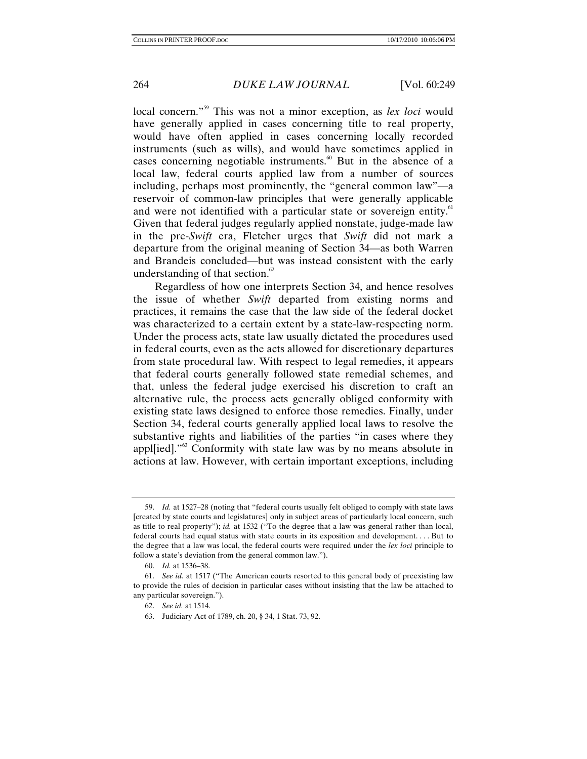local concern."59 This was not a minor exception, as *lex loci* would have generally applied in cases concerning title to real property, would have often applied in cases concerning locally recorded instruments (such as wills), and would have sometimes applied in cases concerning negotiable instruments. $60$  But in the absence of a local law, federal courts applied law from a number of sources including, perhaps most prominently, the "general common law"—a reservoir of common-law principles that were generally applicable and were not identified with a particular state or sovereign entity.<sup>61</sup> Given that federal judges regularly applied nonstate, judge-made law in the pre-*Swift* era, Fletcher urges that *Swift* did not mark a departure from the original meaning of Section 34—as both Warren and Brandeis concluded—but was instead consistent with the early understanding of that section.<sup>62</sup>

Regardless of how one interprets Section 34, and hence resolves the issue of whether *Swift* departed from existing norms and practices, it remains the case that the law side of the federal docket was characterized to a certain extent by a state-law-respecting norm. Under the process acts, state law usually dictated the procedures used in federal courts, even as the acts allowed for discretionary departures from state procedural law. With respect to legal remedies, it appears that federal courts generally followed state remedial schemes, and that, unless the federal judge exercised his discretion to craft an alternative rule, the process acts generally obliged conformity with existing state laws designed to enforce those remedies. Finally, under Section 34, federal courts generally applied local laws to resolve the substantive rights and liabilities of the parties "in cases where they appleid].<sup>"63</sup> Conformity with state law was by no means absolute in actions at law. However, with certain important exceptions, including

<sup>59.</sup> *Id.* at 1527–28 (noting that "federal courts usually felt obliged to comply with state laws [created by state courts and legislatures] only in subject areas of particularly local concern, such as title to real property"); *id.* at 1532 ("To the degree that a law was general rather than local, federal courts had equal status with state courts in its exposition and development. . . . But to the degree that a law was local, the federal courts were required under the *lex loci* principle to follow a state's deviation from the general common law.").

<sup>60.</sup> *Id.* at 1536–38.

<sup>61.</sup> *See id.* at 1517 ("The American courts resorted to this general body of preexisting law to provide the rules of decision in particular cases without insisting that the law be attached to any particular sovereign.").

<sup>62.</sup> *See id.* at 1514.

 <sup>63.</sup> Judiciary Act of 1789, ch. 20, § 34, 1 Stat. 73, 92.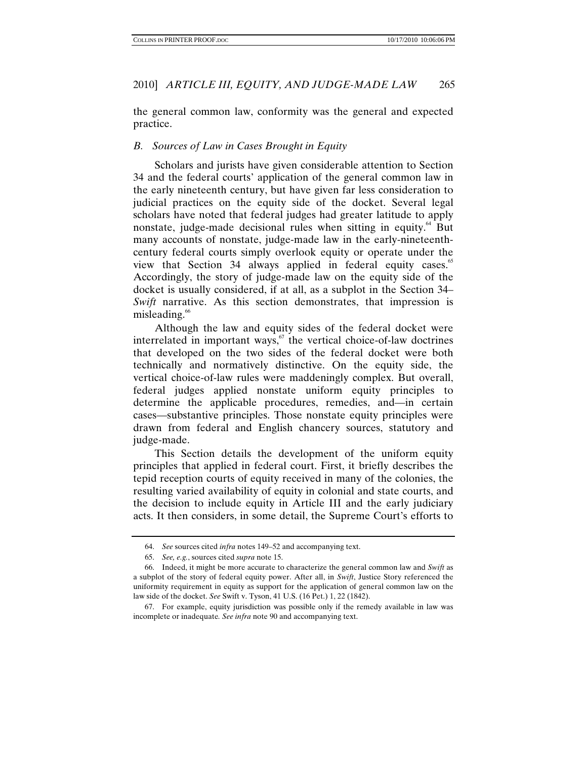the general common law, conformity was the general and expected practice.

#### *B. Sources of Law in Cases Brought in Equity*

Scholars and jurists have given considerable attention to Section 34 and the federal courts' application of the general common law in the early nineteenth century, but have given far less consideration to judicial practices on the equity side of the docket. Several legal scholars have noted that federal judges had greater latitude to apply nonstate, judge-made decisional rules when sitting in equity.<sup>64</sup> But many accounts of nonstate, judge-made law in the early-nineteenthcentury federal courts simply overlook equity or operate under the view that Section 34 always applied in federal equity cases. $\degree$ Accordingly, the story of judge-made law on the equity side of the docket is usually considered, if at all, as a subplot in the Section 34– *Swift* narrative. As this section demonstrates, that impression is misleading. $\degree$ 

Although the law and equity sides of the federal docket were interrelated in important ways,  $\overline{67}$  the vertical choice-of-law doctrines that developed on the two sides of the federal docket were both technically and normatively distinctive. On the equity side, the vertical choice-of-law rules were maddeningly complex. But overall, federal judges applied nonstate uniform equity principles to determine the applicable procedures, remedies, and—in certain cases—substantive principles. Those nonstate equity principles were drawn from federal and English chancery sources, statutory and judge-made.

This Section details the development of the uniform equity principles that applied in federal court. First, it briefly describes the tepid reception courts of equity received in many of the colonies, the resulting varied availability of equity in colonial and state courts, and the decision to include equity in Article III and the early judiciary acts. It then considers, in some detail, the Supreme Court's efforts to

<sup>64.</sup> *See* sources cited *infra* notes 149–52 and accompanying text.

<sup>65.</sup> *See, e.g.*, sources cited *supra* note 15.

 <sup>66.</sup> Indeed, it might be more accurate to characterize the general common law and *Swift* as a subplot of the story of federal equity power. After all, in *Swift*, Justice Story referenced the uniformity requirement in equity as support for the application of general common law on the law side of the docket. *See* Swift v. Tyson, 41 U.S. (16 Pet.) 1, 22 (1842).

 <sup>67.</sup> For example, equity jurisdiction was possible only if the remedy available in law was incomplete or inadequate*. See infra* note 90 and accompanying text.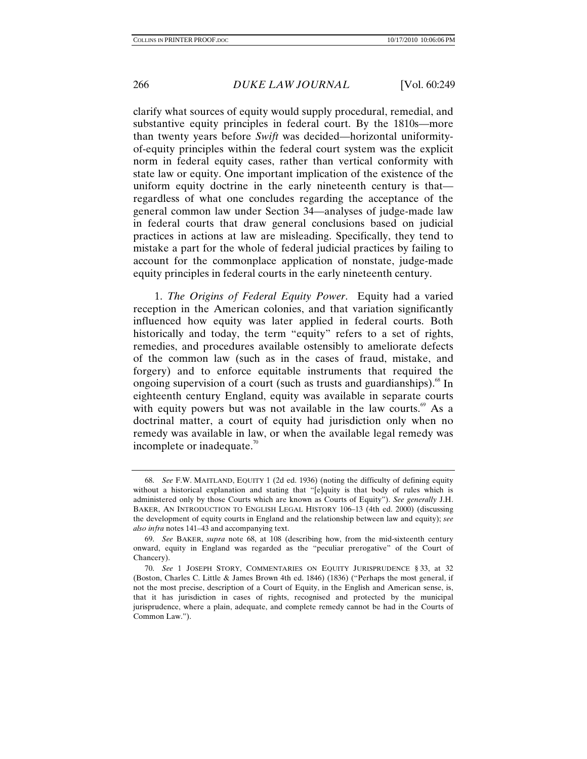clarify what sources of equity would supply procedural, remedial, and substantive equity principles in federal court. By the 1810s—more than twenty years before *Swift* was decided—horizontal uniformityof-equity principles within the federal court system was the explicit norm in federal equity cases, rather than vertical conformity with state law or equity. One important implication of the existence of the uniform equity doctrine in the early nineteenth century is that regardless of what one concludes regarding the acceptance of the general common law under Section 34—analyses of judge-made law in federal courts that draw general conclusions based on judicial practices in actions at law are misleading. Specifically, they tend to mistake a part for the whole of federal judicial practices by failing to account for the commonplace application of nonstate, judge-made equity principles in federal courts in the early nineteenth century.

1. *The Origins of Federal Equity Power*. Equity had a varied reception in the American colonies, and that variation significantly influenced how equity was later applied in federal courts. Both historically and today, the term "equity" refers to a set of rights, remedies, and procedures available ostensibly to ameliorate defects of the common law (such as in the cases of fraud, mistake, and forgery) and to enforce equitable instruments that required the ongoing supervision of a court (such as trusts and guardianships). $\frac{8}{5}$  In eighteenth century England, equity was available in separate courts with equity powers but was not available in the law courts.<sup>69</sup> As a doctrinal matter, a court of equity had jurisdiction only when no remedy was available in law, or when the available legal remedy was incomplete or inadequate. $\frac{70}{2}$ 

<sup>68.</sup> *See* F.W. MAITLAND, EQUITY 1 (2d ed. 1936) (noting the difficulty of defining equity without a historical explanation and stating that "[e]quity is that body of rules which is administered only by those Courts which are known as Courts of Equity"). *See generally* J.H. BAKER, AN INTRODUCTION TO ENGLISH LEGAL HISTORY 106–13 (4th ed. 2000) (discussing the development of equity courts in England and the relationship between law and equity); *see also infra* notes 141–43 and accompanying text.

<sup>69.</sup> *See* BAKER, *supra* note 68, at 108 (describing how, from the mid-sixteenth century onward, equity in England was regarded as the "peculiar prerogative" of the Court of Chancery).

<sup>70.</sup> *See* 1 JOSEPH STORY, COMMENTARIES ON EQUITY JURISPRUDENCE § 33, at 32 (Boston, Charles C. Little & James Brown 4th ed. 1846) (1836) ("Perhaps the most general, if not the most precise, description of a Court of Equity, in the English and American sense, is, that it has jurisdiction in cases of rights, recognised and protected by the municipal jurisprudence, where a plain, adequate, and complete remedy cannot be had in the Courts of Common Law.").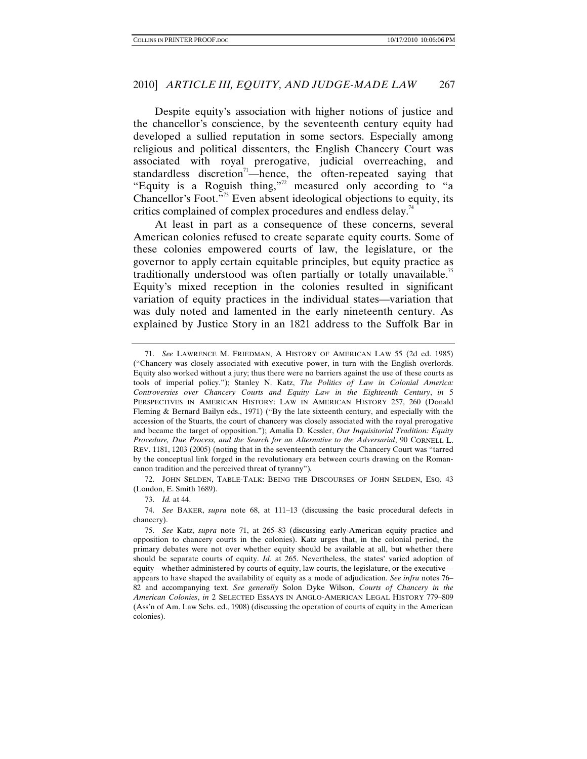Despite equity's association with higher notions of justice and the chancellor's conscience, by the seventeenth century equity had developed a sullied reputation in some sectors. Especially among religious and political dissenters, the English Chancery Court was associated with royal prerogative, judicial overreaching, and standardless discretion<sup>71</sup>—hence, the often-repeated saying that "Equity is a Roguish thing,"<sup>2</sup> measured only according to "a Chancellor's Foot.<sup>773</sup> Even absent ideological objections to equity, its critics complained of complex procedures and endless delay.<sup>74</sup>

At least in part as a consequence of these concerns, several American colonies refused to create separate equity courts. Some of these colonies empowered courts of law, the legislature, or the governor to apply certain equitable principles, but equity practice as traditionally understood was often partially or totally unavailable.<sup>75</sup> Equity's mixed reception in the colonies resulted in significant variation of equity practices in the individual states—variation that was duly noted and lamented in the early nineteenth century. As explained by Justice Story in an 1821 address to the Suffolk Bar in

 72. JOHN SELDEN, TABLE-TALK: BEING THE DISCOURSES OF JOHN SELDEN, ESQ. 43 (London, E. Smith 1689).

73. *Id.* at 44.

74. *See* BAKER, *supra* note 68, at 111–13 (discussing the basic procedural defects in chancery).

<sup>71.</sup> *See* LAWRENCE M. FRIEDMAN, A HISTORY OF AMERICAN LAW 55 (2d ed. 1985) ("Chancery was closely associated with executive power, in turn with the English overlords. Equity also worked without a jury; thus there were no barriers against the use of these courts as tools of imperial policy."); Stanley N. Katz, *The Politics of Law in Colonial America: Controversies over Chancery Courts and Equity Law in the Eighteenth Century*, *in* 5 PERSPECTIVES IN AMERICAN HISTORY: LAW IN AMERICAN HISTORY 257, 260 (Donald Fleming & Bernard Bailyn eds., 1971) ("By the late sixteenth century, and especially with the accession of the Stuarts, the court of chancery was closely associated with the royal prerogative and became the target of opposition."); Amalia D. Kessler, *Our Inquisitorial Tradition: Equity Procedure, Due Process, and the Search for an Alternative to the Adversarial*, 90 CORNELL L. REV. 1181, 1203 (2005) (noting that in the seventeenth century the Chancery Court was "tarred by the conceptual link forged in the revolutionary era between courts drawing on the Romancanon tradition and the perceived threat of tyranny")*.*

<sup>75.</sup> *See* Katz, *supra* note 71, at 265–83 (discussing early-American equity practice and opposition to chancery courts in the colonies). Katz urges that, in the colonial period, the primary debates were not over whether equity should be available at all, but whether there should be separate courts of equity. *Id.* at 265. Nevertheless, the states' varied adoption of equity—whether administered by courts of equity, law courts, the legislature, or the executive appears to have shaped the availability of equity as a mode of adjudication. *See infra* notes 76– 82 and accompanying text. *See generally* Solon Dyke Wilson, *Courts of Chancery in the American Colonies*, *in* 2 SELECTED ESSAYS IN ANGLO-AMERICAN LEGAL HISTORY 779–809 (Ass'n of Am. Law Schs. ed., 1908) (discussing the operation of courts of equity in the American colonies).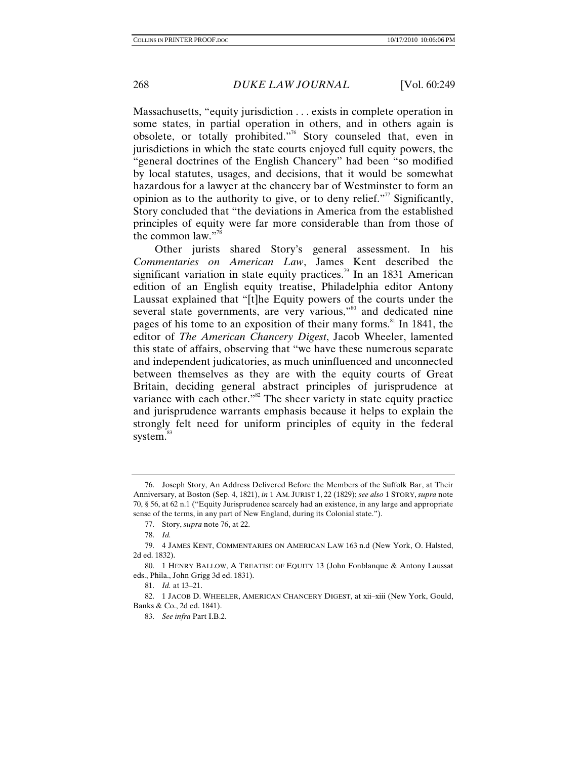Massachusetts, "equity jurisdiction . . . exists in complete operation in some states, in partial operation in others, and in others again is obsolete, or totally prohibited."76 Story counseled that, even in jurisdictions in which the state courts enjoyed full equity powers, the "general doctrines of the English Chancery" had been "so modified by local statutes, usages, and decisions, that it would be somewhat hazardous for a lawyer at the chancery bar of Westminster to form an opinion as to the authority to give, or to deny relief. $\mathbb{R}^7$  Significantly, Story concluded that "the deviations in America from the established principles of equity were far more considerable than from those of the common law." $\frac{7}{8}$ 

Other jurists shared Story's general assessment. In his *Commentaries on American Law*, James Kent described the significant variation in state equity practices.<sup>79</sup> In an 1831 American edition of an English equity treatise, Philadelphia editor Antony Laussat explained that "[t]he Equity powers of the courts under the several state governments, are very various,"<sup>80</sup> and dedicated nine pages of his tome to an exposition of their many forms.<sup>81</sup> In 1841, the editor of *The American Chancery Digest*, Jacob Wheeler, lamented this state of affairs, observing that "we have these numerous separate and independent judicatories, as much uninfluenced and unconnected between themselves as they are with the equity courts of Great Britain, deciding general abstract principles of jurisprudence at variance with each other." $82$  The sheer variety in state equity practice and jurisprudence warrants emphasis because it helps to explain the strongly felt need for uniform principles of equity in the federal system.<sup>83</sup>

 <sup>76.</sup> Joseph Story, An Address Delivered Before the Members of the Suffolk Bar, at Their Anniversary, at Boston (Sep. 4, 1821), *in* 1 AM. JURIST 1, 22 (1829); *see also* 1 STORY, *supra* note 70, § 56, at 62 n.1 ("Equity Jurisprudence scarcely had an existence, in any large and appropriate sense of the terms, in any part of New England, during its Colonial state.").

<sup>77.</sup> Story, *supra* note 76, at 22.

<sup>78.</sup> *Id.*

 <sup>79. 4</sup> JAMES KENT, COMMENTARIES ON AMERICAN LAW 163 n.d (New York, O. Halsted, 2d ed. 1832).

 <sup>80. 1</sup> HENRY BALLOW, A TREATISE OF EQUITY 13 (John Fonblanque & Antony Laussat eds., Phila., John Grigg 3d ed. 1831).

<sup>81.</sup> *Id.* at 13–21.

 <sup>82. 1</sup> JACOB D. WHEELER, AMERICAN CHANCERY DIGEST, at xii–xiii (New York, Gould, Banks & Co., 2d ed. 1841).

<sup>83.</sup> *See infra* Part I.B.2.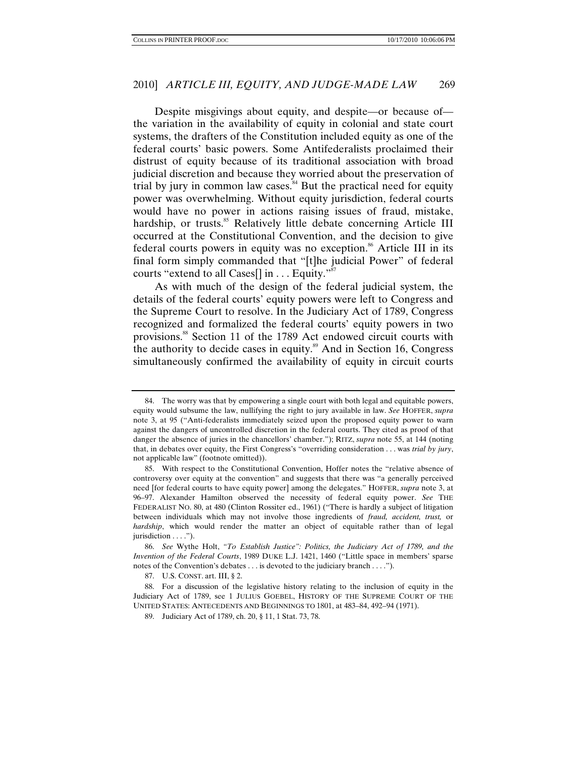Despite misgivings about equity, and despite—or because of the variation in the availability of equity in colonial and state court systems, the drafters of the Constitution included equity as one of the federal courts' basic powers. Some Antifederalists proclaimed their distrust of equity because of its traditional association with broad judicial discretion and because they worried about the preservation of trial by jury in common law cases.<sup>84</sup> But the practical need for equity power was overwhelming. Without equity jurisdiction, federal courts would have no power in actions raising issues of fraud, mistake, hardship, or trusts.<sup>85</sup> Relatively little debate concerning Article III occurred at the Constitutional Convention, and the decision to give federal courts powers in equity was no exception.<sup>86</sup> Article III in its final form simply commanded that "[t]he judicial Power" of federal courts "extend to all Cases $[]$  in  $\ldots$  Equity."

As with much of the design of the federal judicial system, the details of the federal courts' equity powers were left to Congress and the Supreme Court to resolve. In the Judiciary Act of 1789, Congress recognized and formalized the federal courts' equity powers in two provisions.88 Section 11 of the 1789 Act endowed circuit courts with the authority to decide cases in equity.<sup>89</sup> And in Section 16, Congress simultaneously confirmed the availability of equity in circuit courts

 <sup>84.</sup> The worry was that by empowering a single court with both legal and equitable powers, equity would subsume the law, nullifying the right to jury available in law. *See* HOFFER, *supra*  note 3, at 95 ("Anti-federalists immediately seized upon the proposed equity power to warn against the dangers of uncontrolled discretion in the federal courts. They cited as proof of that danger the absence of juries in the chancellors' chamber."); RITZ, *supra* note 55, at 144 (noting that, in debates over equity, the First Congress's "overriding consideration . . . was *trial by jury*, not applicable law" (footnote omitted)).

 <sup>85.</sup> With respect to the Constitutional Convention, Hoffer notes the "relative absence of controversy over equity at the convention" and suggests that there was "a generally perceived need [for federal courts to have equity power] among the delegates." HOFFER, *supra* note 3, at 96–97. Alexander Hamilton observed the necessity of federal equity power. *See* THE FEDERALIST NO. 80, at 480 (Clinton Rossiter ed., 1961) ("There is hardly a subject of litigation between individuals which may not involve those ingredients of *fraud, accident, trust,* or *hardship*, which would render the matter an object of equitable rather than of legal jurisdiction . . . .").

<sup>86.</sup> *See* Wythe Holt, *"To Establish Justice": Politics, the Judiciary Act of 1789, and the Invention of the Federal Courts*, 1989 DUKE L.J. 1421, 1460 ("Little space in members' sparse notes of the Convention's debates . . . is devoted to the judiciary branch . . . .").

 <sup>87.</sup> U.S. CONST. art. III, § 2.

 <sup>88.</sup> For a discussion of the legislative history relating to the inclusion of equity in the Judiciary Act of 1789, see 1 JULIUS GOEBEL, HISTORY OF THE SUPREME COURT OF THE UNITED STATES: ANTECEDENTS AND BEGINNINGS TO 1801, at 483–84, 492–94 (1971).

 <sup>89.</sup> Judiciary Act of 1789, ch. 20, § 11, 1 Stat. 73, 78.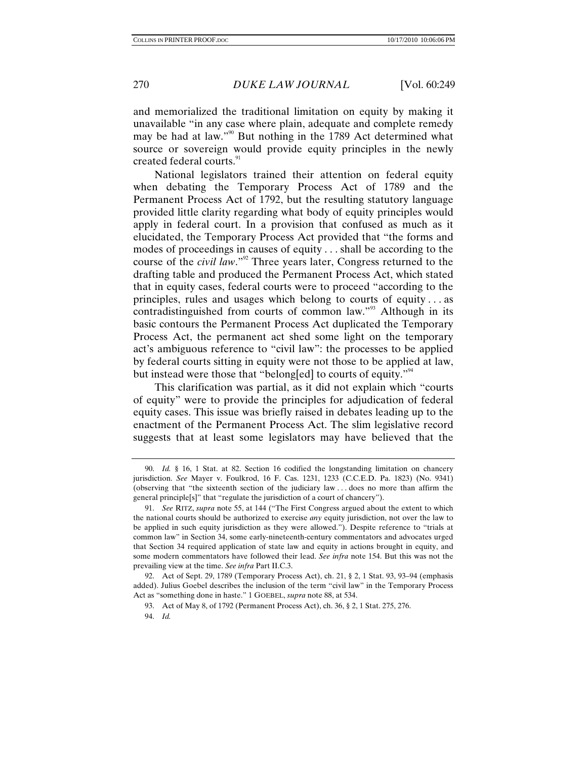and memorialized the traditional limitation on equity by making it unavailable "in any case where plain, adequate and complete remedy may be had at law."<sup>90</sup> But nothing in the 1789 Act determined what source or sovereign would provide equity principles in the newly created federal courts.<sup>91</sup>

National legislators trained their attention on federal equity when debating the Temporary Process Act of 1789 and the Permanent Process Act of 1792, but the resulting statutory language provided little clarity regarding what body of equity principles would apply in federal court. In a provision that confused as much as it elucidated, the Temporary Process Act provided that "the forms and modes of proceedings in causes of equity . . . shall be according to the course of the *civil law*."92 Three years later, Congress returned to the drafting table and produced the Permanent Process Act, which stated that in equity cases, federal courts were to proceed "according to the principles, rules and usages which belong to courts of equity . . . as contradistinguished from courts of common law."<sup>93</sup> Although in its basic contours the Permanent Process Act duplicated the Temporary Process Act, the permanent act shed some light on the temporary act's ambiguous reference to "civil law": the processes to be applied by federal courts sitting in equity were not those to be applied at law, but instead were those that "belong[ed] to courts of equity."<sup>44</sup>

This clarification was partial, as it did not explain which "courts of equity" were to provide the principles for adjudication of federal equity cases. This issue was briefly raised in debates leading up to the enactment of the Permanent Process Act. The slim legislative record suggests that at least some legislators may have believed that the

<sup>90.</sup> *Id.* § 16, 1 Stat. at 82. Section 16 codified the longstanding limitation on chancery jurisdiction. *See* Mayer v. Foulkrod, 16 F. Cas. 1231, 1233 (C.C.E.D. Pa. 1823) (No. 9341) (observing that "the sixteenth section of the judiciary law . . . does no more than affirm the general principle[s]" that "regulate the jurisdiction of a court of chancery").

<sup>91.</sup> *See* RITZ, *supra* note 55, at 144 ("The First Congress argued about the extent to which the national courts should be authorized to exercise *any* equity jurisdiction, not over the law to be applied in such equity jurisdiction as they were allowed."). Despite reference to "trials at common law" in Section 34, some early-nineteenth-century commentators and advocates urged that Section 34 required application of state law and equity in actions brought in equity, and some modern commentators have followed their lead. *See infra* note 154. But this was not the prevailing view at the time. *See infra* Part II.C.3.

 <sup>92.</sup> Act of Sept. 29, 1789 (Temporary Process Act), ch. 21, § 2, 1 Stat. 93, 93–94 (emphasis added). Julius Goebel describes the inclusion of the term "civil law" in the Temporary Process Act as "something done in haste." 1 GOEBEL, *supra* note 88, at 534.

 <sup>93.</sup> Act of May 8, of 1792 (Permanent Process Act), ch. 36, § 2, 1 Stat. 275, 276.

<sup>94.</sup> *Id.*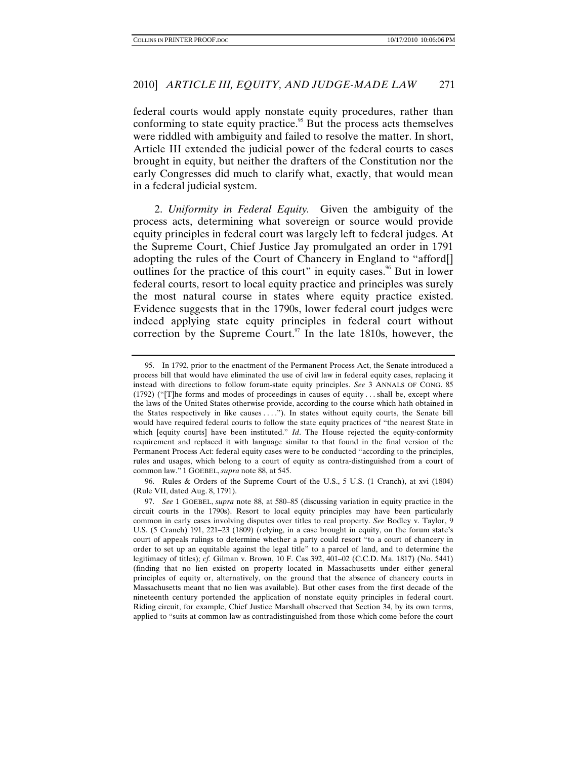federal courts would apply nonstate equity procedures, rather than conforming to state equity practice.<sup>95</sup> But the process acts themselves were riddled with ambiguity and failed to resolve the matter. In short, Article III extended the judicial power of the federal courts to cases brought in equity, but neither the drafters of the Constitution nor the early Congresses did much to clarify what, exactly, that would mean in a federal judicial system.

2. *Uniformity in Federal Equity.* Given the ambiguity of the process acts, determining what sovereign or source would provide equity principles in federal court was largely left to federal judges. At the Supreme Court, Chief Justice Jay promulgated an order in 1791 adopting the rules of the Court of Chancery in England to "afford[] outlines for the practice of this court" in equity cases.<sup>96</sup> But in lower federal courts, resort to local equity practice and principles was surely the most natural course in states where equity practice existed. Evidence suggests that in the 1790s, lower federal court judges were indeed applying state equity principles in federal court without correction by the Supreme Court. $97$  In the late 1810s, however, the

 96. Rules & Orders of the Supreme Court of the U.S., 5 U.S. (1 Cranch), at xvi (1804) (Rule VII, dated Aug. 8, 1791).

 <sup>95.</sup> In 1792, prior to the enactment of the Permanent Process Act, the Senate introduced a process bill that would have eliminated the use of civil law in federal equity cases, replacing it instead with directions to follow forum-state equity principles. *See* 3 ANNALS OF CONG. 85 (1792) ("[T]he forms and modes of proceedings in causes of equity . . . shall be, except where the laws of the United States otherwise provide, according to the course which hath obtained in the States respectively in like causes . . . ."). In states without equity courts, the Senate bill would have required federal courts to follow the state equity practices of "the nearest State in which [equity courts] have been instituted." *Id*. The House rejected the equity-conformity requirement and replaced it with language similar to that found in the final version of the Permanent Process Act: federal equity cases were to be conducted "according to the principles, rules and usages, which belong to a court of equity as contra-distinguished from a court of common law." 1 GOEBEL, *supra* note 88, at 545.

<sup>97.</sup> *See* 1 GOEBEL, *supra* note 88, at 580–85 (discussing variation in equity practice in the circuit courts in the 1790s). Resort to local equity principles may have been particularly common in early cases involving disputes over titles to real property. *See* Bodley v. Taylor, 9 U.S. (5 Cranch) 191, 221–23 (1809) (relying, in a case brought in equity, on the forum state's court of appeals rulings to determine whether a party could resort "to a court of chancery in order to set up an equitable against the legal title" to a parcel of land, and to determine the legitimacy of titles); *cf.* Gilman v. Brown, 10 F. Cas 392, 401–02 (C.C.D. Ma. 1817) (No. 5441) (finding that no lien existed on property located in Massachusetts under either general principles of equity or, alternatively, on the ground that the absence of chancery courts in Massachusetts meant that no lien was available). But other cases from the first decade of the nineteenth century portended the application of nonstate equity principles in federal court. Riding circuit, for example, Chief Justice Marshall observed that Section 34, by its own terms, applied to "suits at common law as contradistinguished from those which come before the court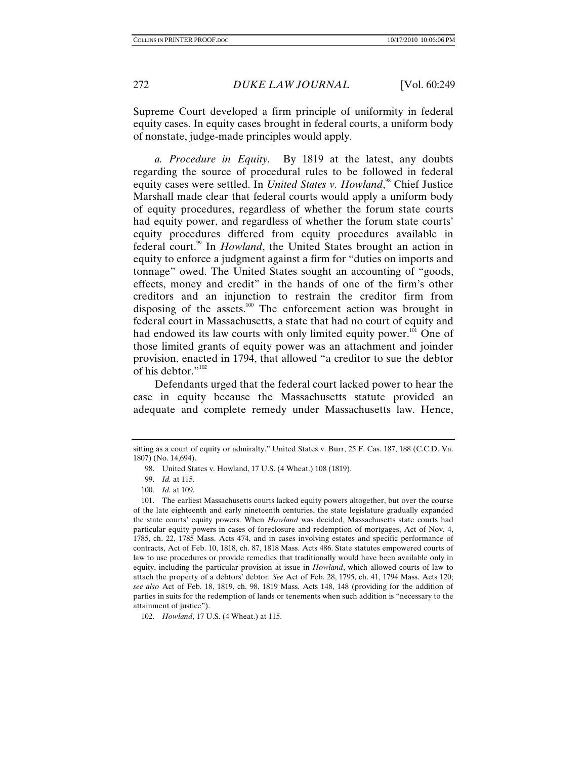Supreme Court developed a firm principle of uniformity in federal equity cases. In equity cases brought in federal courts, a uniform body of nonstate, judge-made principles would apply.

*a. Procedure in Equity.* By 1819 at the latest, any doubts regarding the source of procedural rules to be followed in federal equity cases were settled. In *United States v. Howland*,<sup>98</sup> Chief Justice Marshall made clear that federal courts would apply a uniform body of equity procedures, regardless of whether the forum state courts had equity power, and regardless of whether the forum state courts' equity procedures differed from equity procedures available in federal court.<sup>99</sup> In *Howland*, the United States brought an action in equity to enforce a judgment against a firm for "duties on imports and tonnage" owed. The United States sought an accounting of "goods, effects, money and credit" in the hands of one of the firm's other creditors and an injunction to restrain the creditor firm from disposing of the assets.<sup>100</sup> The enforcement action was brought in federal court in Massachusetts, a state that had no court of equity and had endowed its law courts with only limited equity power. $101$  One of those limited grants of equity power was an attachment and joinder provision, enacted in 1794, that allowed "a creditor to sue the debtor of his debtor."<sup>102</sup>

Defendants urged that the federal court lacked power to hear the case in equity because the Massachusetts statute provided an adequate and complete remedy under Massachusetts law. Hence,

sitting as a court of equity or admiralty." United States v. Burr, 25 F. Cas. 187, 188 (C.C.D. Va. 1807) (No. 14,694).

 <sup>98.</sup> United States v. Howland, 17 U.S. (4 Wheat.) 108 (1819).

<sup>99.</sup> *Id.* at 115.

<sup>100.</sup> *Id.* at 109.

 <sup>101.</sup> The earliest Massachusetts courts lacked equity powers altogether, but over the course of the late eighteenth and early nineteenth centuries, the state legislature gradually expanded the state courts' equity powers. When *Howland* was decided, Massachusetts state courts had particular equity powers in cases of foreclosure and redemption of mortgages, Act of Nov. 4, 1785, ch. 22, 1785 Mass. Acts 474, and in cases involving estates and specific performance of contracts, Act of Feb. 10, 1818, ch. 87, 1818 Mass. Acts 486. State statutes empowered courts of law to use procedures or provide remedies that traditionally would have been available only in equity, including the particular provision at issue in *Howland*, which allowed courts of law to attach the property of a debtors' debtor. *See* Act of Feb. 28, 1795, ch. 41, 1794 Mass. Acts 120; *see also* Act of Feb. 18, 1819, ch. 98, 1819 Mass. Acts 148, 148 (providing for the addition of parties in suits for the redemption of lands or tenements when such addition is "necessary to the attainment of justice").

<sup>102.</sup> *Howland*, 17 U.S. (4 Wheat.) at 115.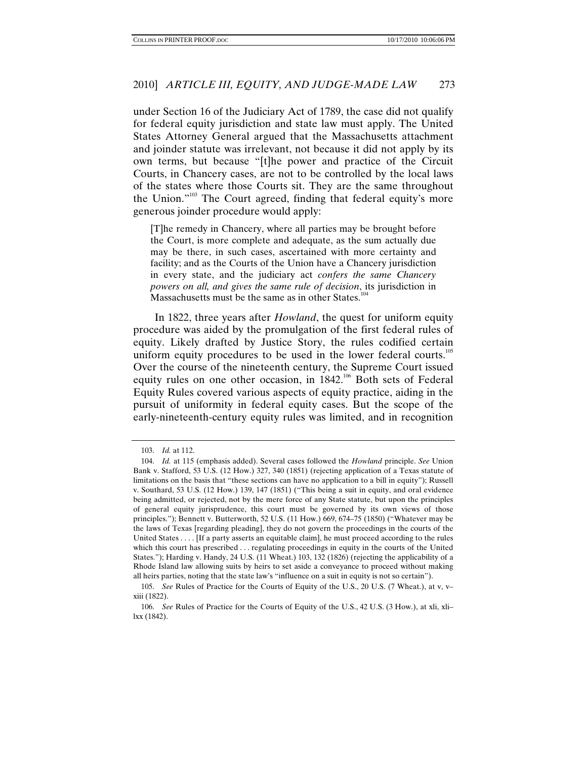under Section 16 of the Judiciary Act of 1789, the case did not qualify for federal equity jurisdiction and state law must apply. The United States Attorney General argued that the Massachusetts attachment and joinder statute was irrelevant, not because it did not apply by its own terms, but because "[t]he power and practice of the Circuit Courts, in Chancery cases, are not to be controlled by the local laws of the states where those Courts sit. They are the same throughout the Union."<sup>103</sup> The Court agreed, finding that federal equity's more generous joinder procedure would apply:

[T]he remedy in Chancery, where all parties may be brought before the Court, is more complete and adequate, as the sum actually due may be there, in such cases, ascertained with more certainty and facility; and as the Courts of the Union have a Chancery jurisdiction in every state, and the judiciary act *confers the same Chancery powers on all, and gives the same rule of decision*, its jurisdiction in Massachusetts must be the same as in other States.<sup>104</sup>

In 1822, three years after *Howland*, the quest for uniform equity procedure was aided by the promulgation of the first federal rules of equity. Likely drafted by Justice Story, the rules codified certain uniform equity procedures to be used in the lower federal courts.<sup>105</sup> Over the course of the nineteenth century, the Supreme Court issued equity rules on one other occasion, in 1842.<sup>106</sup> Both sets of Federal Equity Rules covered various aspects of equity practice, aiding in the pursuit of uniformity in federal equity cases. But the scope of the early-nineteenth-century equity rules was limited, and in recognition

<sup>103.</sup> *Id.* at 112.

<sup>104.</sup> *Id.* at 115 (emphasis added). Several cases followed the *Howland* principle. *See* Union Bank v. Stafford, 53 U.S. (12 How.) 327, 340 (1851) (rejecting application of a Texas statute of limitations on the basis that "these sections can have no application to a bill in equity"); Russell v. Southard, 53 U.S. (12 How.) 139, 147 (1851) ("This being a suit in equity, and oral evidence being admitted, or rejected, not by the mere force of any State statute, but upon the principles of general equity jurisprudence, this court must be governed by its own views of those principles."); Bennett v. Butterworth, 52 U.S. (11 How.) 669, 674–75 (1850) ("Whatever may be the laws of Texas [regarding pleading], they do not govern the proceedings in the courts of the United States . . . . [If a party asserts an equitable claim], he must proceed according to the rules which this court has prescribed . . . regulating proceedings in equity in the courts of the United States."); Harding v. Handy, 24 U.S. (11 Wheat.) 103, 132 (1826) (rejecting the applicability of a Rhode Island law allowing suits by heirs to set aside a conveyance to proceed without making all heirs parties, noting that the state law's "influence on a suit in equity is not so certain").

<sup>105.</sup> *See* Rules of Practice for the Courts of Equity of the U.S., 20 U.S. (7 Wheat.), at v, v– xiii (1822).

<sup>106.</sup> *See* Rules of Practice for the Courts of Equity of the U.S., 42 U.S. (3 How.), at xli, xli– lxx (1842).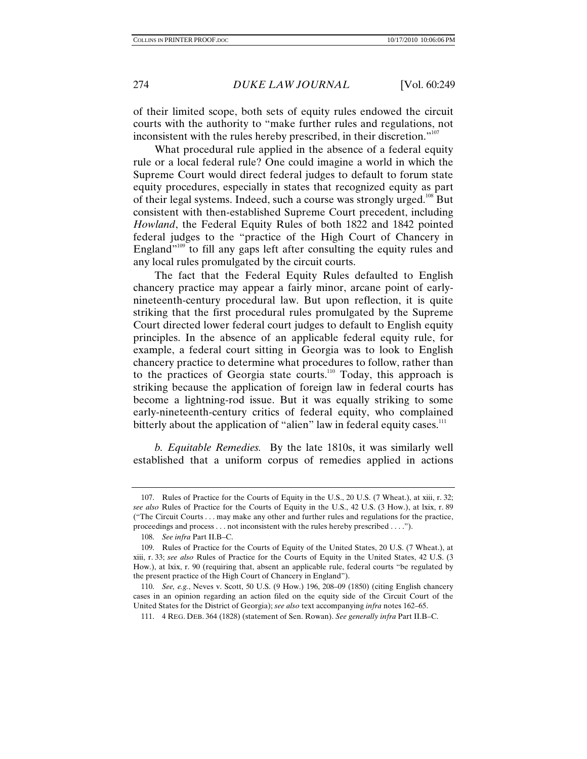of their limited scope, both sets of equity rules endowed the circuit courts with the authority to "make further rules and regulations, not inconsistent with the rules hereby prescribed, in their discretion."<sup>107</sup>

What procedural rule applied in the absence of a federal equity rule or a local federal rule? One could imagine a world in which the Supreme Court would direct federal judges to default to forum state equity procedures, especially in states that recognized equity as part of their legal systems. Indeed, such a course was strongly urged.<sup>108</sup> But consistent with then-established Supreme Court precedent, including *Howland*, the Federal Equity Rules of both 1822 and 1842 pointed federal judges to the "practice of the High Court of Chancery in England<sup> $109$ </sup> to fill any gaps left after consulting the equity rules and any local rules promulgated by the circuit courts.

The fact that the Federal Equity Rules defaulted to English chancery practice may appear a fairly minor, arcane point of earlynineteenth-century procedural law. But upon reflection, it is quite striking that the first procedural rules promulgated by the Supreme Court directed lower federal court judges to default to English equity principles. In the absence of an applicable federal equity rule, for example, a federal court sitting in Georgia was to look to English chancery practice to determine what procedures to follow, rather than to the practices of Georgia state courts.<sup>110</sup> Today, this approach is striking because the application of foreign law in federal courts has become a lightning-rod issue. But it was equally striking to some early-nineteenth-century critics of federal equity, who complained bitterly about the application of "alien" law in federal equity cases. $11$ 

*b. Equitable Remedies.* By the late 1810s, it was similarly well established that a uniform corpus of remedies applied in actions

 <sup>107.</sup> Rules of Practice for the Courts of Equity in the U.S., 20 U.S. (7 Wheat.), at xiii, r. 32; *see also* Rules of Practice for the Courts of Equity in the U.S., 42 U.S. (3 How.), at lxix, r. 89 ("The Circuit Courts . . . may make any other and further rules and regulations for the practice, proceedings and process . . . not inconsistent with the rules hereby prescribed . . . .").

<sup>108.</sup> *See infra* Part II.B–C.

 <sup>109.</sup> Rules of Practice for the Courts of Equity of the United States, 20 U.S. (7 Wheat.), at xiii, r. 33; *see also* Rules of Practice for the Courts of Equity in the United States, 42 U.S. (3 How.), at lxix, r. 90 (requiring that, absent an applicable rule, federal courts "be regulated by the present practice of the High Court of Chancery in England").

<sup>110.</sup> *See, e.g.*, Neves v. Scott, 50 U.S. (9 How.) 196, 208–09 (1850) (citing English chancery cases in an opinion regarding an action filed on the equity side of the Circuit Court of the United States for the District of Georgia); *see also* text accompanying *infra* notes 162–65.

 <sup>111. 4</sup> REG. DEB. 364 (1828) (statement of Sen. Rowan). *See generally infra* Part II.B–C.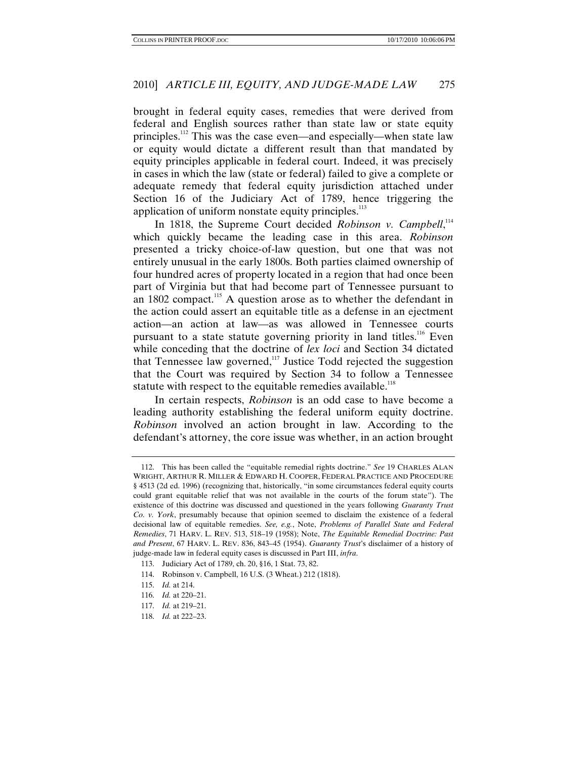brought in federal equity cases, remedies that were derived from federal and English sources rather than state law or state equity principles.112 This was the case even—and especially—when state law or equity would dictate a different result than that mandated by equity principles applicable in federal court. Indeed, it was precisely in cases in which the law (state or federal) failed to give a complete or adequate remedy that federal equity jurisdiction attached under Section 16 of the Judiciary Act of 1789, hence triggering the application of uniform nonstate equity principles.<sup>113</sup>

In 1818, the Supreme Court decided *Robinson v. Campbell*,<sup>114</sup> which quickly became the leading case in this area. *Robinson*  presented a tricky choice-of-law question, but one that was not entirely unusual in the early 1800s. Both parties claimed ownership of four hundred acres of property located in a region that had once been part of Virginia but that had become part of Tennessee pursuant to an 1802 compact.<sup>115</sup> A question arose as to whether the defendant in the action could assert an equitable title as a defense in an ejectment action—an action at law—as was allowed in Tennessee courts pursuant to a state statute governing priority in land titles.<sup>116</sup> Even while conceding that the doctrine of *lex loci* and Section 34 dictated that Tennessee law governed, $117$  Justice Todd rejected the suggestion that the Court was required by Section 34 to follow a Tennessee statute with respect to the equitable remedies available.<sup>118</sup>

In certain respects, *Robinson* is an odd case to have become a leading authority establishing the federal uniform equity doctrine. *Robinson* involved an action brought in law. According to the defendant's attorney, the core issue was whether, in an action brought

 <sup>112.</sup> This has been called the "equitable remedial rights doctrine." *See* 19 CHARLES ALAN WRIGHT, ARTHUR R. MILLER & EDWARD H. COOPER, FEDERAL PRACTICE AND PROCEDURE § 4513 (2d ed. 1996) (recognizing that, historically, "in some circumstances federal equity courts could grant equitable relief that was not available in the courts of the forum state"). The existence of this doctrine was discussed and questioned in the years following *Guaranty Trust Co. v. York*, presumably because that opinion seemed to disclaim the existence of a federal decisional law of equitable remedies. *See, e.g.*, Note, *Problems of Parallel State and Federal Remedies*, 71 HARV. L. REV. 513, 518–19 (1958); Note, *The Equitable Remedial Doctrine: Past and Present*, 67 HARV. L. REV. 836, 843–45 (1954). *Guaranty Trust*'s disclaimer of a history of judge-made law in federal equity cases is discussed in Part III, *infra*.

 <sup>113.</sup> Judiciary Act of 1789, ch. 20, §16, 1 Stat. 73, 82.

 <sup>114.</sup> Robinson v. Campbell, 16 U.S. (3 Wheat.) 212 (1818).

<sup>115.</sup> *Id.* at 214.

<sup>116.</sup> *Id.* at 220–21.

<sup>117.</sup> *Id.* at 219–21.

<sup>118.</sup> *Id.* at 222–23.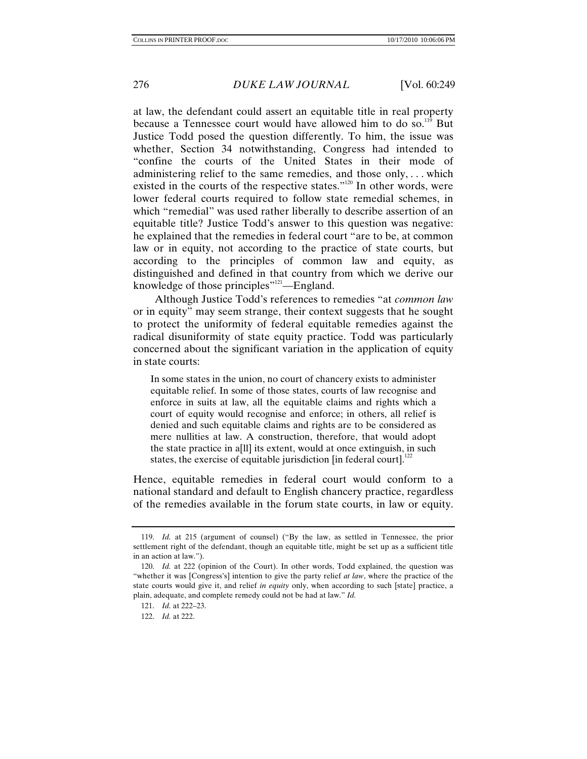at law, the defendant could assert an equitable title in real property because a Tennessee court would have allowed him to do so.<sup>119</sup> But Justice Todd posed the question differently. To him, the issue was whether, Section 34 notwithstanding, Congress had intended to "confine the courts of the United States in their mode of administering relief to the same remedies, and those only, . . . which existed in the courts of the respective states."<sup>120</sup> In other words, were lower federal courts required to follow state remedial schemes, in which "remedial" was used rather liberally to describe assertion of an equitable title? Justice Todd's answer to this question was negative: he explained that the remedies in federal court "are to be, at common law or in equity, not according to the practice of state courts, but according to the principles of common law and equity, as distinguished and defined in that country from which we derive our knowledge of those principles"<sup>121</sup>—England.

Although Justice Todd's references to remedies "at *common law* or in equity" may seem strange, their context suggests that he sought to protect the uniformity of federal equitable remedies against the radical disuniformity of state equity practice. Todd was particularly concerned about the significant variation in the application of equity in state courts:

In some states in the union, no court of chancery exists to administer equitable relief. In some of those states, courts of law recognise and enforce in suits at law, all the equitable claims and rights which a court of equity would recognise and enforce; in others, all relief is denied and such equitable claims and rights are to be considered as mere nullities at law. A construction, therefore, that would adopt the state practice in a[ll] its extent, would at once extinguish, in such states, the exercise of equitable jurisdiction  $\left[\text{in federal court}\right]$ .<sup>122</sup>

Hence, equitable remedies in federal court would conform to a national standard and default to English chancery practice, regardless of the remedies available in the forum state courts, in law or equity.

<sup>119.</sup> *Id.* at 215 (argument of counsel) ("By the law, as settled in Tennessee, the prior settlement right of the defendant, though an equitable title, might be set up as a sufficient title in an action at law.").

<sup>120.</sup> *Id.* at 222 (opinion of the Court). In other words, Todd explained, the question was "whether it was [Congress's] intention to give the party relief *at law*, where the practice of the state courts would give it, and relief *in equity* only, when according to such [state] practice, a plain, adequate, and complete remedy could not be had at law." *Id.*

<sup>121.</sup> *Id.* at 222–23.

<sup>122.</sup> *Id.* at 222.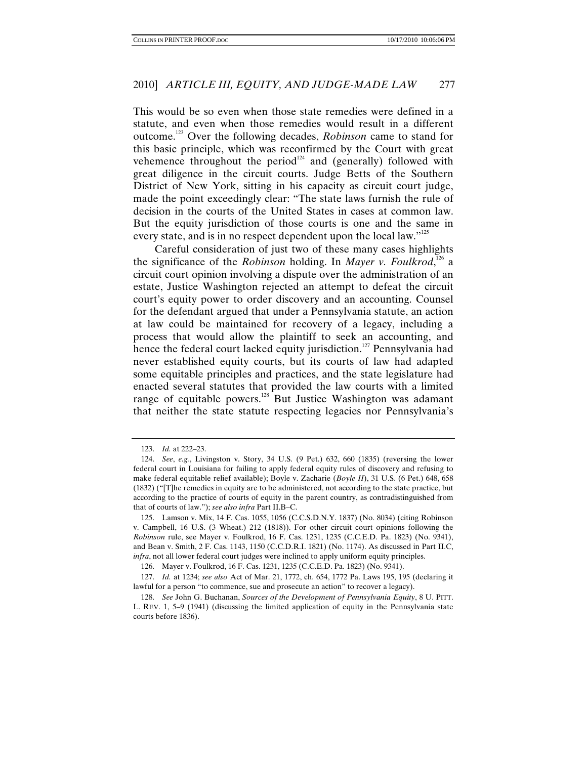This would be so even when those state remedies were defined in a statute, and even when those remedies would result in a different outcome.123 Over the following decades, *Robinson* came to stand for this basic principle, which was reconfirmed by the Court with great vehemence throughout the period<sup>124</sup> and (generally) followed with great diligence in the circuit courts. Judge Betts of the Southern District of New York, sitting in his capacity as circuit court judge, made the point exceedingly clear: "The state laws furnish the rule of decision in the courts of the United States in cases at common law. But the equity jurisdiction of those courts is one and the same in every state, and is in no respect dependent upon the local law."<sup>125</sup>

Careful consideration of just two of these many cases highlights the significance of the *Robinson* holding. In *Mayer v. Foulkrod*, 126 a circuit court opinion involving a dispute over the administration of an estate, Justice Washington rejected an attempt to defeat the circuit court's equity power to order discovery and an accounting. Counsel for the defendant argued that under a Pennsylvania statute, an action at law could be maintained for recovery of a legacy, including a process that would allow the plaintiff to seek an accounting, and hence the federal court lacked equity jurisdiction.<sup>127</sup> Pennsylvania had never established equity courts, but its courts of law had adapted some equitable principles and practices, and the state legislature had enacted several statutes that provided the law courts with a limited range of equitable powers. $128$  But Justice Washington was adamant that neither the state statute respecting legacies nor Pennsylvania's

<sup>123.</sup> *Id.* at 222–23.

<sup>124.</sup> *See*, *e.g.*, Livingston v. Story, 34 U.S. (9 Pet.) 632, 660 (1835) (reversing the lower federal court in Louisiana for failing to apply federal equity rules of discovery and refusing to make federal equitable relief available); Boyle v. Zacharie (*Boyle II*), 31 U.S. (6 Pet.) 648, 658 (1832) ("[T]he remedies in equity are to be administered, not according to the state practice, but according to the practice of courts of equity in the parent country, as contradistinguished from that of courts of law."); *see also infra* Part II.B–C.

 <sup>125.</sup> Lamson v. Mix, 14 F. Cas. 1055, 1056 (C.C.S.D.N.Y. 1837) (No. 8034) (citing Robinson v. Campbell, 16 U.S. (3 Wheat.) 212 (1818)). For other circuit court opinions following the *Robinson* rule, see Mayer v. Foulkrod, 16 F. Cas. 1231, 1235 (C.C.E.D. Pa. 1823) (No. 9341), and Bean v. Smith, 2 F. Cas. 1143, 1150 (C.C.D.R.I. 1821) (No. 1174). As discussed in Part II.C, *infra*, not all lower federal court judges were inclined to apply uniform equity principles.

<sup>126.</sup> Mayer v. Foulkrod, 16 F. Cas. 1231, 1235 (C.C.E.D. Pa. 1823) (No. 9341).

<sup>127.</sup> *Id.* at 1234; *see also* Act of Mar. 21, 1772, ch. 654, 1772 Pa. Laws 195, 195 (declaring it lawful for a person "to commence, sue and prosecute an action" to recover a legacy).

<sup>128.</sup> *See* John G. Buchanan, *Sources of the Development of Pennsylvania Equity*, 8 U. PITT. L. REV. 1, 5–9 (1941) (discussing the limited application of equity in the Pennsylvania state courts before 1836).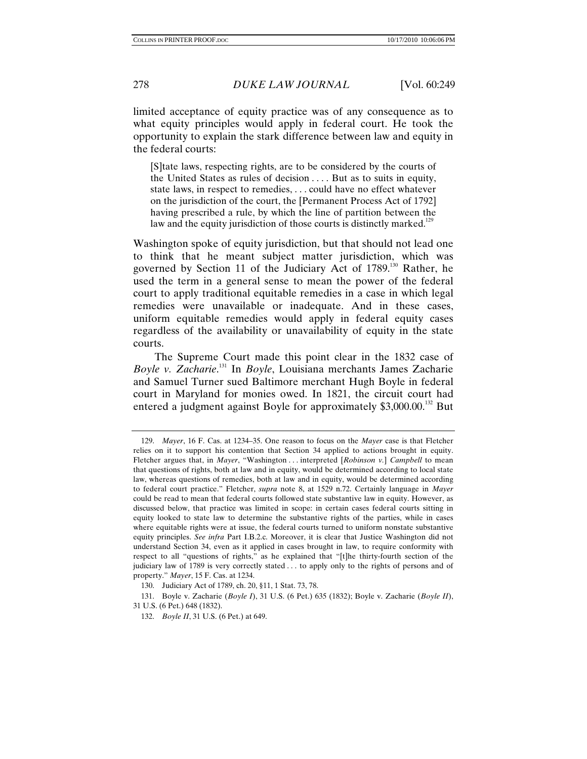limited acceptance of equity practice was of any consequence as to what equity principles would apply in federal court. He took the opportunity to explain the stark difference between law and equity in the federal courts:

[S]tate laws, respecting rights, are to be considered by the courts of the United States as rules of decision . . . . But as to suits in equity, state laws, in respect to remedies, . . . could have no effect whatever on the jurisdiction of the court, the [Permanent Process Act of 1792] having prescribed a rule, by which the line of partition between the law and the equity jurisdiction of those courts is distinctly marked.<sup>129</sup>

Washington spoke of equity jurisdiction, but that should not lead one to think that he meant subject matter jurisdiction, which was governed by Section 11 of the Judiciary Act of 1789.<sup>130</sup> Rather, he used the term in a general sense to mean the power of the federal court to apply traditional equitable remedies in a case in which legal remedies were unavailable or inadequate. And in these cases, uniform equitable remedies would apply in federal equity cases regardless of the availability or unavailability of equity in the state courts.

The Supreme Court made this point clear in the 1832 case of *Boyle v. Zacharie*. 131 In *Boyle*, Louisiana merchants James Zacharie and Samuel Turner sued Baltimore merchant Hugh Boyle in federal court in Maryland for monies owed. In 1821, the circuit court had entered a judgment against Boyle for approximately \$3,000.00.<sup>132</sup> But

<sup>129.</sup> *Mayer*, 16 F. Cas. at 1234–35. One reason to focus on the *Mayer* case is that Fletcher relies on it to support his contention that Section 34 applied to actions brought in equity. Fletcher argues that, in *Mayer*, "Washington . . . interpreted [*Robinson v.*] *Campbell* to mean that questions of rights, both at law and in equity, would be determined according to local state law, whereas questions of remedies, both at law and in equity, would be determined according to federal court practice." Fletcher, *supra* note 8, at 1529 n.72. Certainly language in *Mayer*  could be read to mean that federal courts followed state substantive law in equity. However, as discussed below, that practice was limited in scope: in certain cases federal courts sitting in equity looked to state law to determine the substantive rights of the parties, while in cases where equitable rights were at issue, the federal courts turned to uniform nonstate substantive equity principles. *See infra* Part I.B.2.c. Moreover, it is clear that Justice Washington did not understand Section 34, even as it applied in cases brought in law, to require conformity with respect to all "questions of rights," as he explained that "[t]he thirty-fourth section of the judiciary law of 1789 is very correctly stated . . . to apply only to the rights of persons and of property." *Mayer*, 15 F. Cas. at 1234.

 <sup>130.</sup> Judiciary Act of 1789, ch. 20, §11, 1 Stat. 73, 78.

 <sup>131.</sup> Boyle v. Zacharie (*Boyle I*), 31 U.S. (6 Pet.) 635 (1832); Boyle v. Zacharie (*Boyle II*), 31 U.S. (6 Pet.) 648 (1832).

<sup>132.</sup> *Boyle II*, 31 U.S. (6 Pet.) at 649.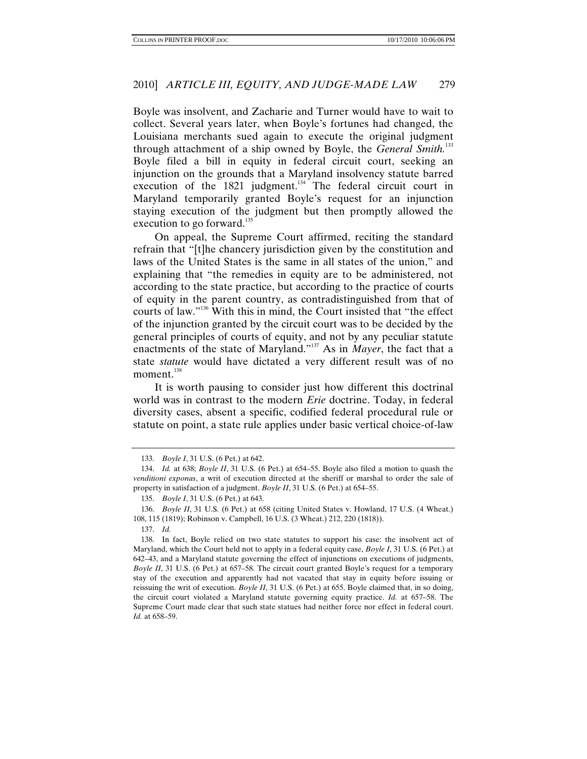Boyle was insolvent, and Zacharie and Turner would have to wait to collect. Several years later, when Boyle's fortunes had changed, the Louisiana merchants sued again to execute the original judgment through attachment of a ship owned by Boyle, the *General Smith*.<sup>133</sup> Boyle filed a bill in equity in federal circuit court, seeking an injunction on the grounds that a Maryland insolvency statute barred execution of the  $1821$  judgment.<sup>134</sup> The federal circuit court in Maryland temporarily granted Boyle's request for an injunction staying execution of the judgment but then promptly allowed the execution to go forward.<sup>135</sup>

On appeal, the Supreme Court affirmed, reciting the standard refrain that "[t]he chancery jurisdiction given by the constitution and laws of the United States is the same in all states of the union," and explaining that "the remedies in equity are to be administered, not according to the state practice, but according to the practice of courts of equity in the parent country, as contradistinguished from that of courts of law."136 With this in mind, the Court insisted that "the effect of the injunction granted by the circuit court was to be decided by the general principles of courts of equity, and not by any peculiar statute enactments of the state of Maryland."137 As in *Mayer*, the fact that a state *statute* would have dictated a very different result was of no moment.<sup>138</sup>

It is worth pausing to consider just how different this doctrinal world was in contrast to the modern *Erie* doctrine. Today, in federal diversity cases, absent a specific, codified federal procedural rule or statute on point, a state rule applies under basic vertical choice-of-law

<sup>133.</sup> *Boyle I*, 31 U.S. (6 Pet.) at 642.

<sup>134.</sup> *Id.* at 638; *Boyle II*, 31 U.S. (6 Pet.) at 654–55. Boyle also filed a motion to quash the *venditioni exponas*, a writ of execution directed at the sheriff or marshal to order the sale of property in satisfaction of a judgment. *Boyle II*, 31 U.S. (6 Pet.) at 654–55.

<sup>135.</sup> *Boyle I*, 31 U.S. (6 Pet.) at 643.

<sup>136.</sup> *Boyle II*, 31 U.S*.* (6 Pet.) at 658 (citing United States v. Howland, 17 U.S. (4 Wheat.) 108, 115 (1819); Robinson v. Campbell, 16 U.S. (3 Wheat.) 212, 220 (1818)).

<sup>137.</sup> *Id.*

 <sup>138.</sup> In fact, Boyle relied on two state statutes to support his case: the insolvent act of Maryland, which the Court held not to apply in a federal equity case, *Boyle I*, 31 U.S. (6 Pet.) at 642–43, and a Maryland statute governing the effect of injunctions on executions of judgments, *Boyle II*, 31 U.S. (6 Pet.) at 657–58. The circuit court granted Boyle's request for a temporary stay of the execution and apparently had not vacated that stay in equity before issuing or reissuing the writ of execution. *Boyle II*, 31 U.S. (6 Pet.) at 655. Boyle claimed that, in so doing, the circuit court violated a Maryland statute governing equity practice. *Id.* at 657–58. The Supreme Court made clear that such state statues had neither force nor effect in federal court. *Id.* at 658–59.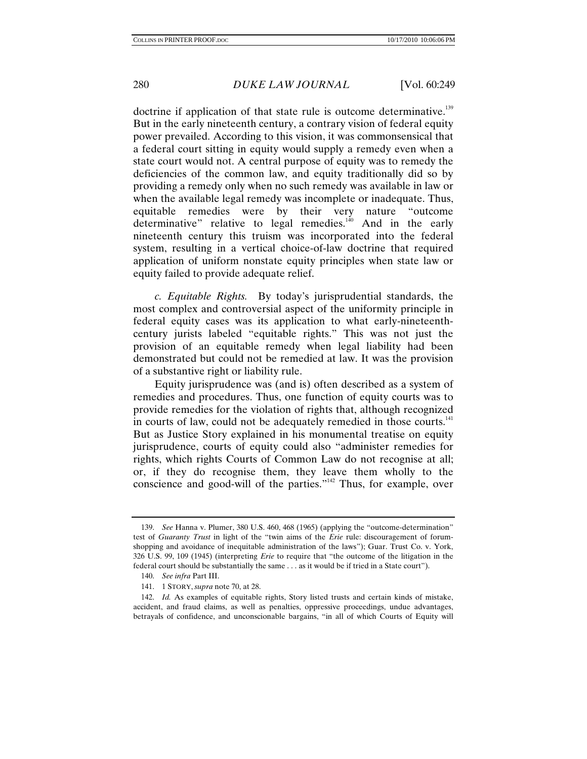doctrine if application of that state rule is outcome determinative.<sup>139</sup> But in the early nineteenth century, a contrary vision of federal equity power prevailed. According to this vision, it was commonsensical that a federal court sitting in equity would supply a remedy even when a state court would not. A central purpose of equity was to remedy the deficiencies of the common law, and equity traditionally did so by providing a remedy only when no such remedy was available in law or when the available legal remedy was incomplete or inadequate. Thus, equitable remedies were by their very nature "outcome determinative" relative to legal remedies.<sup> $140$ </sup> And in the early nineteenth century this truism was incorporated into the federal system, resulting in a vertical choice-of-law doctrine that required application of uniform nonstate equity principles when state law or equity failed to provide adequate relief.

*c. Equitable Rights.* By today's jurisprudential standards, the most complex and controversial aspect of the uniformity principle in federal equity cases was its application to what early-nineteenthcentury jurists labeled "equitable rights." This was not just the provision of an equitable remedy when legal liability had been demonstrated but could not be remedied at law. It was the provision of a substantive right or liability rule.

Equity jurisprudence was (and is) often described as a system of remedies and procedures. Thus, one function of equity courts was to provide remedies for the violation of rights that, although recognized in courts of law, could not be adequately remedied in those courts.<sup>141</sup> But as Justice Story explained in his monumental treatise on equity jurisprudence, courts of equity could also "administer remedies for rights, which rights Courts of Common Law do not recognise at all; or, if they do recognise them, they leave them wholly to the conscience and good-will of the parties."<sup>142</sup> Thus, for example, over

<sup>139.</sup> *See* Hanna v. Plumer, 380 U.S. 460, 468 (1965) (applying the "outcome-determination" test of *Guaranty Trust* in light of the "twin aims of the *Erie* rule: discouragement of forumshopping and avoidance of inequitable administration of the laws"); Guar. Trust Co. v. York, 326 U.S. 99, 109 (1945) (interpreting *Erie* to require that "the outcome of the litigation in the federal court should be substantially the same . . . as it would be if tried in a State court").

<sup>140.</sup> *See infra* Part III.

 <sup>141. 1</sup> STORY, *supra* note 70, at 28.

<sup>142.</sup> *Id.* As examples of equitable rights, Story listed trusts and certain kinds of mistake, accident, and fraud claims, as well as penalties, oppressive proceedings, undue advantages, betrayals of confidence, and unconscionable bargains, "in all of which Courts of Equity will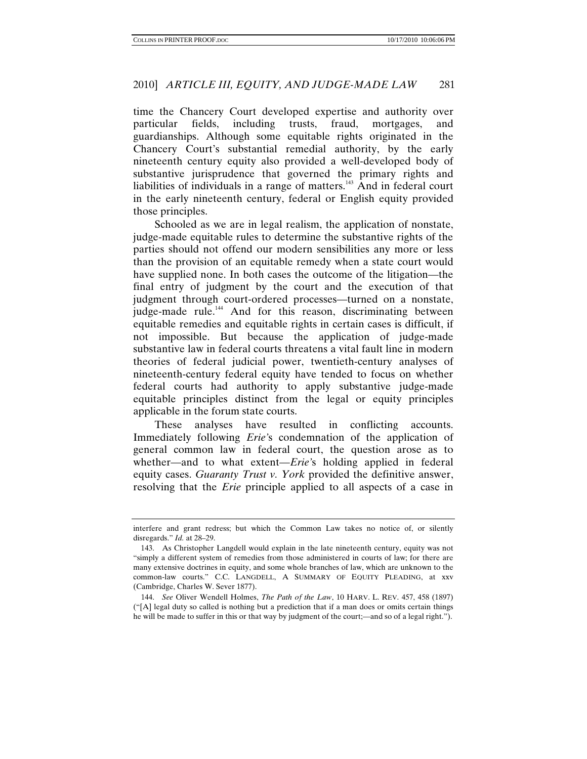time the Chancery Court developed expertise and authority over particular fields, including trusts, fraud, mortgages, and guardianships. Although some equitable rights originated in the Chancery Court's substantial remedial authority, by the early nineteenth century equity also provided a well-developed body of substantive jurisprudence that governed the primary rights and liabilities of individuals in a range of matters.<sup>143</sup> And in federal court in the early nineteenth century, federal or English equity provided those principles.

Schooled as we are in legal realism, the application of nonstate, judge-made equitable rules to determine the substantive rights of the parties should not offend our modern sensibilities any more or less than the provision of an equitable remedy when a state court would have supplied none. In both cases the outcome of the litigation—the final entry of judgment by the court and the execution of that judgment through court-ordered processes—turned on a nonstate, judge-made rule.<sup>144</sup> And for this reason, discriminating between equitable remedies and equitable rights in certain cases is difficult, if not impossible. But because the application of judge-made substantive law in federal courts threatens a vital fault line in modern theories of federal judicial power, twentieth-century analyses of nineteenth-century federal equity have tended to focus on whether federal courts had authority to apply substantive judge-made equitable principles distinct from the legal or equity principles applicable in the forum state courts.

These analyses have resulted in conflicting accounts. Immediately following *Erie'*s condemnation of the application of general common law in federal court, the question arose as to whether—and to what extent—*Erie'*s holding applied in federal equity cases. *Guaranty Trust v. York* provided the definitive answer, resolving that the *Erie* principle applied to all aspects of a case in

interfere and grant redress; but which the Common Law takes no notice of, or silently disregards." *Id.* at 28–29.

 <sup>143.</sup> As Christopher Langdell would explain in the late nineteenth century, equity was not "simply a different system of remedies from those administered in courts of law; for there are many extensive doctrines in equity, and some whole branches of law, which are unknown to the common-law courts." C.C. LANGDELL, A SUMMARY OF EQUITY PLEADING, at xxv (Cambridge, Charles W. Sever 1877).

<sup>144.</sup> *See* Oliver Wendell Holmes, *The Path of the Law*, 10 HARV. L. REV. 457, 458 (1897) ("[A] legal duty so called is nothing but a prediction that if a man does or omits certain things he will be made to suffer in this or that way by judgment of the court;—and so of a legal right.").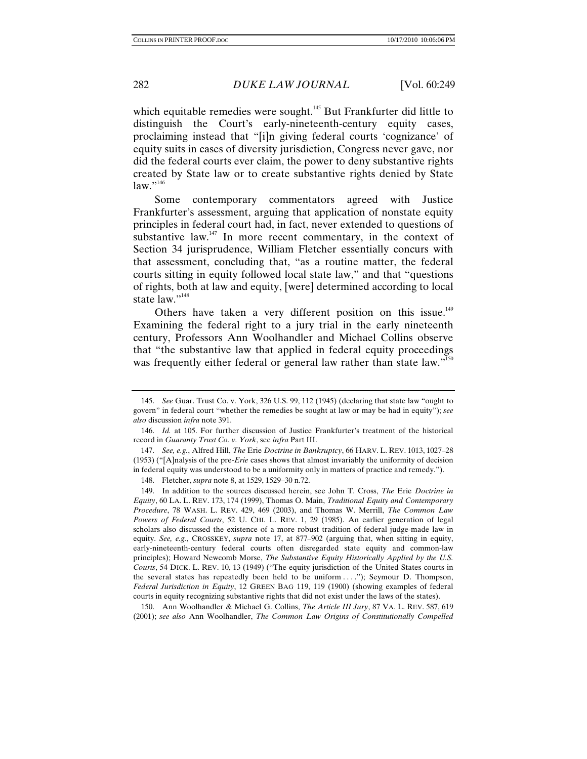which equitable remedies were sought.<sup>145</sup> But Frankfurter did little to distinguish the Court's early-nineteenth-century equity cases, proclaiming instead that "[i]n giving federal courts 'cognizance' of equity suits in cases of diversity jurisdiction, Congress never gave, nor did the federal courts ever claim, the power to deny substantive rights created by State law or to create substantive rights denied by State  $law.$ <sup>"146</sup>

Some contemporary commentators agreed with Justice Frankfurter's assessment, arguing that application of nonstate equity principles in federal court had, in fact, never extended to questions of substantive law.<sup>147</sup> In more recent commentary, in the context of Section 34 jurisprudence, William Fletcher essentially concurs with that assessment, concluding that, "as a routine matter, the federal courts sitting in equity followed local state law," and that "questions of rights, both at law and equity, [were] determined according to local state law."<sup>148</sup>

Others have taken a very different position on this issue.<sup>149</sup> Examining the federal right to a jury trial in the early nineteenth century, Professors Ann Woolhandler and Michael Collins observe that "the substantive law that applied in federal equity proceedings was frequently either federal or general law rather than state law."<sup>150</sup>

 150. Ann Woolhandler & Michael G. Collins, *The Article III Jury*, 87 VA. L. REV. 587, 619 (2001); *see also* Ann Woolhandler, *The Common Law Origins of Constitutionally Compelled* 

<sup>145.</sup> *See* Guar. Trust Co. v. York, 326 U.S. 99, 112 (1945) (declaring that state law "ought to govern" in federal court "whether the remedies be sought at law or may be had in equity"); *see also* discussion *infra* note 391.

<sup>146.</sup> *Id.* at 105. For further discussion of Justice Frankfurter's treatment of the historical record in *Guaranty Trust Co. v. York*, see *infra* Part III.

<sup>147.</sup> *See, e.g.*, Alfred Hill, *The* Erie *Doctrine in Bankruptcy*, 66 HARV. L. REV. 1013, 1027–28 (1953) ("[A]nalysis of the pre-*Erie* cases shows that almost invariably the uniformity of decision in federal equity was understood to be a uniformity only in matters of practice and remedy.").

 <sup>148.</sup> Fletcher, *supra* note 8, at 1529, 1529–30 n.72.

 <sup>149.</sup> In addition to the sources discussed herein, see John T. Cross, *The* Erie *Doctrine in Equity*, 60 LA. L. REV. 173, 174 (1999), Thomas O. Main, *Traditional Equity and Contemporary Procedure*, 78 WASH. L. REV. 429, 469 (2003), and Thomas W. Merrill, *The Common Law Powers of Federal Courts*, 52 U. CHI. L. REV. 1, 29 (1985). An earlier generation of legal scholars also discussed the existence of a more robust tradition of federal judge-made law in equity. *See, e.g.*, CROSSKEY, *supra* note 17, at 877–902 (arguing that, when sitting in equity, early-nineteenth-century federal courts often disregarded state equity and common-law principles); Howard Newcomb Morse, *The Substantive Equity Historically Applied by the U.S. Courts*, 54 DICK. L. REV. 10, 13 (1949) ("The equity jurisdiction of the United States courts in the several states has repeatedly been held to be uniform . . . ."); Seymour D. Thompson, *Federal Jurisdiction in Equity*, 12 GREEN BAG 119, 119 (1900) (showing examples of federal courts in equity recognizing substantive rights that did not exist under the laws of the states).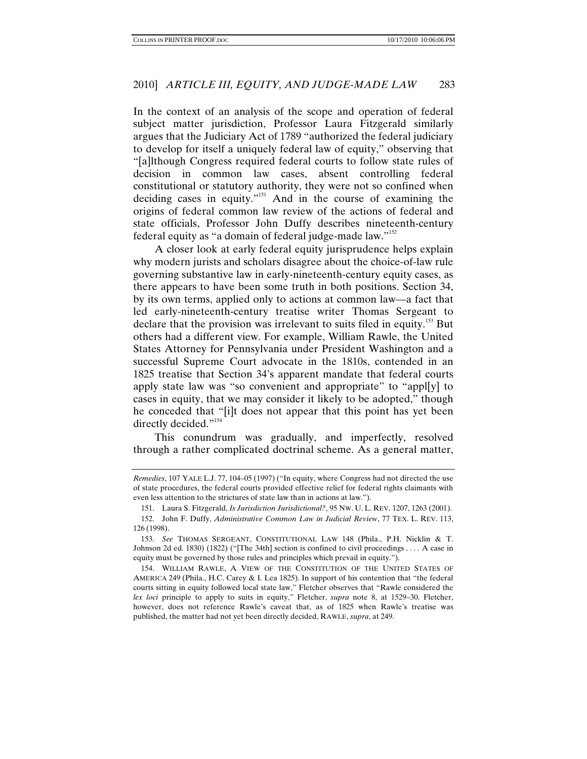In the context of an analysis of the scope and operation of federal subject matter jurisdiction, Professor Laura Fitzgerald similarly argues that the Judiciary Act of 1789 "authorized the federal judiciary to develop for itself a uniquely federal law of equity," observing that "[a]lthough Congress required federal courts to follow state rules of decision in common law cases, absent controlling federal constitutional or statutory authority, they were not so confined when deciding cases in equity."151 And in the course of examining the origins of federal common law review of the actions of federal and state officials, Professor John Duffy describes nineteenth-century federal equity as "a domain of federal judge-made law."152

A closer look at early federal equity jurisprudence helps explain why modern jurists and scholars disagree about the choice-of-law rule governing substantive law in early-nineteenth-century equity cases, as there appears to have been some truth in both positions. Section 34, by its own terms, applied only to actions at common law—a fact that led early-nineteenth-century treatise writer Thomas Sergeant to declare that the provision was irrelevant to suits filed in equity.153 But others had a different view. For example, William Rawle, the United States Attorney for Pennsylvania under President Washington and a successful Supreme Court advocate in the 1810s, contended in an 1825 treatise that Section 34's apparent mandate that federal courts apply state law was "so convenient and appropriate" to "appl[y] to cases in equity, that we may consider it likely to be adopted," though he conceded that "[i]t does not appear that this point has yet been directly decided."<sup>154</sup>

This conundrum was gradually, and imperfectly, resolved through a rather complicated doctrinal scheme. As a general matter,

*Remedies*, 107 YALE L.J. 77, 104–05 (1997) ("In equity, where Congress had not directed the use of state procedures, the federal courts provided effective relief for federal rights claimants with even less attention to the strictures of state law than in actions at law.").

 <sup>151.</sup> Laura S. Fitzgerald, *Is Jurisdiction Jurisdictional?*, 95 NW. U. L. REV. 1207, 1263 (2001).

 <sup>152.</sup> John F. Duffy, *Administrative Common Law in Judicial Review*, 77 TEX. L. REV. 113, 126 (1998).

<sup>153.</sup> *See* THOMAS SERGEANT, CONSTITUTIONAL LAW 148 (Phila., P.H. Nicklin & T. Johnson 2d ed. 1830) (1822) ("[The 34th] section is confined to civil proceedings . . . . A case in equity must be governed by those rules and principles which prevail in equity.").

 <sup>154.</sup> WILLIAM RAWLE, A VIEW OF THE CONSTITUTION OF THE UNITED STATES OF AMERICA 249 (Phila., H.C. Carey & I. Lea 1825). In support of his contention that "the federal courts sitting in equity followed local state law," Fletcher observes that "Rawle considered the *lex loci* principle to apply to suits in equity," Fletcher, *supra* note 8, at 1529–30. Fletcher, however, does not reference Rawle's caveat that, as of 1825 when Rawle's treatise was published, the matter had not yet been directly decided, RAWLE, *supra*, at 249.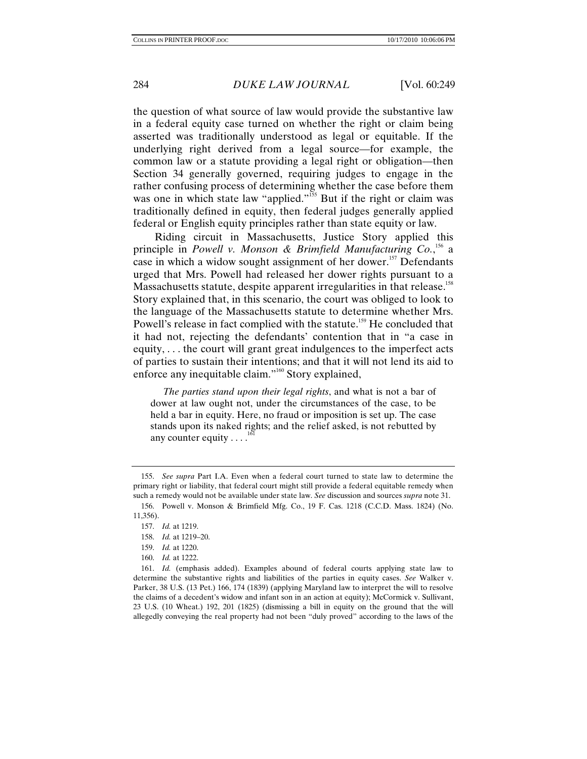the question of what source of law would provide the substantive law in a federal equity case turned on whether the right or claim being asserted was traditionally understood as legal or equitable. If the underlying right derived from a legal source—for example, the common law or a statute providing a legal right or obligation—then Section 34 generally governed, requiring judges to engage in the rather confusing process of determining whether the case before them was one in which state law "applied."<sup>155</sup> But if the right or claim was traditionally defined in equity, then federal judges generally applied federal or English equity principles rather than state equity or law.

Riding circuit in Massachusetts, Justice Story applied this principle in *Powell v. Monson & Brimfield Manufacturing Co.*, 156 a case in which a widow sought assignment of her dower.<sup>157</sup> Defendants urged that Mrs. Powell had released her dower rights pursuant to a Massachusetts statute, despite apparent irregularities in that release.<sup>158</sup> Story explained that, in this scenario, the court was obliged to look to the language of the Massachusetts statute to determine whether Mrs. Powell's release in fact complied with the statute.<sup>159</sup> He concluded that it had not, rejecting the defendants' contention that in "a case in equity, . . . the court will grant great indulgences to the imperfect acts of parties to sustain their intentions; and that it will not lend its aid to enforce any inequitable claim."160 Story explained,

 *The parties stand upon their legal rights*, and what is not a bar of dower at law ought not, under the circumstances of the case, to be held a bar in equity. Here, no fraud or imposition is set up. The case stands upon its naked rights; and the relief asked, is not rebutted by any counter equity  $\dots$ 

160. *Id.* at 1222.

<sup>155.</sup> *See supra* Part I.A. Even when a federal court turned to state law to determine the primary right or liability, that federal court might still provide a federal equitable remedy when such a remedy would not be available under state law. *See* discussion and sources *supra* note 31.

 <sup>156.</sup> Powell v. Monson & Brimfield Mfg. Co., 19 F. Cas. 1218 (C.C.D. Mass. 1824) (No. 11,356).

<sup>157.</sup> *Id.* at 1219.

 <sup>158.</sup> *Id.* at 1219–20.

<sup>159.</sup> *Id.* at 1220.

<sup>161.</sup> *Id.* (emphasis added). Examples abound of federal courts applying state law to determine the substantive rights and liabilities of the parties in equity cases. *See* Walker v. Parker, 38 U.S. (13 Pet.) 166, 174 (1839) (applying Maryland law to interpret the will to resolve the claims of a decedent's widow and infant son in an action at equity); McCormick v. Sullivant, 23 U.S. (10 Wheat.) 192, 201 (1825) (dismissing a bill in equity on the ground that the will allegedly conveying the real property had not been "duly proved" according to the laws of the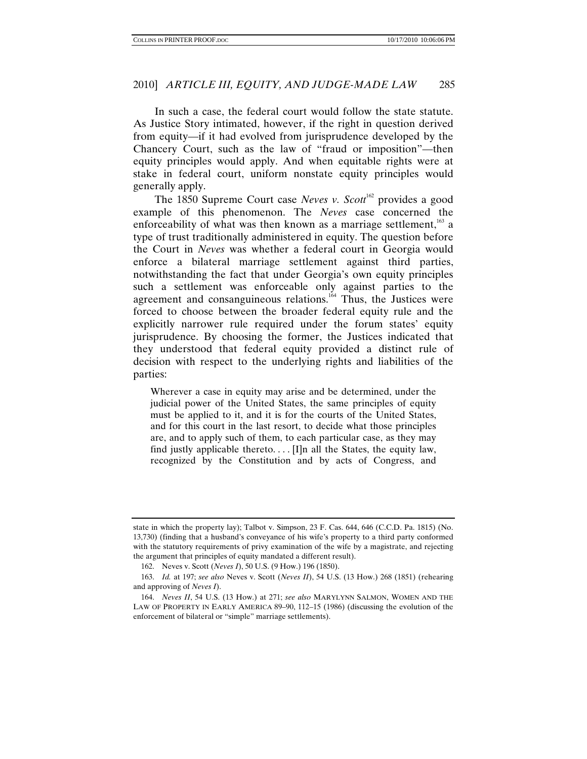In such a case, the federal court would follow the state statute. As Justice Story intimated, however, if the right in question derived from equity—if it had evolved from jurisprudence developed by the Chancery Court, such as the law of "fraud or imposition"—then equity principles would apply. And when equitable rights were at stake in federal court, uniform nonstate equity principles would generally apply.

The 1850 Supreme Court case *Neves v. Scott*<sup>162</sup> provides a good example of this phenomenon. The *Neves* case concerned the enforceability of what was then known as a marriage settlement,<sup>163</sup> a type of trust traditionally administered in equity. The question before the Court in *Neves* was whether a federal court in Georgia would enforce a bilateral marriage settlement against third parties, notwithstanding the fact that under Georgia's own equity principles such a settlement was enforceable only against parties to the agreement and consanguineous relations.<sup>164</sup> Thus, the Justices were forced to choose between the broader federal equity rule and the explicitly narrower rule required under the forum states' equity jurisprudence. By choosing the former, the Justices indicated that they understood that federal equity provided a distinct rule of decision with respect to the underlying rights and liabilities of the parties:

Wherever a case in equity may arise and be determined, under the judicial power of the United States, the same principles of equity must be applied to it, and it is for the courts of the United States, and for this court in the last resort, to decide what those principles are, and to apply such of them, to each particular case, as they may find justly applicable thereto.... [I]n all the States, the equity law, recognized by the Constitution and by acts of Congress, and

state in which the property lay); Talbot v. Simpson, 23 F. Cas. 644, 646 (C.C.D. Pa. 1815) (No. 13,730) (finding that a husband's conveyance of his wife's property to a third party conformed with the statutory requirements of privy examination of the wife by a magistrate, and rejecting the argument that principles of equity mandated a different result).

 <sup>162.</sup> Neves v. Scott (*Neves I*), 50 U.S. (9 How.) 196 (1850).

<sup>163.</sup> *Id.* at 197; *see also* Neves v. Scott (*Neves II*), 54 U.S. (13 How.) 268 (1851) (rehearing and approving of *Neves I*).

<sup>164.</sup> *Neves II*, 54 U.S. (13 How.) at 271; *see also* MARYLYNN SALMON, WOMEN AND THE LAW OF PROPERTY IN EARLY AMERICA 89–90, 112–15 (1986) (discussing the evolution of the enforcement of bilateral or "simple" marriage settlements).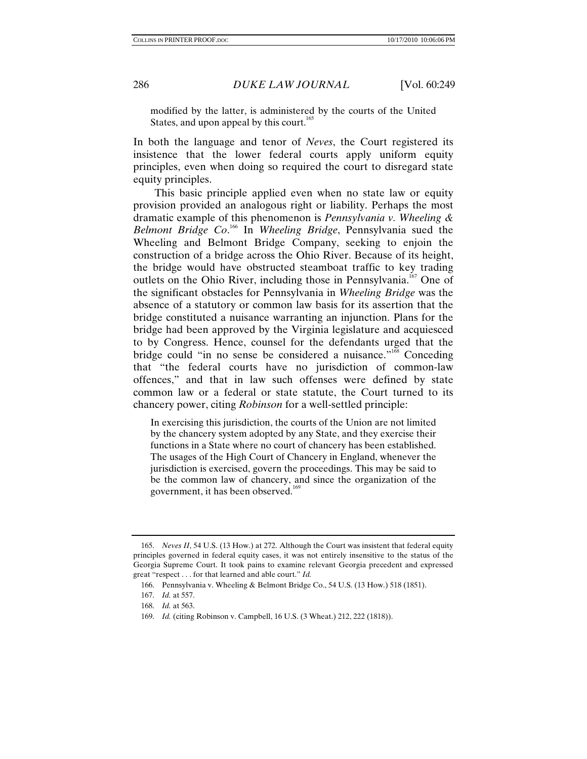modified by the latter, is administered by the courts of the United States, and upon appeal by this court.<sup>165</sup>

In both the language and tenor of *Neves*, the Court registered its insistence that the lower federal courts apply uniform equity principles, even when doing so required the court to disregard state equity principles.

This basic principle applied even when no state law or equity provision provided an analogous right or liability. Perhaps the most dramatic example of this phenomenon is *Pennsylvania v. Wheeling & Belmont Bridge Co*. 166 In *Wheeling Bridge*, Pennsylvania sued the Wheeling and Belmont Bridge Company, seeking to enjoin the construction of a bridge across the Ohio River. Because of its height, the bridge would have obstructed steamboat traffic to key trading outlets on the Ohio River, including those in Pennsylvania.<sup>167</sup> One of the significant obstacles for Pennsylvania in *Wheeling Bridge* was the absence of a statutory or common law basis for its assertion that the bridge constituted a nuisance warranting an injunction. Plans for the bridge had been approved by the Virginia legislature and acquiesced to by Congress. Hence, counsel for the defendants urged that the bridge could "in no sense be considered a nuisance."<sup>168</sup> Conceding that "the federal courts have no jurisdiction of common-law offences," and that in law such offenses were defined by state common law or a federal or state statute, the Court turned to its chancery power, citing *Robinson* for a well-settled principle:

In exercising this jurisdiction, the courts of the Union are not limited by the chancery system adopted by any State, and they exercise their functions in a State where no court of chancery has been established. The usages of the High Court of Chancery in England, whenever the jurisdiction is exercised, govern the proceedings. This may be said to be the common law of chancery, and since the organization of the government, it has been observed.<sup>169</sup>

<sup>165.</sup> *Neves II*, 54 U.S. (13 How.) at 272. Although the Court was insistent that federal equity principles governed in federal equity cases, it was not entirely insensitive to the status of the Georgia Supreme Court. It took pains to examine relevant Georgia precedent and expressed great "respect . . . for that learned and able court." *Id.*

 <sup>166.</sup> Pennsylvania v. Wheeling & Belmont Bridge Co., 54 U.S. (13 How.) 518 (1851).

<sup>167.</sup> *Id.* at 557.

<sup>168.</sup> *Id.* at 563.

<sup>169.</sup> *Id.* (citing Robinson v. Campbell, 16 U.S. (3 Wheat.) 212, 222 (1818)).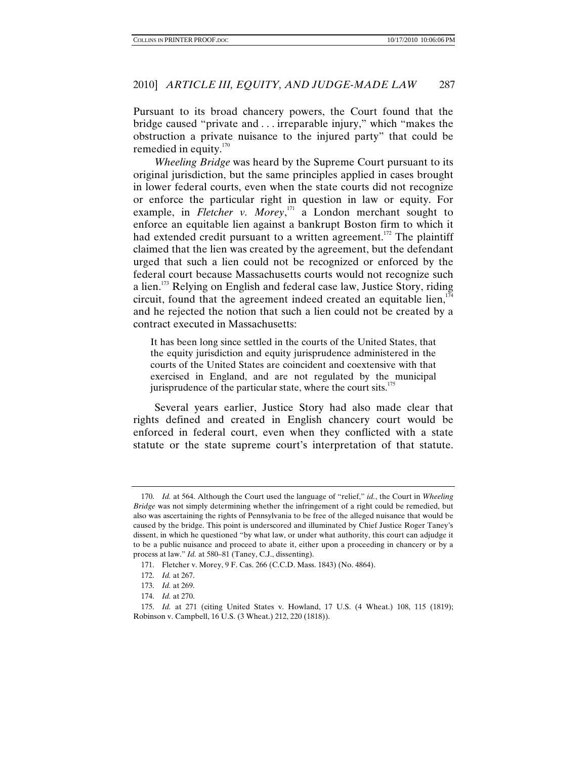Pursuant to its broad chancery powers, the Court found that the bridge caused "private and . . . irreparable injury," which "makes the obstruction a private nuisance to the injured party" that could be remedied in equity. $170^\circ$ 

*Wheeling Bridge* was heard by the Supreme Court pursuant to its original jurisdiction, but the same principles applied in cases brought in lower federal courts, even when the state courts did not recognize or enforce the particular right in question in law or equity. For example, in *Fletcher v. Morey*, <sup>171</sup> a London merchant sought to enforce an equitable lien against a bankrupt Boston firm to which it had extended credit pursuant to a written agreement.<sup>172</sup> The plaintiff claimed that the lien was created by the agreement, but the defendant urged that such a lien could not be recognized or enforced by the federal court because Massachusetts courts would not recognize such a lien.<sup>173</sup> Relying on English and federal case law, Justice Story, riding circuit, found that the agreement indeed created an equitable lien,  $174$ and he rejected the notion that such a lien could not be created by a contract executed in Massachusetts:

It has been long since settled in the courts of the United States, that the equity jurisdiction and equity jurisprudence administered in the courts of the United States are coincident and coextensive with that exercised in England, and are not regulated by the municipal jurisprudence of the particular state, where the court sits.<sup>175</sup>

Several years earlier, Justice Story had also made clear that rights defined and created in English chancery court would be enforced in federal court, even when they conflicted with a state statute or the state supreme court's interpretation of that statute.

<sup>170.</sup> *Id.* at 564. Although the Court used the language of "relief," *id.*, the Court in *Wheeling Bridge* was not simply determining whether the infringement of a right could be remedied, but also was ascertaining the rights of Pennsylvania to be free of the alleged nuisance that would be caused by the bridge. This point is underscored and illuminated by Chief Justice Roger Taney's dissent, in which he questioned "by what law, or under what authority, this court can adjudge it to be a public nuisance and proceed to abate it, either upon a proceeding in chancery or by a process at law." *Id.* at 580–81 (Taney, C.J., dissenting).

 <sup>171.</sup> Fletcher v. Morey, 9 F. Cas. 266 (C.C.D. Mass. 1843) (No. 4864).

<sup>172.</sup> *Id.* at 267.

<sup>173.</sup> *Id.* at 269.

<sup>174.</sup> *Id.* at 270.

<sup>175.</sup> *Id.* at 271 (citing United States v. Howland, 17 U.S. (4 Wheat.) 108, 115 (1819); Robinson v. Campbell, 16 U.S. (3 Wheat.) 212, 220 (1818)).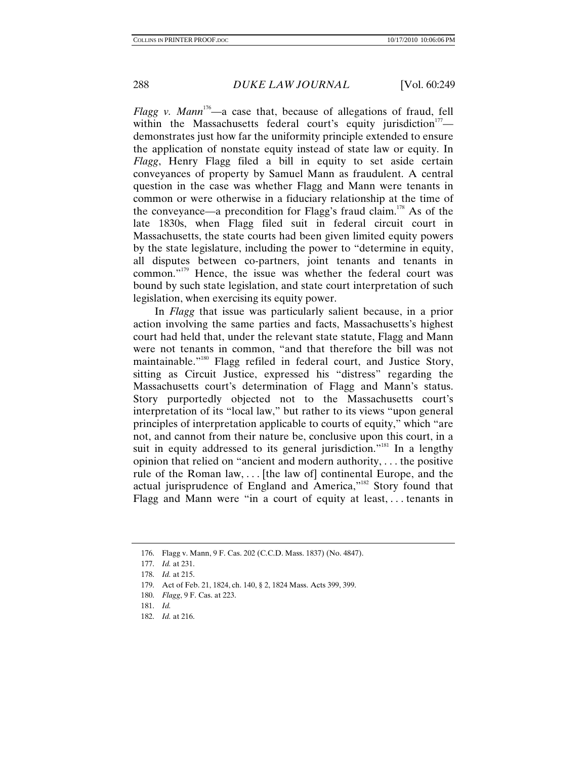*Flagg v. Mann*<sup>176</sup>—a case that, because of allegations of fraud, fell within the Massachusetts federal court's equity jurisdiction<sup>177</sup> demonstrates just how far the uniformity principle extended to ensure the application of nonstate equity instead of state law or equity. In *Flagg*, Henry Flagg filed a bill in equity to set aside certain conveyances of property by Samuel Mann as fraudulent. A central question in the case was whether Flagg and Mann were tenants in common or were otherwise in a fiduciary relationship at the time of the conveyance—a precondition for Flagg's fraud claim.<sup>178</sup> As of the late 1830s, when Flagg filed suit in federal circuit court in Massachusetts, the state courts had been given limited equity powers by the state legislature, including the power to "determine in equity, all disputes between co-partners, joint tenants and tenants in common."179 Hence, the issue was whether the federal court was bound by such state legislation, and state court interpretation of such legislation, when exercising its equity power.

In *Flagg* that issue was particularly salient because, in a prior action involving the same parties and facts, Massachusetts's highest court had held that, under the relevant state statute, Flagg and Mann were not tenants in common, "and that therefore the bill was not maintainable."180 Flagg refiled in federal court, and Justice Story, sitting as Circuit Justice, expressed his "distress" regarding the Massachusetts court's determination of Flagg and Mann's status. Story purportedly objected not to the Massachusetts court's interpretation of its "local law," but rather to its views "upon general principles of interpretation applicable to courts of equity," which "are not, and cannot from their nature be, conclusive upon this court, in a suit in equity addressed to its general jurisdiction."<sup>181</sup> In a lengthy opinion that relied on "ancient and modern authority, . . . the positive rule of the Roman law, . . . [the law of] continental Europe, and the actual jurisprudence of England and America,"182 Story found that Flagg and Mann were "in a court of equity at least, . . . tenants in

176. Flagg v. Mann, 9 F. Cas. 202 (C.C.D. Mass. 1837) (No. 4847).

<sup>177.</sup> *Id.* at 231.

<sup>178.</sup> *Id.* at 215.

 <sup>179.</sup> Act of Feb. 21, 1824, ch. 140, § 2, 1824 Mass. Acts 399, 399.

<sup>180.</sup> *Flagg*, 9 F. Cas. at 223.

<sup>181.</sup> *Id.*

<sup>182.</sup> *Id.* at 216.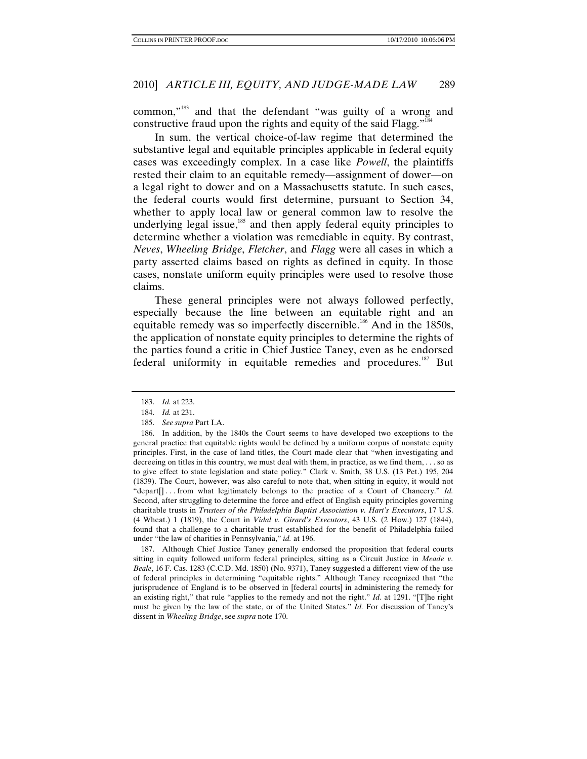common,"183 and that the defendant "was guilty of a wrong and constructive fraud upon the rights and equity of the said Flagg."<sup>184</sup>

In sum, the vertical choice-of-law regime that determined the substantive legal and equitable principles applicable in federal equity cases was exceedingly complex. In a case like *Powell*, the plaintiffs rested their claim to an equitable remedy—assignment of dower—on a legal right to dower and on a Massachusetts statute. In such cases, the federal courts would first determine, pursuant to Section 34, whether to apply local law or general common law to resolve the underlying legal issue,<sup>185</sup> and then apply federal equity principles to determine whether a violation was remediable in equity. By contrast, *Neves*, *Wheeling Bridge*, *Fletcher*, and *Flagg* were all cases in which a party asserted claims based on rights as defined in equity. In those cases, nonstate uniform equity principles were used to resolve those claims.

These general principles were not always followed perfectly, especially because the line between an equitable right and an equitable remedy was so imperfectly discernible.<sup>186</sup> And in the 1850s, the application of nonstate equity principles to determine the rights of the parties found a critic in Chief Justice Taney, even as he endorsed federal uniformity in equitable remedies and procedures.<sup>187</sup> But

 187. Although Chief Justice Taney generally endorsed the proposition that federal courts sitting in equity followed uniform federal principles, sitting as a Circuit Justice in *Meade v. Beale*, 16 F. Cas. 1283 (C.C.D. Md. 1850) (No. 9371), Taney suggested a different view of the use of federal principles in determining "equitable rights." Although Taney recognized that "the jurisprudence of England is to be observed in [federal courts] in administering the remedy for an existing right," that rule "applies to the remedy and not the right." *Id.* at 1291. "[T]he right must be given by the law of the state, or of the United States." *Id.* For discussion of Taney's dissent in *Wheeling Bridge*, see *supra* note 170.

<sup>183.</sup> *Id.* at 223.

<sup>184.</sup> *Id.* at 231.

<sup>185.</sup> *See supra* Part I.A.

 <sup>186.</sup> In addition, by the 1840s the Court seems to have developed two exceptions to the general practice that equitable rights would be defined by a uniform corpus of nonstate equity principles. First, in the case of land titles, the Court made clear that "when investigating and decreeing on titles in this country, we must deal with them, in practice, as we find them, . . . so as to give effect to state legislation and state policy." Clark v. Smith, 38 U.S. (13 Pet.) 195, 204 (1839). The Court, however, was also careful to note that, when sitting in equity, it would not "depart<sup>[]</sup> ... from what legitimately belongs to the practice of a Court of Chancery." *Id.* Second, after struggling to determine the force and effect of English equity principles governing charitable trusts in *Trustees of the Philadelphia Baptist Association v. Hart's Executors*, 17 U.S. (4 Wheat.) 1 (1819), the Court in *Vidal v. Girard's Executors*, 43 U.S. (2 How.) 127 (1844), found that a challenge to a charitable trust established for the benefit of Philadelphia failed under "the law of charities in Pennsylvania," *id.* at 196.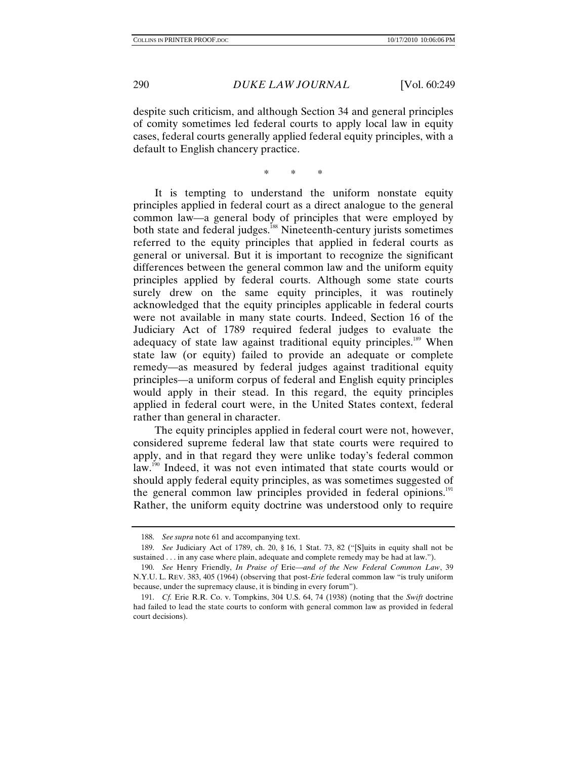despite such criticism, and although Section 34 and general principles of comity sometimes led federal courts to apply local law in equity cases, federal courts generally applied federal equity principles, with a default to English chancery practice.

\* \* \*

It is tempting to understand the uniform nonstate equity principles applied in federal court as a direct analogue to the general common law—a general body of principles that were employed by both state and federal judges.<sup>188</sup> Nineteenth-century jurists sometimes referred to the equity principles that applied in federal courts as general or universal. But it is important to recognize the significant differences between the general common law and the uniform equity principles applied by federal courts. Although some state courts surely drew on the same equity principles, it was routinely acknowledged that the equity principles applicable in federal courts were not available in many state courts. Indeed, Section 16 of the Judiciary Act of 1789 required federal judges to evaluate the adequacy of state law against traditional equity principles.<sup>189</sup> When state law (or equity) failed to provide an adequate or complete remedy—as measured by federal judges against traditional equity principles—a uniform corpus of federal and English equity principles would apply in their stead. In this regard, the equity principles applied in federal court were, in the United States context, federal rather than general in character.

The equity principles applied in federal court were not, however, considered supreme federal law that state courts were required to apply, and in that regard they were unlike today's federal common law.<sup>190</sup> Indeed, it was not even intimated that state courts would or should apply federal equity principles, as was sometimes suggested of the general common law principles provided in federal opinions.<sup>191</sup> Rather, the uniform equity doctrine was understood only to require

<sup>188.</sup> *See supra* note 61 and accompanying text.

 <sup>189.</sup> *See* Judiciary Act of 1789, ch. 20, § 16, 1 Stat. 73, 82 ("[S]uits in equity shall not be sustained . . . in any case where plain, adequate and complete remedy may be had at law.").

<sup>190.</sup> *See* Henry Friendly, *In Praise of* Erie—*and of the New Federal Common Law*, 39 N.Y.U. L. REV. 383, 405 (1964) (observing that post-*Erie* federal common law "is truly uniform because, under the supremacy clause, it is binding in every forum").

<sup>191.</sup> *Cf.* Erie R.R. Co. v. Tompkins, 304 U.S. 64, 74 (1938) (noting that the *Swift* doctrine had failed to lead the state courts to conform with general common law as provided in federal court decisions).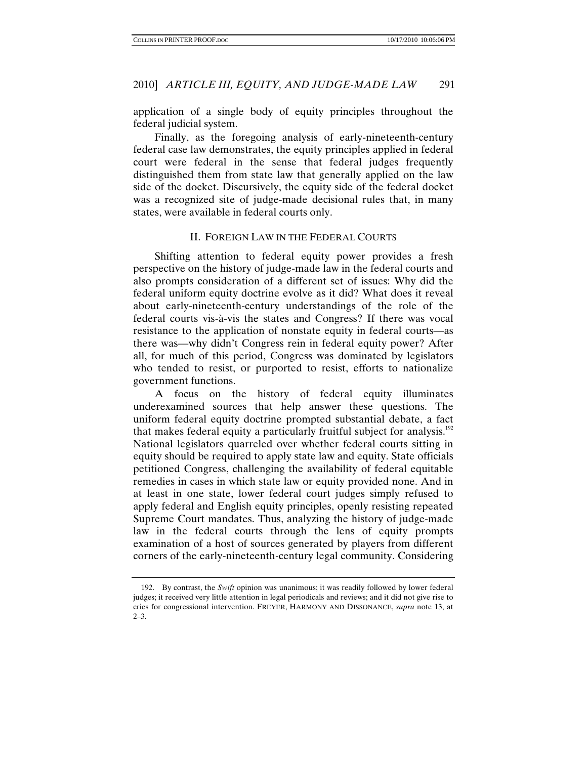application of a single body of equity principles throughout the federal judicial system.

Finally, as the foregoing analysis of early-nineteenth-century federal case law demonstrates, the equity principles applied in federal court were federal in the sense that federal judges frequently distinguished them from state law that generally applied on the law side of the docket. Discursively, the equity side of the federal docket was a recognized site of judge-made decisional rules that, in many states, were available in federal courts only.

## II. FOREIGN LAW IN THE FEDERAL COURTS

Shifting attention to federal equity power provides a fresh perspective on the history of judge-made law in the federal courts and also prompts consideration of a different set of issues: Why did the federal uniform equity doctrine evolve as it did? What does it reveal about early-nineteenth-century understandings of the role of the federal courts vis-à-vis the states and Congress? If there was vocal resistance to the application of nonstate equity in federal courts—as there was—why didn't Congress rein in federal equity power? After all, for much of this period, Congress was dominated by legislators who tended to resist, or purported to resist, efforts to nationalize government functions.

A focus on the history of federal equity illuminates underexamined sources that help answer these questions. The uniform federal equity doctrine prompted substantial debate, a fact that makes federal equity a particularly fruitful subject for analysis.<sup>192</sup> National legislators quarreled over whether federal courts sitting in equity should be required to apply state law and equity. State officials petitioned Congress, challenging the availability of federal equitable remedies in cases in which state law or equity provided none. And in at least in one state, lower federal court judges simply refused to apply federal and English equity principles, openly resisting repeated Supreme Court mandates. Thus, analyzing the history of judge-made law in the federal courts through the lens of equity prompts examination of a host of sources generated by players from different corners of the early-nineteenth-century legal community. Considering

 <sup>192.</sup> By contrast, the *Swift* opinion was unanimous; it was readily followed by lower federal judges; it received very little attention in legal periodicals and reviews; and it did not give rise to cries for congressional intervention. FREYER, HARMONY AND DISSONANCE, *supra* note 13, at  $2 - 3$ .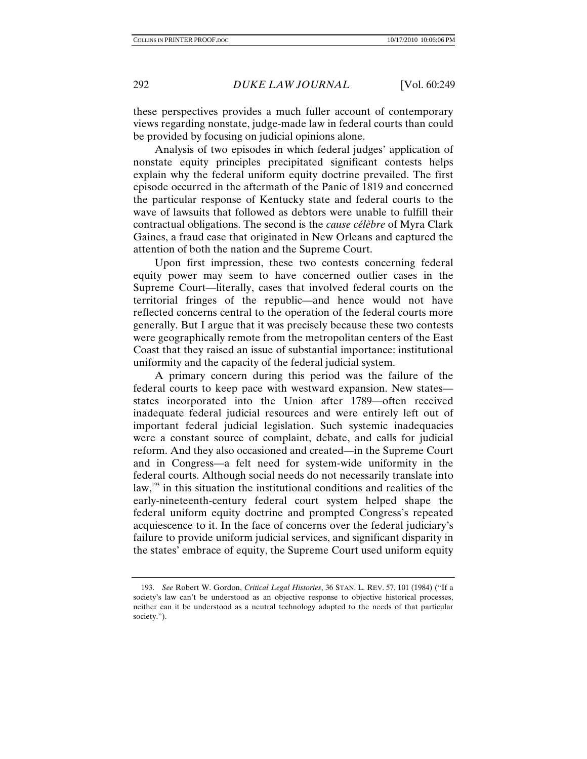these perspectives provides a much fuller account of contemporary views regarding nonstate, judge-made law in federal courts than could be provided by focusing on judicial opinions alone.

Analysis of two episodes in which federal judges' application of nonstate equity principles precipitated significant contests helps explain why the federal uniform equity doctrine prevailed. The first episode occurred in the aftermath of the Panic of 1819 and concerned the particular response of Kentucky state and federal courts to the wave of lawsuits that followed as debtors were unable to fulfill their contractual obligations. The second is the *cause célèbre* of Myra Clark Gaines, a fraud case that originated in New Orleans and captured the attention of both the nation and the Supreme Court.

Upon first impression, these two contests concerning federal equity power may seem to have concerned outlier cases in the Supreme Court—literally, cases that involved federal courts on the territorial fringes of the republic—and hence would not have reflected concerns central to the operation of the federal courts more generally. But I argue that it was precisely because these two contests were geographically remote from the metropolitan centers of the East Coast that they raised an issue of substantial importance: institutional uniformity and the capacity of the federal judicial system.

A primary concern during this period was the failure of the federal courts to keep pace with westward expansion. New states states incorporated into the Union after 1789—often received inadequate federal judicial resources and were entirely left out of important federal judicial legislation. Such systemic inadequacies were a constant source of complaint, debate, and calls for judicial reform. And they also occasioned and created—in the Supreme Court and in Congress—a felt need for system-wide uniformity in the federal courts. Although social needs do not necessarily translate into law,<sup>193</sup> in this situation the institutional conditions and realities of the early-nineteenth-century federal court system helped shape the federal uniform equity doctrine and prompted Congress's repeated acquiescence to it. In the face of concerns over the federal judiciary's failure to provide uniform judicial services, and significant disparity in the states' embrace of equity, the Supreme Court used uniform equity

<sup>193.</sup> *See* Robert W. Gordon, *Critical Legal Histories*, 36 STAN. L. REV. 57, 101 (1984) ("If a society's law can't be understood as an objective response to objective historical processes, neither can it be understood as a neutral technology adapted to the needs of that particular society.").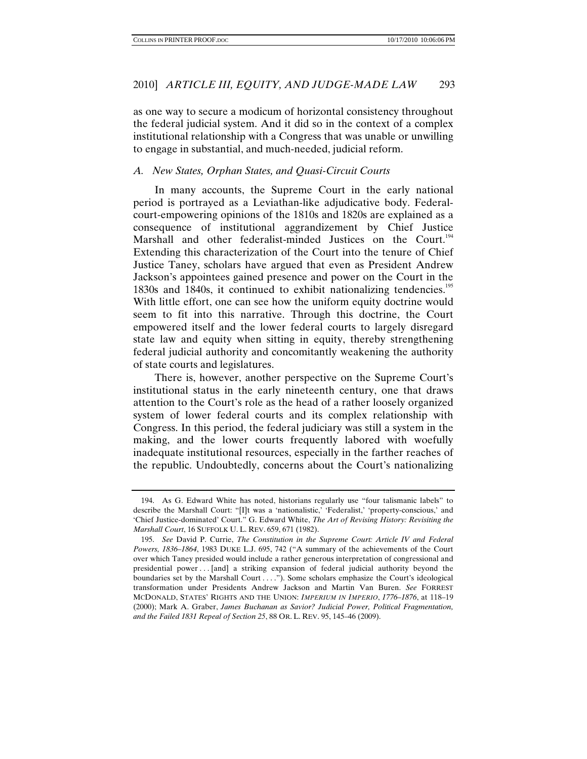as one way to secure a modicum of horizontal consistency throughout the federal judicial system. And it did so in the context of a complex institutional relationship with a Congress that was unable or unwilling to engage in substantial, and much-needed, judicial reform.

## *A. New States, Orphan States, and Quasi-Circuit Courts*

In many accounts, the Supreme Court in the early national period is portrayed as a Leviathan-like adjudicative body. Federalcourt-empowering opinions of the 1810s and 1820s are explained as a consequence of institutional aggrandizement by Chief Justice Marshall and other federalist-minded Justices on the Court.<sup>194</sup> Extending this characterization of the Court into the tenure of Chief Justice Taney, scholars have argued that even as President Andrew Jackson's appointees gained presence and power on the Court in the 1830s and 1840s, it continued to exhibit nationalizing tendencies.<sup>195</sup> With little effort, one can see how the uniform equity doctrine would seem to fit into this narrative. Through this doctrine, the Court empowered itself and the lower federal courts to largely disregard state law and equity when sitting in equity, thereby strengthening federal judicial authority and concomitantly weakening the authority of state courts and legislatures.

There is, however, another perspective on the Supreme Court's institutional status in the early nineteenth century, one that draws attention to the Court's role as the head of a rather loosely organized system of lower federal courts and its complex relationship with Congress. In this period, the federal judiciary was still a system in the making, and the lower courts frequently labored with woefully inadequate institutional resources, especially in the farther reaches of the republic. Undoubtedly, concerns about the Court's nationalizing

 <sup>194.</sup> As G. Edward White has noted, historians regularly use "four talismanic labels" to describe the Marshall Court: "[I]t was a 'nationalistic,' 'Federalist,' 'property-conscious,' and 'Chief Justice-dominated' Court." G. Edward White, *The Art of Revising History: Revisiting the Marshall Court*, 16 SUFFOLK U. L. REV. 659, 671 (1982).

<sup>195.</sup> *See* David P. Currie, *The Constitution in the Supreme Court: Article IV and Federal Powers, 1836–1864*, 1983 DUKE L.J. 695, 742 ("A summary of the achievements of the Court over which Taney presided would include a rather generous interpretation of congressional and presidential power . . . [and] a striking expansion of federal judicial authority beyond the boundaries set by the Marshall Court . . . ."). Some scholars emphasize the Court's ideological transformation under Presidents Andrew Jackson and Martin Van Buren. *See* FORREST MCDONALD, STATES' RIGHTS AND THE UNION: *IMPERIUM IN IMPERIO*, *1776–1876*, at 118–19 (2000); Mark A. Graber, *James Buchanan as Savior? Judicial Power, Political Fragmentation, and the Failed 1831 Repeal of Section 25*, 88 OR. L. REV. 95, 145–46 (2009).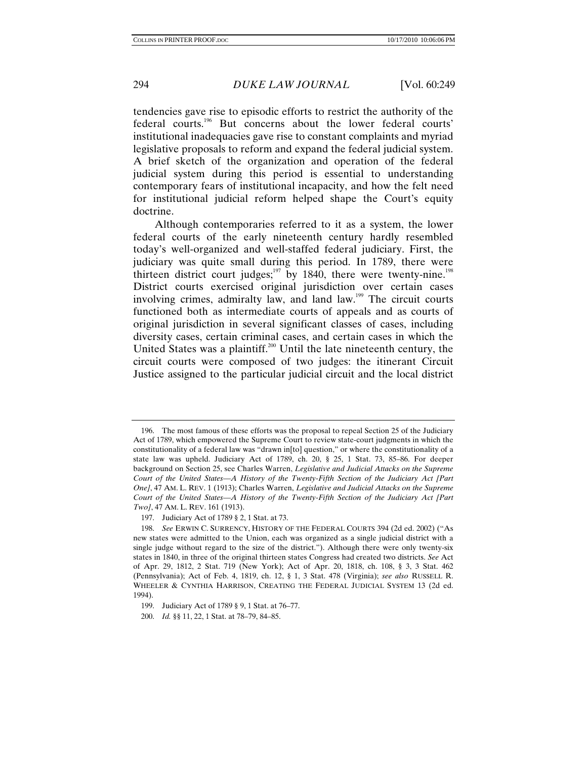tendencies gave rise to episodic efforts to restrict the authority of the federal courts.196 But concerns about the lower federal courts' institutional inadequacies gave rise to constant complaints and myriad legislative proposals to reform and expand the federal judicial system. A brief sketch of the organization and operation of the federal judicial system during this period is essential to understanding contemporary fears of institutional incapacity, and how the felt need for institutional judicial reform helped shape the Court's equity doctrine.

Although contemporaries referred to it as a system, the lower federal courts of the early nineteenth century hardly resembled today's well-organized and well-staffed federal judiciary. First, the judiciary was quite small during this period. In 1789, there were thirteen district court judges;<sup>197</sup> by 1840, there were twenty-nine.<sup>198</sup> District courts exercised original jurisdiction over certain cases involving crimes, admiralty law, and land law.<sup>199</sup> The circuit courts functioned both as intermediate courts of appeals and as courts of original jurisdiction in several significant classes of cases, including diversity cases, certain criminal cases, and certain cases in which the United States was a plaintiff.<sup>200</sup> Until the late nineteenth century, the circuit courts were composed of two judges: the itinerant Circuit Justice assigned to the particular judicial circuit and the local district

 <sup>196.</sup> The most famous of these efforts was the proposal to repeal Section 25 of the Judiciary Act of 1789, which empowered the Supreme Court to review state-court judgments in which the constitutionality of a federal law was "drawn in[to] question," or where the constitutionality of a state law was upheld. Judiciary Act of 1789, ch. 20, § 25, 1 Stat. 73, 85–86. For deeper background on Section 25, see Charles Warren, *Legislative and Judicial Attacks on the Supreme Court of the United States—A History of the Twenty-Fifth Section of the Judiciary Act [Part One]*, 47 AM. L. REV. 1 (1913); Charles Warren, *Legislative and Judicial Attacks on the Supreme Court of the United States—A History of the Twenty-Fifth Section of the Judiciary Act [Part Two]*, 47 AM. L. REV. 161 (1913).

 <sup>197.</sup> Judiciary Act of 1789 § 2, 1 Stat. at 73.

<sup>198.</sup> *See* ERWIN C. SURRENCY, HISTORY OF THE FEDERAL COURTS 394 (2d ed. 2002) ("As new states were admitted to the Union, each was organized as a single judicial district with a single judge without regard to the size of the district."). Although there were only twenty-six states in 1840, in three of the original thirteen states Congress had created two districts. *See* Act of Apr. 29, 1812, 2 Stat. 719 (New York); Act of Apr. 20, 1818, ch. 108, § 3, 3 Stat. 462 (Pennsylvania); Act of Feb. 4, 1819, ch. 12, § 1, 3 Stat. 478 (Virginia); *see also* RUSSELL R. WHEELER & CYNTHIA HARRISON, CREATING THE FEDERAL JUDICIAL SYSTEM 13 (2d ed. 1994).

<sup>199.</sup> Judiciary Act of 1789 § 9, 1 Stat. at 76–77.

 <sup>200.</sup> *Id.* §§ 11, 22, 1 Stat. at 78–79, 84–85.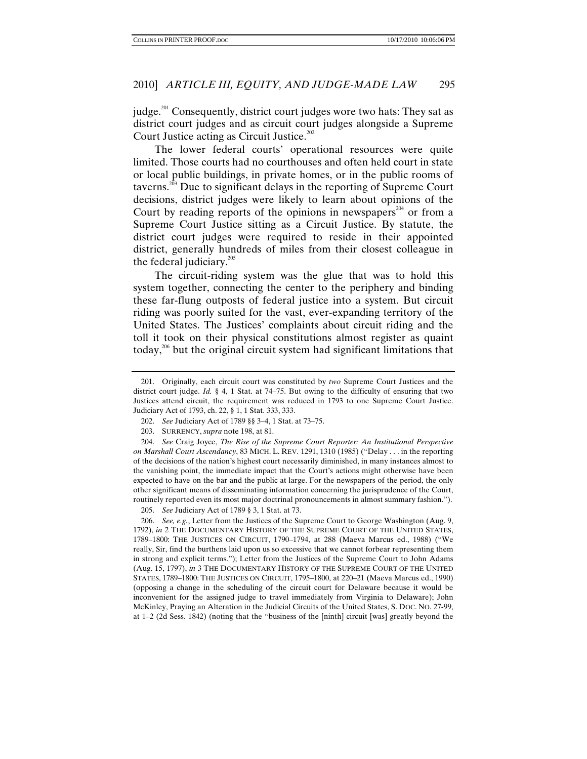judge.<sup>201</sup> Consequently, district court judges wore two hats: They sat as district court judges and as circuit court judges alongside a Supreme Court Justice acting as Circuit Justice.<sup>202</sup>

The lower federal courts' operational resources were quite limited. Those courts had no courthouses and often held court in state or local public buildings, in private homes, or in the public rooms of taverns.203 Due to significant delays in the reporting of Supreme Court decisions, district judges were likely to learn about opinions of the Court by reading reports of the opinions in newspapers<sup>204</sup> or from a Supreme Court Justice sitting as a Circuit Justice. By statute, the district court judges were required to reside in their appointed district, generally hundreds of miles from their closest colleague in the federal judiciary. $205$ 

The circuit-riding system was the glue that was to hold this system together, connecting the center to the periphery and binding these far-flung outposts of federal justice into a system. But circuit riding was poorly suited for the vast, ever-expanding territory of the United States. The Justices' complaints about circuit riding and the toll it took on their physical constitutions almost register as quaint today,<sup>206</sup> but the original circuit system had significant limitations that

204. *See* Craig Joyce, *The Rise of the Supreme Court Reporter: An Institutional Perspective on Marshall Court Ascendancy*, 83 MICH. L. REV. 1291, 1310 (1985) ("Delay . . . in the reporting of the decisions of the nation's highest court necessarily diminished, in many instances almost to the vanishing point, the immediate impact that the Court's actions might otherwise have been expected to have on the bar and the public at large. For the newspapers of the period, the only other significant means of disseminating information concerning the jurisprudence of the Court, routinely reported even its most major doctrinal pronouncements in almost summary fashion.").

205. *See* Judiciary Act of 1789 § 3, 1 Stat. at 73.

206. *See, e.g.*, Letter from the Justices of the Supreme Court to George Washington (Aug. 9, 1792), *in* 2 THE DOCUMENTARY HISTORY OF THE SUPREME COURT OF THE UNITED STATES, 1789–1800: THE JUSTICES ON CIRCUIT, 1790–1794, at 288 (Maeva Marcus ed., 1988) ("We really, Sir, find the burthens laid upon us so excessive that we cannot forbear representing them in strong and explicit terms."); Letter from the Justices of the Supreme Court to John Adams (Aug. 15, 1797), *in* 3 THE DOCUMENTARY HISTORY OF THE SUPREME COURT OF THE UNITED STATES, 1789–1800: THE JUSTICES ON CIRCUIT, 1795–1800, at 220–21 (Maeva Marcus ed., 1990) (opposing a change in the scheduling of the circuit court for Delaware because it would be inconvenient for the assigned judge to travel immediately from Virginia to Delaware); John McKinley, Praying an Alteration in the Judicial Circuits of the United States, S. DOC. NO. 27-99, at 1–2 (2d Sess. 1842) (noting that the "business of the [ninth] circuit [was] greatly beyond the

 <sup>201.</sup> Originally, each circuit court was constituted by *two* Supreme Court Justices and the district court judge. *Id.* § 4, 1 Stat. at 74–75. But owing to the difficulty of ensuring that two Justices attend circuit, the requirement was reduced in 1793 to one Supreme Court Justice. Judiciary Act of 1793, ch. 22, § 1, 1 Stat. 333, 333.

<sup>202.</sup> *See* Judiciary Act of 1789 §§ 3–4, 1 Stat. at 73–75.

 <sup>203.</sup> SURRENCY, *supra* note 198, at 81.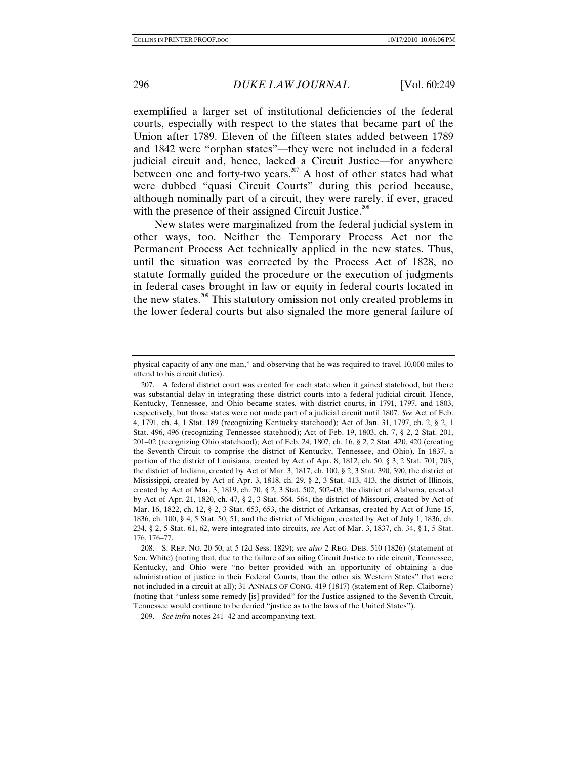exemplified a larger set of institutional deficiencies of the federal courts, especially with respect to the states that became part of the Union after 1789. Eleven of the fifteen states added between 1789 and 1842 were "orphan states"—they were not included in a federal judicial circuit and, hence, lacked a Circuit Justice—for anywhere between one and forty-two years.<sup>207</sup> A host of other states had what were dubbed "quasi Circuit Courts" during this period because, although nominally part of a circuit, they were rarely, if ever, graced with the presence of their assigned Circuit Justice.<sup>208</sup>

New states were marginalized from the federal judicial system in other ways, too. Neither the Temporary Process Act nor the Permanent Process Act technically applied in the new states. Thus, until the situation was corrected by the Process Act of 1828, no statute formally guided the procedure or the execution of judgments in federal cases brought in law or equity in federal courts located in the new states.<sup>209</sup> This statutory omission not only created problems in the lower federal courts but also signaled the more general failure of

physical capacity of any one man," and observing that he was required to travel 10,000 miles to attend to his circuit duties).

 <sup>207.</sup> A federal district court was created for each state when it gained statehood, but there was substantial delay in integrating these district courts into a federal judicial circuit. Hence, Kentucky, Tennessee, and Ohio became states, with district courts, in 1791, 1797, and 1803, respectively, but those states were not made part of a judicial circuit until 1807. *See* Act of Feb. 4, 1791, ch. 4, 1 Stat. 189 (recognizing Kentucky statehood); Act of Jan. 31, 1797, ch. 2, § 2, 1 Stat. 496, 496 (recognizing Tennessee statehood); Act of Feb. 19, 1803, ch. 7, § 2, 2 Stat. 201, 201–02 (recognizing Ohio statehood); Act of Feb. 24, 1807, ch. 16, § 2, 2 Stat. 420, 420 (creating the Seventh Circuit to comprise the district of Kentucky, Tennessee, and Ohio). In 1837, a portion of the district of Louisiana, created by Act of Apr. 8, 1812, ch. 50, § 3, 2 Stat. 701, 703, the district of Indiana, created by Act of Mar. 3, 1817, ch. 100, § 2, 3 Stat. 390, 390, the district of Mississippi, created by Act of Apr. 3, 1818, ch. 29, § 2, 3 Stat. 413, 413, the district of Illinois, created by Act of Mar. 3, 1819, ch. 70, § 2, 3 Stat. 502, 502–03, the district of Alabama, created by Act of Apr. 21, 1820, ch. 47, § 2, 3 Stat. 564. 564, the district of Missouri, created by Act of Mar. 16, 1822, ch. 12, § 2, 3 Stat. 653, 653, the district of Arkansas, created by Act of June 15, 1836, ch. 100, § 4, 5 Stat. 50, 51, and the district of Michigan, created by Act of July 1, 1836, ch. 234, § 2, 5 Stat. 61, 62, were integrated into circuits, *see* Act of Mar. 3, 1837, ch. 34, § 1, 5 Stat. 176, 176–77.

 <sup>208.</sup> S. REP. NO. 20-50, at 5 (2d Sess. 1829); *see also* 2 REG. DEB. 510 (1826) (statement of Sen. White) (noting that, due to the failure of an ailing Circuit Justice to ride circuit, Tennessee, Kentucky, and Ohio were "no better provided with an opportunity of obtaining a due administration of justice in their Federal Courts, than the other six Western States" that were not included in a circuit at all); 31 ANNALS OF CONG. 419 (1817) (statement of Rep. Claiborne) (noting that "unless some remedy [is] provided" for the Justice assigned to the Seventh Circuit, Tennessee would continue to be denied "justice as to the laws of the United States").

<sup>209.</sup> *See infra* notes 241–42 and accompanying text.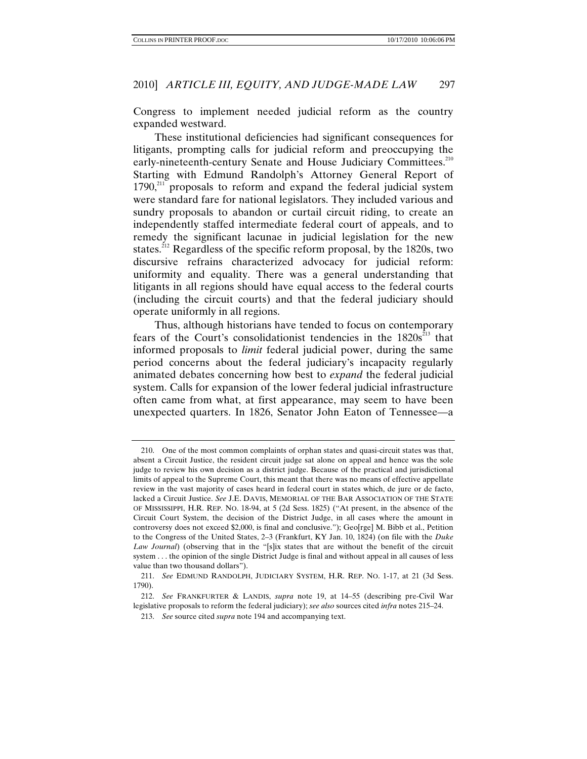Congress to implement needed judicial reform as the country expanded westward.

These institutional deficiencies had significant consequences for litigants, prompting calls for judicial reform and preoccupying the early-nineteenth-century Senate and House Judiciary Committees.<sup>210</sup> Starting with Edmund Randolph's Attorney General Report of  $1790$ ,<sup>211</sup> proposals to reform and expand the federal judicial system were standard fare for national legislators. They included various and sundry proposals to abandon or curtail circuit riding, to create an independently staffed intermediate federal court of appeals, and to remedy the significant lacunae in judicial legislation for the new states.<sup>212</sup> Regardless of the specific reform proposal, by the 1820s, two discursive refrains characterized advocacy for judicial reform: uniformity and equality. There was a general understanding that litigants in all regions should have equal access to the federal courts (including the circuit courts) and that the federal judiciary should operate uniformly in all regions.

Thus, although historians have tended to focus on contemporary fears of the Court's consolidationist tendencies in the  $1820s^{213}$  that informed proposals to *limit* federal judicial power, during the same period concerns about the federal judiciary's incapacity regularly animated debates concerning how best to *expand* the federal judicial system. Calls for expansion of the lower federal judicial infrastructure often came from what, at first appearance, may seem to have been unexpected quarters. In 1826, Senator John Eaton of Tennessee—a

 <sup>210.</sup> One of the most common complaints of orphan states and quasi-circuit states was that, absent a Circuit Justice, the resident circuit judge sat alone on appeal and hence was the sole judge to review his own decision as a district judge. Because of the practical and jurisdictional limits of appeal to the Supreme Court, this meant that there was no means of effective appellate review in the vast majority of cases heard in federal court in states which, de jure or de facto, lacked a Circuit Justice. *See* J.E. DAVIS, MEMORIAL OF THE BAR ASSOCIATION OF THE STATE OF MISSISSIPPI, H.R. REP. NO. 18-94, at 5 (2d Sess. 1825) ("At present, in the absence of the Circuit Court System, the decision of the District Judge, in all cases where the amount in controversy does not exceed \$2,000, is final and conclusive."); Geo[rge] M. Bibb et al., Petition to the Congress of the United States, 2–3 (Frankfurt, KY Jan. 10, 1824) (on file with the *Duke Law Journal*) (observing that in the "[s]ix states that are without the benefit of the circuit system . . . the opinion of the single District Judge is final and without appeal in all causes of less value than two thousand dollars").

<sup>211.</sup> *See* EDMUND RANDOLPH, JUDICIARY SYSTEM, H.R. REP. NO. 1-17, at 21 (3d Sess. 1790).

<sup>212.</sup> *See* FRANKFURTER & LANDIS, *supra* note 19, at 14–55 (describing pre-Civil War legislative proposals to reform the federal judiciary); *see also* sources cited *infra* notes 215–24.

<sup>213.</sup> *See* source cited *supra* note 194 and accompanying text.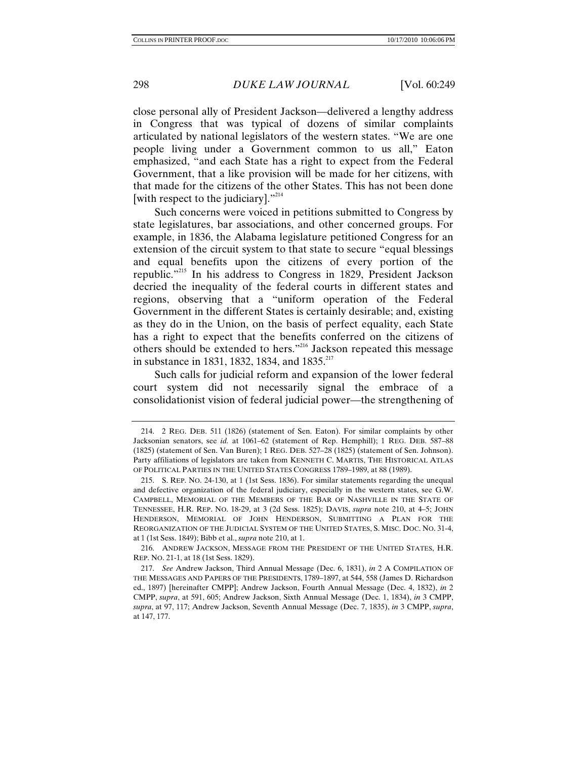close personal ally of President Jackson—delivered a lengthy address in Congress that was typical of dozens of similar complaints articulated by national legislators of the western states. "We are one people living under a Government common to us all," Eaton emphasized, "and each State has a right to expect from the Federal Government, that a like provision will be made for her citizens, with that made for the citizens of the other States. This has not been done [with respect to the judiciary]."<sup>214</sup>

Such concerns were voiced in petitions submitted to Congress by state legislatures, bar associations, and other concerned groups. For example, in 1836, the Alabama legislature petitioned Congress for an extension of the circuit system to that state to secure "equal blessings and equal benefits upon the citizens of every portion of the republic."<sup>215</sup> In his address to Congress in 1829, President Jackson decried the inequality of the federal courts in different states and regions, observing that a "uniform operation of the Federal Government in the different States is certainly desirable; and, existing as they do in the Union, on the basis of perfect equality, each State has a right to expect that the benefits conferred on the citizens of others should be extended to hers."216 Jackson repeated this message in substance in 1831, 1832, 1834, and 1835.<sup>217</sup>

Such calls for judicial reform and expansion of the lower federal court system did not necessarily signal the embrace of a consolidationist vision of federal judicial power—the strengthening of

 216. ANDREW JACKSON, MESSAGE FROM THE PRESIDENT OF THE UNITED STATES, H.R. REP. NO. 21-1, at 18 (1st Sess. 1829).

 <sup>214. 2</sup> REG. DEB. 511 (1826) (statement of Sen. Eaton). For similar complaints by other Jacksonian senators, see *id.* at 1061–62 (statement of Rep. Hemphill); 1 REG. DEB. 587–88 (1825) (statement of Sen. Van Buren); 1 REG. DEB. 527–28 (1825) (statement of Sen. Johnson). Party affiliations of legislators are taken from KENNETH C. MARTIS, THE HISTORICAL ATLAS OF POLITICAL PARTIES IN THE UNITED STATES CONGRESS 1789–1989, at 88 (1989).

 <sup>215.</sup> S. REP. NO. 24-130, at 1 (1st Sess. 1836). For similar statements regarding the unequal and defective organization of the federal judiciary, especially in the western states, see G.W. CAMPBELL, MEMORIAL OF THE MEMBERS OF THE BAR OF NASHVILLE IN THE STATE OF TENNESSEE, H.R. REP. NO. 18-29, at 3 (2d Sess. 1825); DAVIS, *supra* note 210, at 4–5; JOHN HENDERSON, MEMORIAL OF JOHN HENDERSON, SUBMITTING A PLAN FOR THE REORGANIZATION OF THE JUDICIAL SYSTEM OF THE UNITED STATES, S. MISC. DOC. NO. 31-4, at 1 (1st Sess. 1849); Bibb et al., *supra* note 210, at 1.

 <sup>217.</sup> *See* Andrew Jackson, Third Annual Message (Dec. 6, 1831), *in* 2 A COMPILATION OF THE MESSAGES AND PAPERS OF THE PRESIDENTS, 1789–1897, at 544, 558 (James D. Richardson ed., 1897) [hereinafter CMPP]; Andrew Jackson, Fourth Annual Message (Dec. 4, 1832), *in* 2 CMPP, *supra*, at 591, 605; Andrew Jackson, Sixth Annual Message (Dec. 1, 1834), *in* 3 CMPP, *supra*, at 97, 117; Andrew Jackson, Seventh Annual Message (Dec. 7, 1835), *in* 3 CMPP, *supra*, at 147, 177.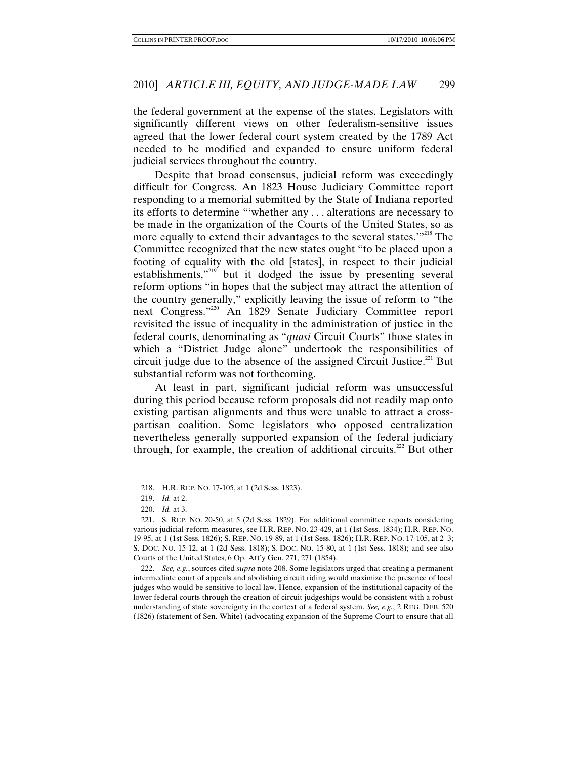the federal government at the expense of the states. Legislators with significantly different views on other federalism-sensitive issues agreed that the lower federal court system created by the 1789 Act needed to be modified and expanded to ensure uniform federal judicial services throughout the country.

Despite that broad consensus, judicial reform was exceedingly difficult for Congress. An 1823 House Judiciary Committee report responding to a memorial submitted by the State of Indiana reported its efforts to determine "'whether any . . . alterations are necessary to be made in the organization of the Courts of the United States, so as more equally to extend their advantages to the several states."<sup>218</sup> The Committee recognized that the new states ought "to be placed upon a footing of equality with the old [states], in respect to their judicial establishments,"<sup>219</sup> but it dodged the issue by presenting several reform options "in hopes that the subject may attract the attention of the country generally," explicitly leaving the issue of reform to "the next Congress."220 An 1829 Senate Judiciary Committee report revisited the issue of inequality in the administration of justice in the federal courts, denominating as "*quasi* Circuit Courts" those states in which a "District Judge alone" undertook the responsibilities of circuit judge due to the absence of the assigned Circuit Justice. $^{221}$  But substantial reform was not forthcoming.

At least in part, significant judicial reform was unsuccessful during this period because reform proposals did not readily map onto existing partisan alignments and thus were unable to attract a crosspartisan coalition. Some legislators who opposed centralization nevertheless generally supported expansion of the federal judiciary through, for example, the creation of additional circuits.<sup>222</sup> But other

222. *See, e.g.*, sources cited *supra* note 208. Some legislators urged that creating a permanent intermediate court of appeals and abolishing circuit riding would maximize the presence of local judges who would be sensitive to local law. Hence, expansion of the institutional capacity of the lower federal courts through the creation of circuit judgeships would be consistent with a robust understanding of state sovereignty in the context of a federal system. *See, e.g.*, 2 REG. DEB. 520 (1826) (statement of Sen. White) (advocating expansion of the Supreme Court to ensure that all

 <sup>218.</sup> H.R. REP. NO. 17-105, at 1 (2d Sess. 1823).

<sup>219.</sup> *Id.* at 2.

<sup>220.</sup> *Id.* at 3.

 <sup>221.</sup> S. REP. NO. 20-50, at 5 (2d Sess. 1829). For additional committee reports considering various judicial-reform measures, see H.R. REP. NO. 23-429, at 1 (1st Sess. 1834); H.R. REP. NO. 19-95, at 1 (1st Sess. 1826); S. REP. NO. 19-89, at 1 (1st Sess. 1826); H.R. REP. NO. 17-105, at 2–3; S. DOC. NO. 15-12, at 1 (2d Sess. 1818); S. DOC. NO. 15-80, at 1 (1st Sess. 1818); and see also Courts of the United States, 6 Op. Att'y Gen. 271, 271 (1854).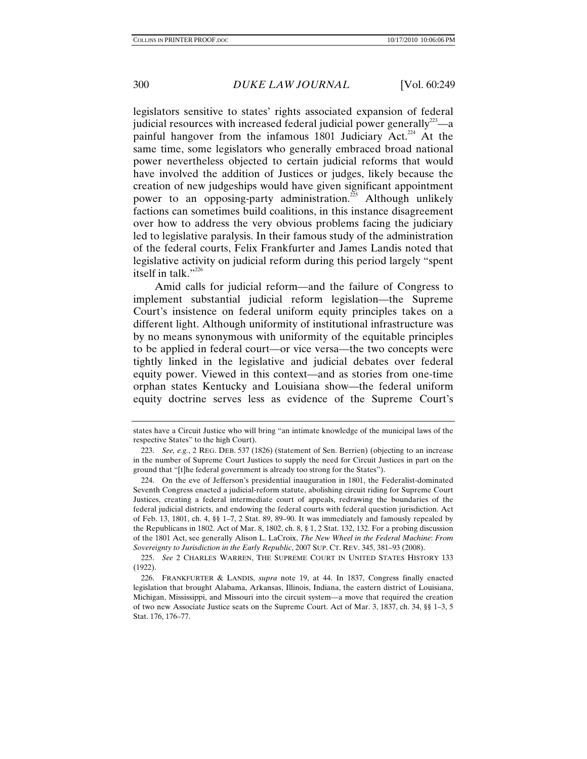legislators sensitive to states' rights associated expansion of federal judicial resources with increased federal judicial power generally $^{223}$ —a painful hangover from the infamous 1801 Judiciary Act.<sup>224</sup> At the same time, some legislators who generally embraced broad national power nevertheless objected to certain judicial reforms that would have involved the addition of Justices or judges, likely because the creation of new judgeships would have given significant appointment power to an opposing-party administration.<sup>225</sup> Although unlikely factions can sometimes build coalitions, in this instance disagreement over how to address the very obvious problems facing the judiciary led to legislative paralysis. In their famous study of the administration of the federal courts, Felix Frankfurter and James Landis noted that legislative activity on judicial reform during this period largely "spent itself in talk."<sup>226</sup>

Amid calls for judicial reform—and the failure of Congress to implement substantial judicial reform legislation—the Supreme Court's insistence on federal uniform equity principles takes on a different light. Although uniformity of institutional infrastructure was by no means synonymous with uniformity of the equitable principles to be applied in federal court—or vice versa—the two concepts were tightly linked in the legislative and judicial debates over federal equity power. Viewed in this context—and as stories from one-time orphan states Kentucky and Louisiana show—the federal uniform equity doctrine serves less as evidence of the Supreme Court's

states have a Circuit Justice who will bring "an intimate knowledge of the municipal laws of the respective States" to the high Court).

<sup>223.</sup> *See, e.g.*, 2 REG. DEB. 537 (1826) (Statement of Sen. Berrien) (objecting to an increase in the number of Supreme Court Justices to supply the need for Circuit Justices in part on the ground that "[t]he federal government is already too strong for the States").

 <sup>224.</sup> On the eve of Jefferson's presidential inauguration in 1801, the Federalist-dominated Seventh Congress enacted a judicial-reform statute, abolishing circuit riding for Supreme Court Justices, creating a federal intermediate court of appeals, redrawing the boundaries of the federal judicial districts, and endowing the federal courts with federal question jurisdiction. Act of Feb. 13, 1801, ch. 4, §§ 1–7, 2 Stat. 89, 89–90. It was immediately and famously repealed by the Republicans in 1802. Act of Mar. 8, 1802, ch. 8, § 1, 2 Stat. 132, 132. For a probing discussion of the 1801 Act, see generally Alison L. LaCroix, *The New Wheel in the Federal Machine*: *From Sovereignty to Jurisdiction in the Early Republic*, 2007 SUP. CT. REV. 345, 381–93 (2008).

<sup>225.</sup> *See* 2 CHARLES WARREN, THE SUPREME COURT IN UNITED STATES HISTORY 133 (1922).

 <sup>226.</sup> FRANKFURTER & LANDIS, *supra* note 19, at 44. In 1837, Congress finally enacted legislation that brought Alabama, Arkansas, Illinois, Indiana, the eastern district of Louisiana, Michigan, Mississippi, and Missouri into the circuit system—a move that required the creation of two new Associate Justice seats on the Supreme Court. Act of Mar. 3, 1837, ch. 34, §§ 1–3, 5 Stat. 176, 176–77.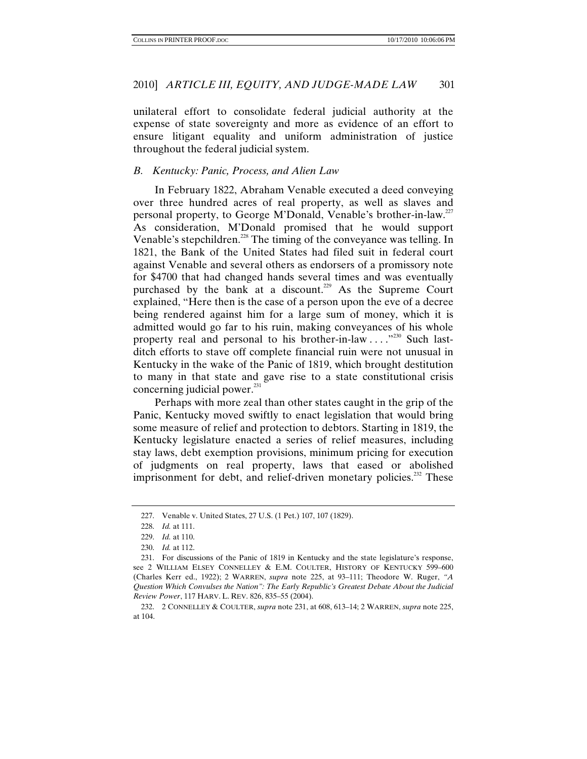unilateral effort to consolidate federal judicial authority at the expense of state sovereignty and more as evidence of an effort to ensure litigant equality and uniform administration of justice throughout the federal judicial system.

## *B. Kentucky: Panic, Process, and Alien Law*

In February 1822, Abraham Venable executed a deed conveying over three hundred acres of real property, as well as slaves and personal property, to George M'Donald, Venable's brother-in-law.227 As consideration, M'Donald promised that he would support Venable's stepchildren.<sup>228</sup> The timing of the conveyance was telling. In 1821, the Bank of the United States had filed suit in federal court against Venable and several others as endorsers of a promissory note for \$4700 that had changed hands several times and was eventually purchased by the bank at a discount.<sup>229</sup> As the Supreme Court explained, "Here then is the case of a person upon the eve of a decree being rendered against him for a large sum of money, which it is admitted would go far to his ruin, making conveyances of his whole property real and personal to his brother-in-law . . . .<sup>"230</sup> Such lastditch efforts to stave off complete financial ruin were not unusual in Kentucky in the wake of the Panic of 1819, which brought destitution to many in that state and gave rise to a state constitutional crisis concerning judicial power.<sup>231</sup>

Perhaps with more zeal than other states caught in the grip of the Panic, Kentucky moved swiftly to enact legislation that would bring some measure of relief and protection to debtors. Starting in 1819, the Kentucky legislature enacted a series of relief measures, including stay laws, debt exemption provisions, minimum pricing for execution of judgments on real property, laws that eased or abolished imprisonment for debt, and relief-driven monetary policies.<sup>232</sup> These

 <sup>227.</sup> Venable v. United States, 27 U.S. (1 Pet.) 107, 107 (1829).

<sup>228.</sup> *Id.* at 111.

<sup>229.</sup> *Id.* at 110.

<sup>230.</sup> *Id.* at 112.

 <sup>231.</sup> For discussions of the Panic of 1819 in Kentucky and the state legislature's response, see 2 WILLIAM ELSEY CONNELLEY & E.M. COULTER, HISTORY OF KENTUCKY 599–600 (Charles Kerr ed., 1922); 2 WARREN, *supra* note 225, at 93–111; Theodore W. Ruger, *"A Question Which Convulses the Nation": The Early Republic's Greatest Debate About the Judicial Review Power*, 117 HARV. L. REV. 826, 835–55 (2004).

 <sup>232. 2</sup> CONNELLEY & COULTER, *supra* note 231, at 608, 613–14; 2 WARREN, *supra* note 225, at 104.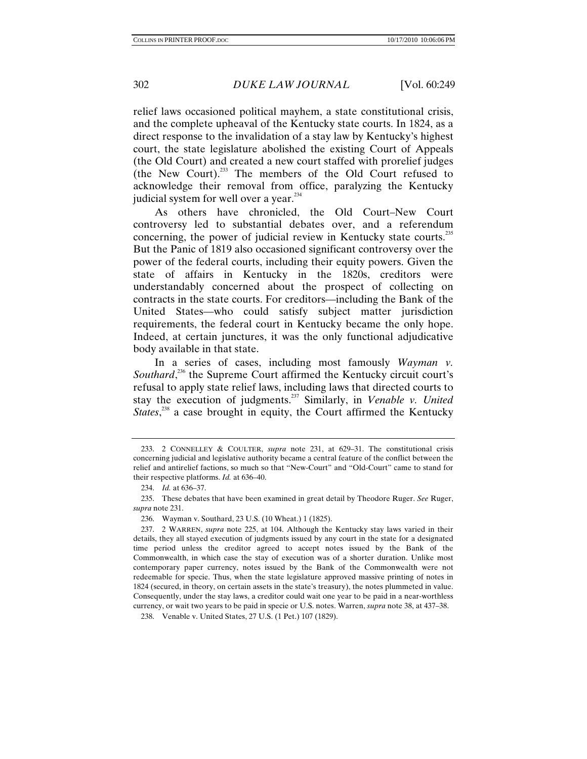relief laws occasioned political mayhem, a state constitutional crisis, and the complete upheaval of the Kentucky state courts. In 1824, as a direct response to the invalidation of a stay law by Kentucky's highest court, the state legislature abolished the existing Court of Appeals (the Old Court) and created a new court staffed with prorelief judges (the New Court).233 The members of the Old Court refused to acknowledge their removal from office, paralyzing the Kentucky judicial system for well over a year.<sup>234</sup>

As others have chronicled, the Old Court–New Court controversy led to substantial debates over, and a referendum concerning, the power of judicial review in Kentucky state courts.<sup>235</sup> But the Panic of 1819 also occasioned significant controversy over the power of the federal courts, including their equity powers. Given the state of affairs in Kentucky in the 1820s, creditors were understandably concerned about the prospect of collecting on contracts in the state courts. For creditors—including the Bank of the United States—who could satisfy subject matter jurisdiction requirements, the federal court in Kentucky became the only hope. Indeed, at certain junctures, it was the only functional adjudicative body available in that state.

In a series of cases, including most famously *Wayman v.*  Southard,<sup>236</sup> the Supreme Court affirmed the Kentucky circuit court's refusal to apply state relief laws, including laws that directed courts to stay the execution of judgments.237 Similarly, in *Venable v. United States*,<sup>238</sup> a case brought in equity, the Court affirmed the Kentucky

 <sup>233. 2</sup> CONNELLEY & COULTER, *supra* note 231, at 629–31. The constitutional crisis concerning judicial and legislative authority became a central feature of the conflict between the relief and antirelief factions, so much so that "New-Court" and "Old-Court" came to stand for their respective platforms. *Id.* at 636–40.

<sup>234.</sup> *Id.* at 636–37.

 <sup>235.</sup> These debates that have been examined in great detail by Theodore Ruger. *See* Ruger, *supra* note 231.

 <sup>236.</sup> Wayman v. Southard, 23 U.S. (10 Wheat.) 1 (1825).

 <sup>237. 2</sup> WARREN, *supra* note 225, at 104. Although the Kentucky stay laws varied in their details, they all stayed execution of judgments issued by any court in the state for a designated time period unless the creditor agreed to accept notes issued by the Bank of the Commonwealth, in which case the stay of execution was of a shorter duration. Unlike most contemporary paper currency, notes issued by the Bank of the Commonwealth were not redeemable for specie. Thus, when the state legislature approved massive printing of notes in 1824 (secured, in theory, on certain assets in the state's treasury), the notes plummeted in value. Consequently, under the stay laws, a creditor could wait one year to be paid in a near-worthless currency, or wait two years to be paid in specie or U.S. notes. Warren, *supra* note 38, at 437–38.

 <sup>238.</sup> Venable v. United States, 27 U.S. (1 Pet.) 107 (1829).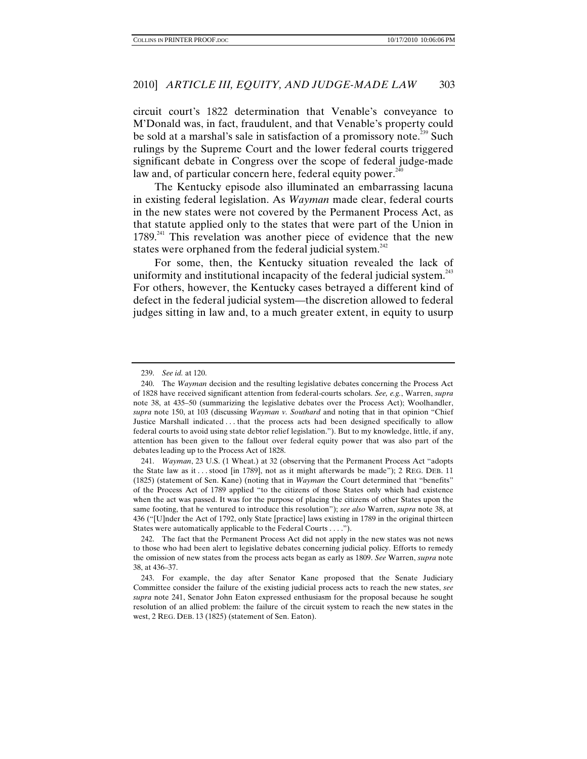circuit court's 1822 determination that Venable's conveyance to M'Donald was, in fact, fraudulent, and that Venable's property could be sold at a marshal's sale in satisfaction of a promissory note.<sup>239</sup> Such rulings by the Supreme Court and the lower federal courts triggered significant debate in Congress over the scope of federal judge-made law and, of particular concern here, federal equity power.<sup>240</sup>

The Kentucky episode also illuminated an embarrassing lacuna in existing federal legislation. As *Wayman* made clear, federal courts in the new states were not covered by the Permanent Process Act, as that statute applied only to the states that were part of the Union in  $1789<sup>241</sup>$  This revelation was another piece of evidence that the new states were orphaned from the federal judicial system.<sup>242</sup>

For some, then, the Kentucky situation revealed the lack of uniformity and institutional incapacity of the federal judicial system.<sup>243</sup> For others, however, the Kentucky cases betrayed a different kind of defect in the federal judicial system—the discretion allowed to federal judges sitting in law and, to a much greater extent, in equity to usurp

241. *Wayman*, 23 U.S. (1 Wheat.) at 32 (observing that the Permanent Process Act "adopts the State law as it . . . stood [in 1789], not as it might afterwards be made"); 2 REG. DEB. 11 (1825) (statement of Sen. Kane) (noting that in *Wayman* the Court determined that "benefits" of the Process Act of 1789 applied "to the citizens of those States only which had existence when the act was passed. It was for the purpose of placing the citizens of other States upon the same footing, that he ventured to introduce this resolution"); *see also* Warren, *supra* note 38, at 436 ("[U]nder the Act of 1792, only State [practice] laws existing in 1789 in the original thirteen States were automatically applicable to the Federal Courts . . . .").

 242. The fact that the Permanent Process Act did not apply in the new states was not news to those who had been alert to legislative debates concerning judicial policy. Efforts to remedy the omission of new states from the process acts began as early as 1809. *See* Warren, *supra* note 38, at 436–37.

<sup>239.</sup> *See id.* at 120.

 <sup>240.</sup> The *Wayman* decision and the resulting legislative debates concerning the Process Act of 1828 have received significant attention from federal-courts scholars. *See, e.g.*, Warren, *supra*  note 38, at 435–50 (summarizing the legislative debates over the Process Act); Woolhandler, *supra* note 150, at 103 (discussing *Wayman v. Southard* and noting that in that opinion "Chief Justice Marshall indicated . . . that the process acts had been designed specifically to allow federal courts to avoid using state debtor relief legislation."). But to my knowledge, little, if any, attention has been given to the fallout over federal equity power that was also part of the debates leading up to the Process Act of 1828.

 <sup>243.</sup> For example, the day after Senator Kane proposed that the Senate Judiciary Committee consider the failure of the existing judicial process acts to reach the new states, *see supra* note 241, Senator John Eaton expressed enthusiasm for the proposal because he sought resolution of an allied problem: the failure of the circuit system to reach the new states in the west, 2 REG. DEB. 13 (1825) (statement of Sen. Eaton).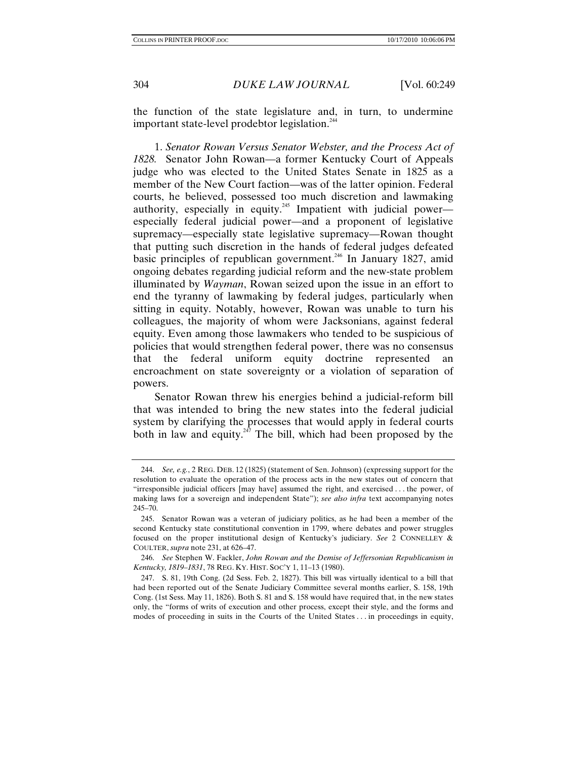the function of the state legislature and, in turn, to undermine important state-level prodebtor legislation.<sup>244</sup>

1. *Senator Rowan Versus Senator Webster, and the Process Act of 1828.* Senator John Rowan—a former Kentucky Court of Appeals judge who was elected to the United States Senate in 1825 as a member of the New Court faction—was of the latter opinion. Federal courts, he believed, possessed too much discretion and lawmaking authority, especially in equity.<sup>245</sup> Impatient with judicial power especially federal judicial power—and a proponent of legislative supremacy—especially state legislative supremacy—Rowan thought that putting such discretion in the hands of federal judges defeated basic principles of republican government.<sup>246</sup> In January 1827, amid ongoing debates regarding judicial reform and the new-state problem illuminated by *Wayman*, Rowan seized upon the issue in an effort to end the tyranny of lawmaking by federal judges, particularly when sitting in equity. Notably, however, Rowan was unable to turn his colleagues, the majority of whom were Jacksonians, against federal equity. Even among those lawmakers who tended to be suspicious of policies that would strengthen federal power, there was no consensus that the federal uniform equity doctrine represented an encroachment on state sovereignty or a violation of separation of powers.

Senator Rowan threw his energies behind a judicial-reform bill that was intended to bring the new states into the federal judicial system by clarifying the processes that would apply in federal courts both in law and equity.<sup>247</sup> The bill, which had been proposed by the

<sup>244.</sup> *See, e.g.*, 2 REG. DEB. 12 (1825) (Statement of Sen. Johnson) (expressing support for the resolution to evaluate the operation of the process acts in the new states out of concern that "irresponsible judicial officers [may have] assumed the right, and exercised . . . the power, of making laws for a sovereign and independent State"); *see also infra* text accompanying notes 245–70.

 <sup>245.</sup> Senator Rowan was a veteran of judiciary politics, as he had been a member of the second Kentucky state constitutional convention in 1799, where debates and power struggles focused on the proper institutional design of Kentucky's judiciary. *See* 2 CONNELLEY & COULTER, *supra* note 231, at 626–47.

<sup>246.</sup> *See* Stephen W. Fackler, *John Rowan and the Demise of Jeffersonian Republicanism in Kentucky, 1819*–*1831*, 78 REG. KY. HIST. SOC'Y 1, 11–13 (1980).

 <sup>247.</sup> S. 81, 19th Cong. (2d Sess. Feb. 2, 1827). This bill was virtually identical to a bill that had been reported out of the Senate Judiciary Committee several months earlier, S. 158, 19th Cong. (1st Sess. May 11, 1826). Both S. 81 and S. 158 would have required that, in the new states only, the "forms of writs of execution and other process, except their style, and the forms and modes of proceeding in suits in the Courts of the United States . . . in proceedings in equity,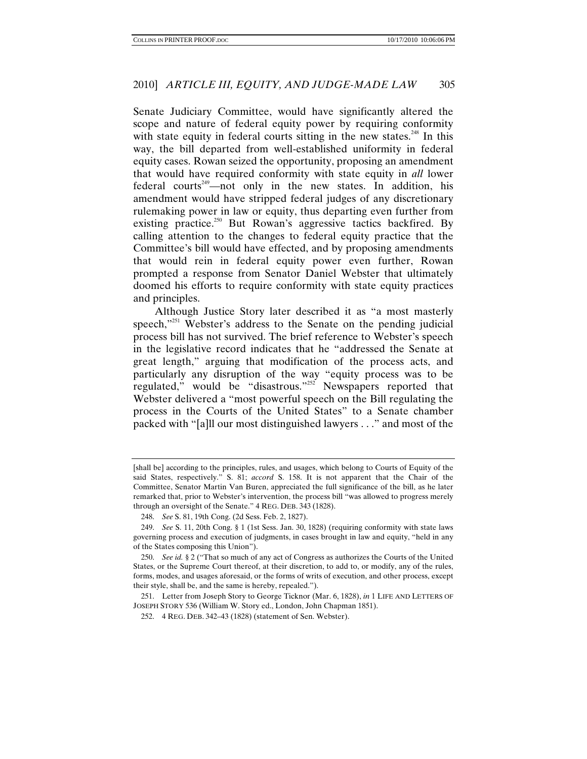Senate Judiciary Committee, would have significantly altered the scope and nature of federal equity power by requiring conformity with state equity in federal courts sitting in the new states.<sup>248</sup> In this way, the bill departed from well-established uniformity in federal equity cases. Rowan seized the opportunity, proposing an amendment that would have required conformity with state equity in *all* lower federal courts<sup>249</sup>—not only in the new states. In addition, his amendment would have stripped federal judges of any discretionary rulemaking power in law or equity, thus departing even further from existing practice.<sup>250</sup> But Rowan's aggressive tactics backfired. By calling attention to the changes to federal equity practice that the Committee's bill would have effected, and by proposing amendments that would rein in federal equity power even further, Rowan prompted a response from Senator Daniel Webster that ultimately doomed his efforts to require conformity with state equity practices and principles.

Although Justice Story later described it as "a most masterly speech, $"^{251}$  Webster's address to the Senate on the pending judicial process bill has not survived. The brief reference to Webster's speech in the legislative record indicates that he "addressed the Senate at great length," arguing that modification of the process acts, and particularly any disruption of the way "equity process was to be regulated," would be "disastrous."<sup>252</sup> Newspapers reported that Webster delivered a "most powerful speech on the Bill regulating the process in the Courts of the United States" to a Senate chamber packed with "[a]ll our most distinguished lawyers . . ." and most of the

<sup>[</sup>shall be] according to the principles, rules, and usages, which belong to Courts of Equity of the said States, respectively." S. 81; *accord* S. 158. It is not apparent that the Chair of the Committee, Senator Martin Van Buren, appreciated the full significance of the bill, as he later remarked that, prior to Webster's intervention, the process bill "was allowed to progress merely through an oversight of the Senate." 4 REG. DEB. 343 (1828).

<sup>248.</sup> *See* S. 81, 19th Cong. (2d Sess. Feb. 2, 1827).

<sup>249.</sup> *See* S. 11, 20th Cong. § 1 (1st Sess. Jan. 30, 1828) (requiring conformity with state laws governing process and execution of judgments, in cases brought in law and equity, "held in any of the States composing this Union").

<sup>250.</sup> *See id.* § 2 ("That so much of any act of Congress as authorizes the Courts of the United States, or the Supreme Court thereof, at their discretion, to add to, or modify, any of the rules, forms, modes, and usages aforesaid, or the forms of writs of execution, and other process, except their style, shall be, and the same is hereby, repealed.").

 <sup>251.</sup> Letter from Joseph Story to George Ticknor (Mar. 6, 1828), *in* 1 LIFE AND LETTERS OF JOSEPH STORY 536 (William W. Story ed., London, John Chapman 1851).

 <sup>252. 4</sup> REG. DEB. 342–43 (1828) (statement of Sen. Webster).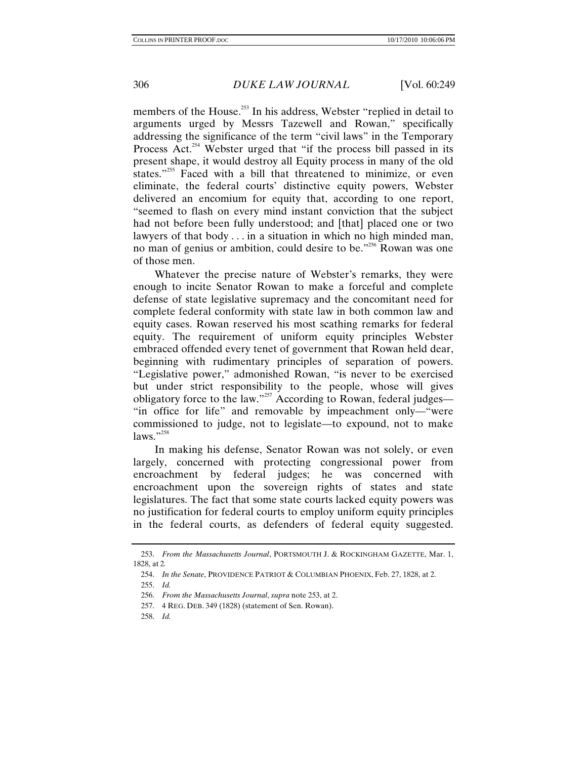members of the House.<sup>253</sup> In his address, Webster "replied in detail to arguments urged by Messrs Tazewell and Rowan," specifically addressing the significance of the term "civil laws" in the Temporary Process Act.<sup>254</sup> Webster urged that "if the process bill passed in its present shape, it would destroy all Equity process in many of the old states."<sup>255</sup> Faced with a bill that threatened to minimize, or even eliminate, the federal courts' distinctive equity powers, Webster delivered an encomium for equity that, according to one report, "seemed to flash on every mind instant conviction that the subject had not before been fully understood; and [that] placed one or two lawyers of that body  $\dots$  in a situation in which no high minded man, no man of genius or ambition, could desire to be."<sup>256</sup> Rowan was one of those men.

Whatever the precise nature of Webster's remarks, they were enough to incite Senator Rowan to make a forceful and complete defense of state legislative supremacy and the concomitant need for complete federal conformity with state law in both common law and equity cases. Rowan reserved his most scathing remarks for federal equity. The requirement of uniform equity principles Webster embraced offended every tenet of government that Rowan held dear, beginning with rudimentary principles of separation of powers. "Legislative power," admonished Rowan, "is never to be exercised but under strict responsibility to the people, whose will gives obligatory force to the law."<sup>257</sup> According to Rowan, federal judges— "in office for life" and removable by impeachment only—"were commissioned to judge, not to legislate—to expound, not to make laws." $^{258}$ 

In making his defense, Senator Rowan was not solely, or even largely, concerned with protecting congressional power from encroachment by federal judges; he was concerned with encroachment upon the sovereign rights of states and state legislatures. The fact that some state courts lacked equity powers was no justification for federal courts to employ uniform equity principles in the federal courts, as defenders of federal equity suggested.

258. *Id.*

<sup>253.</sup> *From the Massachusetts Journal*, PORTSMOUTH J. & ROCKINGHAM GAZETTE, Mar. 1, 1828, at 2*.*

<sup>254.</sup> *In the Senate*, PROVIDENCE PATRIOT & COLUMBIAN PHOENIX, Feb. 27, 1828, at 2.

<sup>255.</sup> *Id.*

<sup>256.</sup> *From the Massachusetts Journal*, *supra* note 253, at 2.

 <sup>257. 4</sup> REG. DEB. 349 (1828) (statement of Sen. Rowan).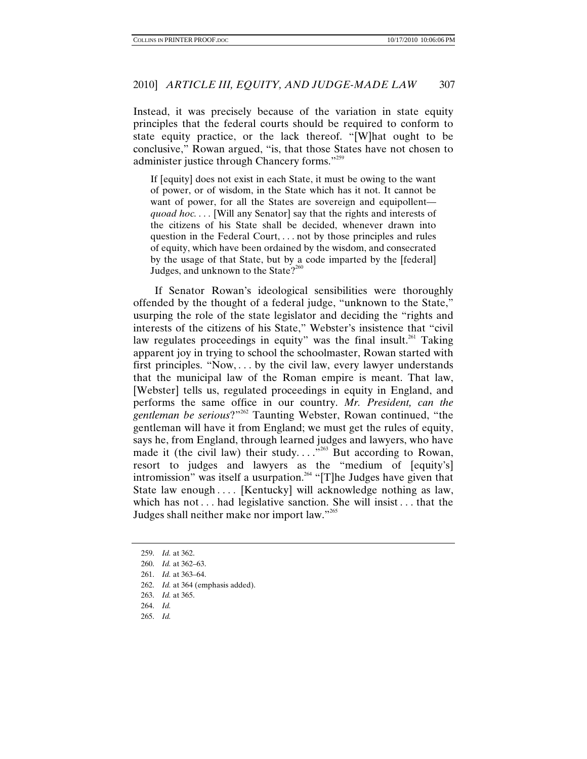Instead, it was precisely because of the variation in state equity principles that the federal courts should be required to conform to state equity practice, or the lack thereof. "[W]hat ought to be conclusive," Rowan argued, "is, that those States have not chosen to administer justice through Chancery forms."<sup>259</sup>

If [equity] does not exist in each State, it must be owing to the want of power, or of wisdom, in the State which has it not. It cannot be want of power, for all the States are sovereign and equipollent *quoad hoc.* . . . [Will any Senator] say that the rights and interests of the citizens of his State shall be decided, whenever drawn into question in the Federal Court, . . . not by those principles and rules of equity, which have been ordained by the wisdom, and consecrated by the usage of that State, but by a code imparted by the [federal] Judges, and unknown to the State? $2^{260}$ 

If Senator Rowan's ideological sensibilities were thoroughly offended by the thought of a federal judge, "unknown to the State," usurping the role of the state legislator and deciding the "rights and interests of the citizens of his State," Webster's insistence that "civil law regulates proceedings in equity" was the final insult.<sup>261</sup> Taking apparent joy in trying to school the schoolmaster, Rowan started with first principles. "Now, *. . .* by the civil law, every lawyer understands that the municipal law of the Roman empire is meant. That law, [Webster] tells us, regulated proceedings in equity in England, and performs the same office in our country. *Mr. President, can the gentleman be serious*?"262 Taunting Webster, Rowan continued, "the gentleman will have it from England; we must get the rules of equity, says he, from England, through learned judges and lawyers, who have made it (the civil law) their study....<sup>"263</sup> But according to Rowan, resort to judges and lawyers as the "medium of [equity's] intromission" was itself a usurpation.<sup>264</sup> "[T]he Judges have given that State law enough *. . . .* [Kentucky] will acknowledge nothing as law, which has not *. . .* had legislative sanction. She will insist *. . .* that the Judges shall neither make nor import law."265

- 262. *Id.* at 364 (emphasis added).
- 263. *Id.* at 365.
- 264. *Id.*
- 265. *Id.*

<sup>259.</sup> *Id.* at 362.

<sup>260.</sup> *Id.* at 362–63.

<sup>261.</sup> *Id.* at 363–64.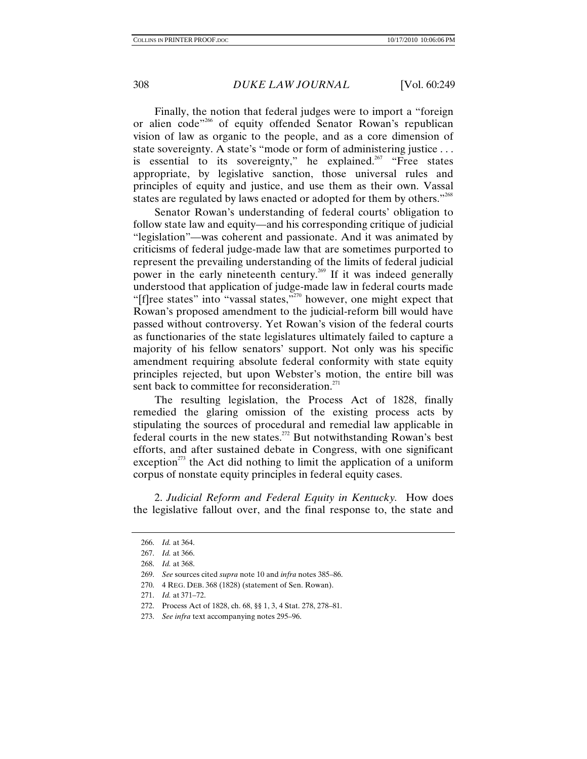Finally, the notion that federal judges were to import a "foreign or alien code"<sup>266</sup> of equity offended Senator Rowan's republican vision of law as organic to the people, and as a core dimension of state sovereignty. A state's "mode or form of administering justice . . . is essential to its sovereignty," he explained.<sup>267</sup> "Free states appropriate, by legislative sanction, those universal rules and principles of equity and justice, and use them as their own. Vassal states are regulated by laws enacted or adopted for them by others."<sup>268</sup>

Senator Rowan's understanding of federal courts' obligation to follow state law and equity—and his corresponding critique of judicial "legislation"—was coherent and passionate. And it was animated by criticisms of federal judge-made law that are sometimes purported to represent the prevailing understanding of the limits of federal judicial power in the early nineteenth century.269 If it was indeed generally understood that application of judge-made law in federal courts made "[f]ree states" into "vassal states,"<sup>270</sup> however, one might expect that Rowan's proposed amendment to the judicial-reform bill would have passed without controversy. Yet Rowan's vision of the federal courts as functionaries of the state legislatures ultimately failed to capture a majority of his fellow senators' support. Not only was his specific amendment requiring absolute federal conformity with state equity principles rejected, but upon Webster's motion, the entire bill was sent back to committee for reconsideration.<sup>271</sup>

The resulting legislation, the Process Act of 1828, finally remedied the glaring omission of the existing process acts by stipulating the sources of procedural and remedial law applicable in federal courts in the new states.<sup>272</sup> But notwithstanding Rowan's best efforts, and after sustained debate in Congress, with one significant exception<sup> $273$ </sup> the Act did nothing to limit the application of a uniform corpus of nonstate equity principles in federal equity cases.

2. *Judicial Reform and Federal Equity in Kentucky.* How does the legislative fallout over, and the final response to, the state and

270. 4 REG. DEB. 368 (1828) (statement of Sen. Rowan).

- 272. Process Act of 1828, ch. 68, §§ 1, 3, 4 Stat. 278, 278–81.
- 273. *See infra* text accompanying notes 295–96.

<sup>266.</sup> *Id.* at 364.

<sup>267.</sup> *Id.* at 366.

<sup>268.</sup> *Id.* at 368.

<sup>269.</sup> *See* sources cited *supra* note 10 and *infra* notes 385–86.

 <sup>271.</sup> *Id.* at 371–72.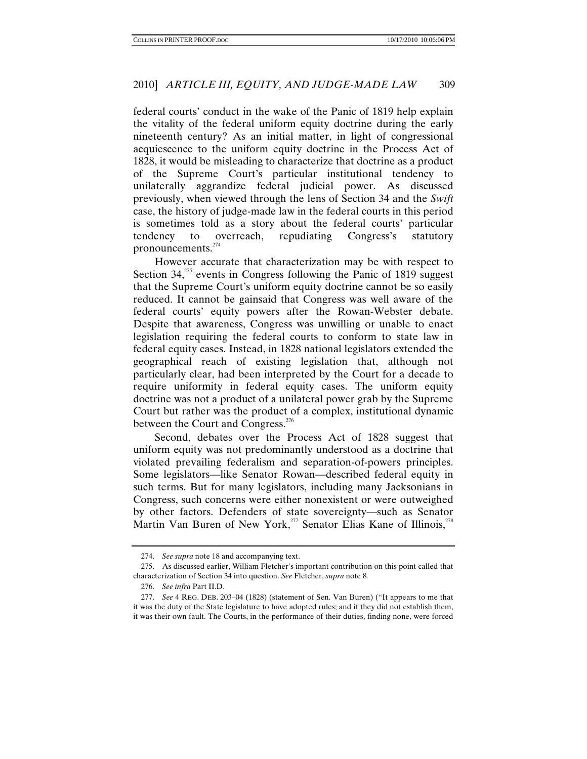federal courts' conduct in the wake of the Panic of 1819 help explain the vitality of the federal uniform equity doctrine during the early nineteenth century? As an initial matter, in light of congressional acquiescence to the uniform equity doctrine in the Process Act of 1828, it would be misleading to characterize that doctrine as a product of the Supreme Court's particular institutional tendency to unilaterally aggrandize federal judicial power. As discussed previously, when viewed through the lens of Section 34 and the *Swift*  case, the history of judge-made law in the federal courts in this period is sometimes told as a story about the federal courts' particular tendency to overreach, repudiating Congress's statutory pronouncements.<sup>274</sup>

However accurate that characterization may be with respect to Section  $34$ ,<sup>275</sup> events in Congress following the Panic of 1819 suggest that the Supreme Court's uniform equity doctrine cannot be so easily reduced. It cannot be gainsaid that Congress was well aware of the federal courts' equity powers after the Rowan-Webster debate. Despite that awareness, Congress was unwilling or unable to enact legislation requiring the federal courts to conform to state law in federal equity cases. Instead, in 1828 national legislators extended the geographical reach of existing legislation that, although not particularly clear, had been interpreted by the Court for a decade to require uniformity in federal equity cases. The uniform equity doctrine was not a product of a unilateral power grab by the Supreme Court but rather was the product of a complex, institutional dynamic between the Court and Congress.<sup>276</sup>

Second, debates over the Process Act of 1828 suggest that uniform equity was not predominantly understood as a doctrine that violated prevailing federalism and separation-of-powers principles. Some legislators—like Senator Rowan—described federal equity in such terms. But for many legislators, including many Jacksonians in Congress, such concerns were either nonexistent or were outweighed by other factors. Defenders of state sovereignty—such as Senator Martin Van Buren of New York,<sup>277</sup> Senator Elias Kane of Illinois,<sup>278</sup>

<sup>274.</sup> *See supra* note 18 and accompanying text.

 <sup>275.</sup> As discussed earlier, William Fletcher's important contribution on this point called that characterization of Section 34 into question. *See* Fletcher, *supra* note 8*.*

<sup>276.</sup> *See infra* Part II.D.

<sup>277.</sup> *See* 4 REG. DEB. 203–04 (1828) (statement of Sen. Van Buren) ("It appears to me that it was the duty of the State legislature to have adopted rules; and if they did not establish them, it was their own fault. The Courts, in the performance of their duties, finding none, were forced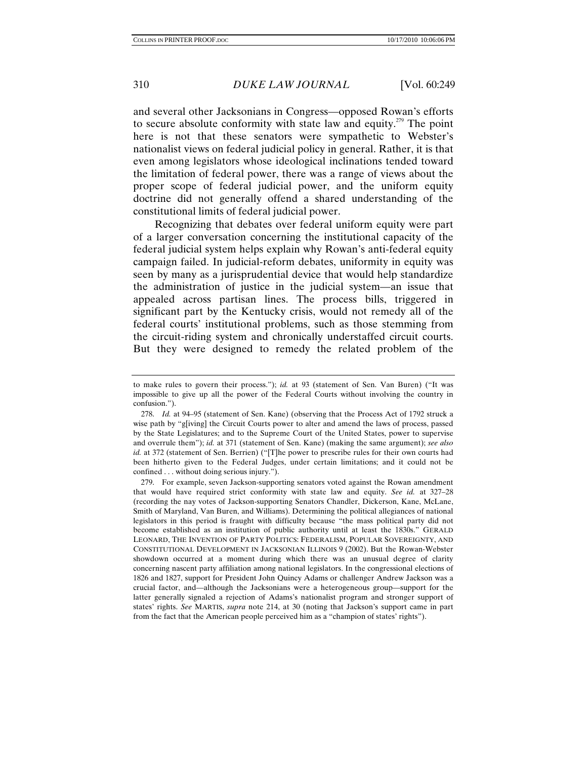and several other Jacksonians in Congress—opposed Rowan's efforts to secure absolute conformity with state law and equity.279 The point here is not that these senators were sympathetic to Webster's nationalist views on federal judicial policy in general. Rather, it is that even among legislators whose ideological inclinations tended toward the limitation of federal power, there was a range of views about the proper scope of federal judicial power, and the uniform equity doctrine did not generally offend a shared understanding of the constitutional limits of federal judicial power.

Recognizing that debates over federal uniform equity were part of a larger conversation concerning the institutional capacity of the federal judicial system helps explain why Rowan's anti-federal equity campaign failed. In judicial-reform debates, uniformity in equity was seen by many as a jurisprudential device that would help standardize the administration of justice in the judicial system—an issue that appealed across partisan lines. The process bills, triggered in significant part by the Kentucky crisis, would not remedy all of the federal courts' institutional problems, such as those stemming from the circuit-riding system and chronically understaffed circuit courts. But they were designed to remedy the related problem of the

to make rules to govern their process."); *id.* at 93 (statement of Sen. Van Buren) ("It was impossible to give up all the power of the Federal Courts without involving the country in confusion.").

<sup>278.</sup> *Id.* at 94–95 (statement of Sen. Kane) (observing that the Process Act of 1792 struck a wise path by "g[iving] the Circuit Courts power to alter and amend the laws of process, passed by the State Legislatures; and to the Supreme Court of the United States, power to supervise and overrule them"); *id.* at 371 (statement of Sen. Kane) (making the same argument); *see also id.* at 372 (statement of Sen. Berrien) ("[T]he power to prescribe rules for their own courts had been hitherto given to the Federal Judges, under certain limitations; and it could not be confined . . . without doing serious injury.").

 <sup>279.</sup> For example, seven Jackson-supporting senators voted against the Rowan amendment that would have required strict conformity with state law and equity. *See id.* at 327–28 (recording the nay votes of Jackson-supporting Senators Chandler, Dickerson, Kane, McLane, Smith of Maryland, Van Buren, and Williams). Determining the political allegiances of national legislators in this period is fraught with difficulty because "the mass political party did not become established as an institution of public authority until at least the 1830s." GERALD LEONARD, THE INVENTION OF PARTY POLITICS: FEDERALISM, POPULAR SOVEREIGNTY, AND CONSTITUTIONAL DEVELOPMENT IN JACKSONIAN ILLINOIS 9 (2002). But the Rowan-Webster showdown occurred at a moment during which there was an unusual degree of clarity concerning nascent party affiliation among national legislators. In the congressional elections of 1826 and 1827, support for President John Quincy Adams or challenger Andrew Jackson was a crucial factor, and—although the Jacksonians were a heterogeneous group—support for the latter generally signaled a rejection of Adams's nationalist program and stronger support of states' rights. *See* MARTIS, *supra* note 214, at 30 (noting that Jackson's support came in part from the fact that the American people perceived him as a "champion of states' rights").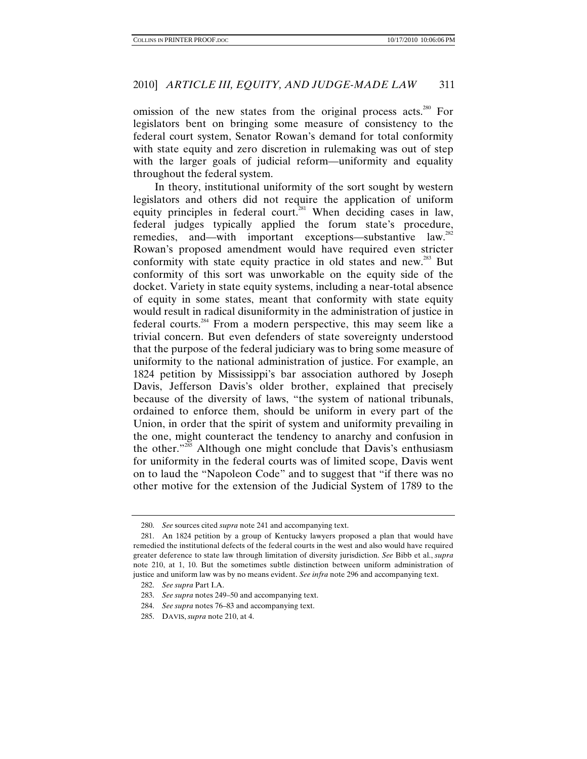omission of the new states from the original process acts.<sup>280</sup> For legislators bent on bringing some measure of consistency to the federal court system, Senator Rowan's demand for total conformity with state equity and zero discretion in rulemaking was out of step with the larger goals of judicial reform—uniformity and equality throughout the federal system.

In theory, institutional uniformity of the sort sought by western legislators and others did not require the application of uniform equity principles in federal court.<sup>281</sup> When deciding cases in law, federal judges typically applied the forum state's procedure, remedies, and—with important exceptions—substantive law.<sup>282</sup> Rowan's proposed amendment would have required even stricter conformity with state equity practice in old states and new.<sup>283</sup> But conformity of this sort was unworkable on the equity side of the docket. Variety in state equity systems, including a near-total absence of equity in some states, meant that conformity with state equity would result in radical disuniformity in the administration of justice in federal courts.284 From a modern perspective, this may seem like a trivial concern. But even defenders of state sovereignty understood that the purpose of the federal judiciary was to bring some measure of uniformity to the national administration of justice. For example, an 1824 petition by Mississippi's bar association authored by Joseph Davis, Jefferson Davis's older brother, explained that precisely because of the diversity of laws, "the system of national tribunals, ordained to enforce them, should be uniform in every part of the Union, in order that the spirit of system and uniformity prevailing in the one, might counteract the tendency to anarchy and confusion in the other."<sup>285</sup> Although one might conclude that Davis's enthusiasm for uniformity in the federal courts was of limited scope, Davis went on to laud the "Napoleon Code" and to suggest that "if there was no other motive for the extension of the Judicial System of 1789 to the

<sup>280.</sup> *See* sources cited *supra* note 241 and accompanying text.

 <sup>281.</sup> An 1824 petition by a group of Kentucky lawyers proposed a plan that would have remedied the institutional defects of the federal courts in the west and also would have required greater deference to state law through limitation of diversity jurisdiction. *See* Bibb et al., *supra*  note 210, at 1, 10. But the sometimes subtle distinction between uniform administration of justice and uniform law was by no means evident. *See infra* note 296 and accompanying text.

<sup>282.</sup> *See supra* Part I.A.

 <sup>283.</sup> *See supra* notes 249–50 and accompanying text.

<sup>284.</sup> *See supra* notes 76–83 and accompanying text.

 <sup>285.</sup> DAVIS, *supra* note 210, at 4.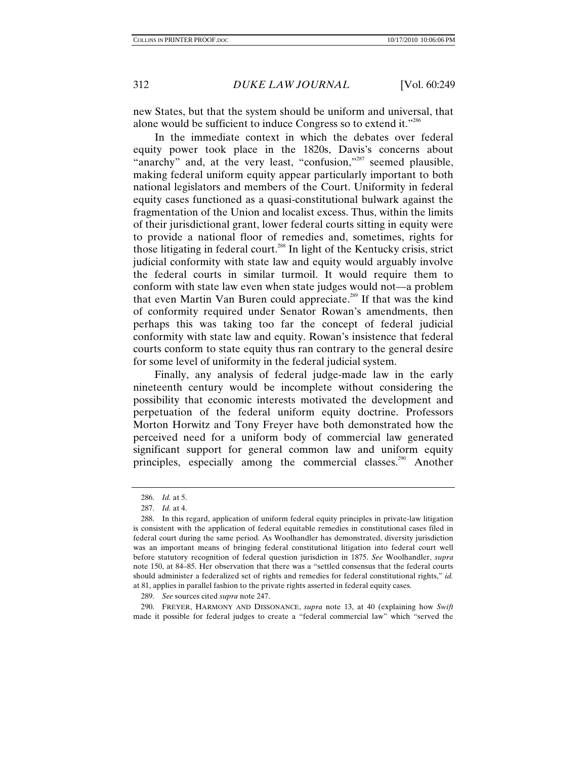new States, but that the system should be uniform and universal, that alone would be sufficient to induce Congress so to extend it."286

In the immediate context in which the debates over federal equity power took place in the 1820s, Davis's concerns about "anarchy" and, at the very least, "confusion,"<sup>287</sup> seemed plausible, making federal uniform equity appear particularly important to both national legislators and members of the Court. Uniformity in federal equity cases functioned as a quasi-constitutional bulwark against the fragmentation of the Union and localist excess. Thus, within the limits of their jurisdictional grant, lower federal courts sitting in equity were to provide a national floor of remedies and, sometimes, rights for those litigating in federal court.<sup>288</sup> In light of the Kentucky crisis, strict judicial conformity with state law and equity would arguably involve the federal courts in similar turmoil. It would require them to conform with state law even when state judges would not—a problem that even Martin Van Buren could appreciate.<sup>289</sup> If that was the kind of conformity required under Senator Rowan's amendments, then perhaps this was taking too far the concept of federal judicial conformity with state law and equity. Rowan's insistence that federal courts conform to state equity thus ran contrary to the general desire for some level of uniformity in the federal judicial system.

Finally, any analysis of federal judge-made law in the early nineteenth century would be incomplete without considering the possibility that economic interests motivated the development and perpetuation of the federal uniform equity doctrine. Professors Morton Horwitz and Tony Freyer have both demonstrated how the perceived need for a uniform body of commercial law generated significant support for general common law and uniform equity principles, especially among the commercial classes.<sup>290</sup> Another

 290. FREYER, HARMONY AND DISSONANCE, *supra* note 13, at 40 (explaining how *Swift* made it possible for federal judges to create a "federal commercial law" which "served the

<sup>286.</sup> *Id.* at 5.

<sup>287.</sup> *Id.* at 4.

 <sup>288.</sup> In this regard, application of uniform federal equity principles in private-law litigation is consistent with the application of federal equitable remedies in constitutional cases filed in federal court during the same period. As Woolhandler has demonstrated, diversity jurisdiction was an important means of bringing federal constitutional litigation into federal court well before statutory recognition of federal question jurisdiction in 1875. *See* Woolhandler, *supra*  note 150, at 84–85. Her observation that there was a "settled consensus that the federal courts should administer a federalized set of rights and remedies for federal constitutional rights," *id.* at 81, applies in parallel fashion to the private rights asserted in federal equity cases.

<sup>289.</sup> *See* sources cited *supra* note 247.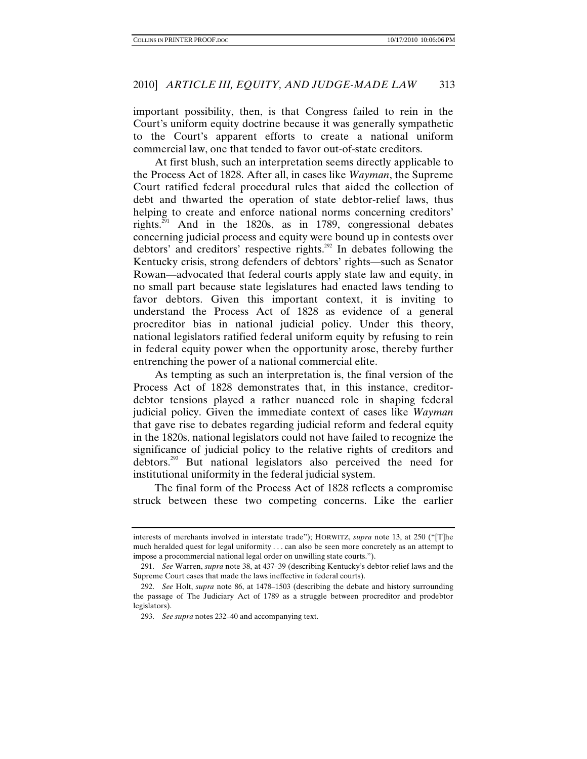important possibility, then, is that Congress failed to rein in the Court's uniform equity doctrine because it was generally sympathetic to the Court's apparent efforts to create a national uniform commercial law, one that tended to favor out-of-state creditors.

At first blush, such an interpretation seems directly applicable to the Process Act of 1828. After all, in cases like *Wayman*, the Supreme Court ratified federal procedural rules that aided the collection of debt and thwarted the operation of state debtor-relief laws, thus helping to create and enforce national norms concerning creditors' rights.<sup>291</sup> And in the 1820s, as in 1789, congressional debates concerning judicial process and equity were bound up in contests over debtors' and creditors' respective rights.<sup>292</sup> In debates following the Kentucky crisis, strong defenders of debtors' rights—such as Senator Rowan—advocated that federal courts apply state law and equity, in no small part because state legislatures had enacted laws tending to favor debtors. Given this important context, it is inviting to understand the Process Act of 1828 as evidence of a general procreditor bias in national judicial policy. Under this theory, national legislators ratified federal uniform equity by refusing to rein in federal equity power when the opportunity arose, thereby further entrenching the power of a national commercial elite.

As tempting as such an interpretation is, the final version of the Process Act of 1828 demonstrates that, in this instance, creditordebtor tensions played a rather nuanced role in shaping federal judicial policy. Given the immediate context of cases like *Wayman* that gave rise to debates regarding judicial reform and federal equity in the 1820s, national legislators could not have failed to recognize the significance of judicial policy to the relative rights of creditors and debtors.293 But national legislators also perceived the need for institutional uniformity in the federal judicial system.

The final form of the Process Act of 1828 reflects a compromise struck between these two competing concerns. Like the earlier

interests of merchants involved in interstate trade"); HORWITZ, *supra* note 13, at 250 ("[T]he much heralded quest for legal uniformity . . . can also be seen more concretely as an attempt to impose a procommercial national legal order on unwilling state courts.").

<sup>291.</sup> *See* Warren, *supra* note 38, at 437–39 (describing Kentucky's debtor-relief laws and the Supreme Court cases that made the laws ineffective in federal courts).

<sup>292.</sup> *See* Holt, *supra* note 86, at 1478–1503 (describing the debate and history surrounding the passage of The Judiciary Act of 1789 as a struggle between procreditor and prodebtor legislators).

<sup>293.</sup> *See supra* notes 232–40 and accompanying text.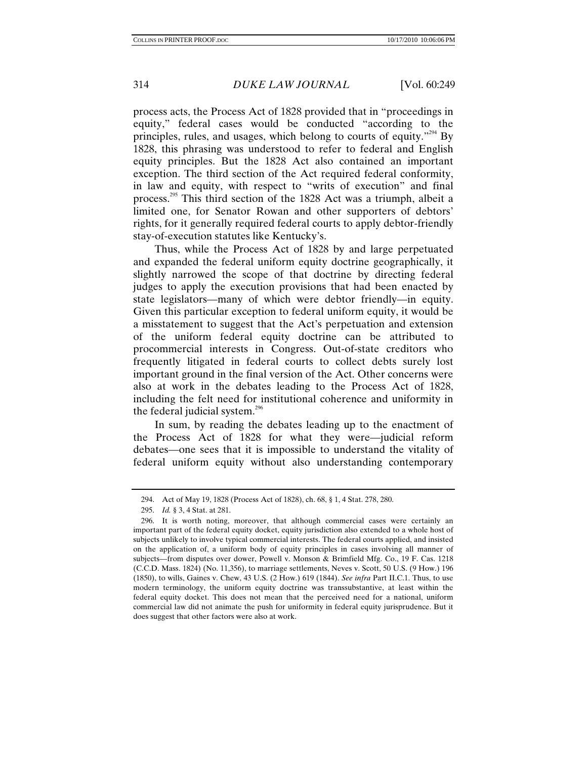process acts, the Process Act of 1828 provided that in "proceedings in equity," federal cases would be conducted "according to the principles, rules, and usages, which belong to courts of equity."<sup>294</sup> By 1828, this phrasing was understood to refer to federal and English equity principles. But the 1828 Act also contained an important exception. The third section of the Act required federal conformity, in law and equity, with respect to "writs of execution" and final process.295 This third section of the 1828 Act was a triumph, albeit a limited one, for Senator Rowan and other supporters of debtors' rights, for it generally required federal courts to apply debtor-friendly stay-of-execution statutes like Kentucky's.

Thus, while the Process Act of 1828 by and large perpetuated and expanded the federal uniform equity doctrine geographically, it slightly narrowed the scope of that doctrine by directing federal judges to apply the execution provisions that had been enacted by state legislators—many of which were debtor friendly—in equity. Given this particular exception to federal uniform equity, it would be a misstatement to suggest that the Act's perpetuation and extension of the uniform federal equity doctrine can be attributed to procommercial interests in Congress. Out-of-state creditors who frequently litigated in federal courts to collect debts surely lost important ground in the final version of the Act. Other concerns were also at work in the debates leading to the Process Act of 1828, including the felt need for institutional coherence and uniformity in the federal judicial system.<sup>296</sup>

In sum, by reading the debates leading up to the enactment of the Process Act of 1828 for what they were—judicial reform debates—one sees that it is impossible to understand the vitality of federal uniform equity without also understanding contemporary

 <sup>294.</sup> Act of May 19, 1828 (Process Act of 1828), ch. 68, § 1, 4 Stat. 278, 280.

<sup>295.</sup> *Id.* § 3, 4 Stat. at 281.

 <sup>296.</sup> It is worth noting, moreover, that although commercial cases were certainly an important part of the federal equity docket, equity jurisdiction also extended to a whole host of subjects unlikely to involve typical commercial interests. The federal courts applied, and insisted on the application of, a uniform body of equity principles in cases involving all manner of subjects—from disputes over dower, Powell v. Monson & Brimfield Mfg. Co., 19 F. Cas. 1218 (C.C.D. Mass. 1824) (No. 11,356), to marriage settlements, Neves v. Scott, 50 U.S. (9 How.) 196 (1850), to wills, Gaines v. Chew, 43 U.S. (2 How.) 619 (1844). *See infra* Part II.C.1. Thus, to use modern terminology, the uniform equity doctrine was transsubstantive, at least within the federal equity docket. This does not mean that the perceived need for a national, uniform commercial law did not animate the push for uniformity in federal equity jurisprudence. But it does suggest that other factors were also at work.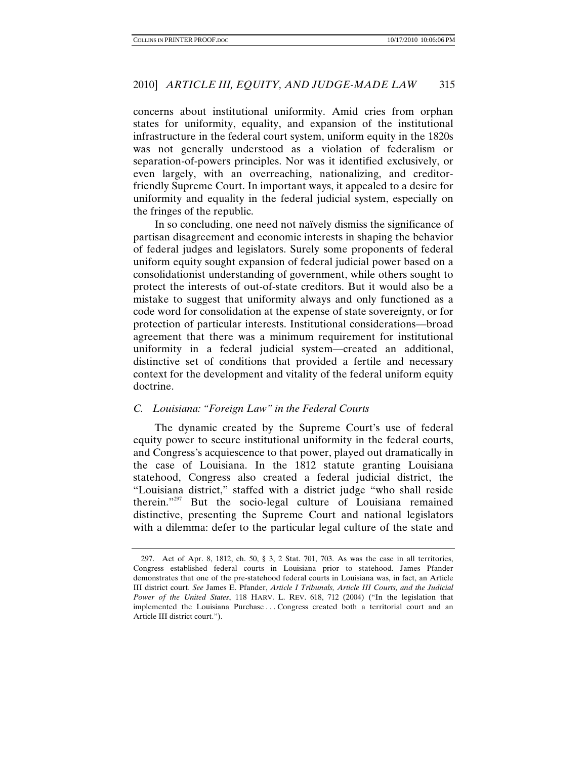concerns about institutional uniformity. Amid cries from orphan states for uniformity, equality, and expansion of the institutional infrastructure in the federal court system, uniform equity in the 1820s was not generally understood as a violation of federalism or separation-of-powers principles. Nor was it identified exclusively, or even largely, with an overreaching, nationalizing, and creditorfriendly Supreme Court. In important ways, it appealed to a desire for uniformity and equality in the federal judicial system, especially on the fringes of the republic.

In so concluding, one need not naïvely dismiss the significance of partisan disagreement and economic interests in shaping the behavior of federal judges and legislators. Surely some proponents of federal uniform equity sought expansion of federal judicial power based on a consolidationist understanding of government, while others sought to protect the interests of out-of-state creditors. But it would also be a mistake to suggest that uniformity always and only functioned as a code word for consolidation at the expense of state sovereignty, or for protection of particular interests. Institutional considerations—broad agreement that there was a minimum requirement for institutional uniformity in a federal judicial system—created an additional, distinctive set of conditions that provided a fertile and necessary context for the development and vitality of the federal uniform equity doctrine.

## *C. Louisiana: "Foreign Law" in the Federal Courts*

The dynamic created by the Supreme Court's use of federal equity power to secure institutional uniformity in the federal courts, and Congress's acquiescence to that power, played out dramatically in the case of Louisiana. In the 1812 statute granting Louisiana statehood, Congress also created a federal judicial district, the "Louisiana district," staffed with a district judge "who shall reside therein."<sup>297</sup> But the socio-legal culture of Louisiana remained distinctive, presenting the Supreme Court and national legislators with a dilemma: defer to the particular legal culture of the state and

 <sup>297.</sup> Act of Apr. 8, 1812, ch. 50, § 3, 2 Stat. 701, 703. As was the case in all territories, Congress established federal courts in Louisiana prior to statehood. James Pfander demonstrates that one of the pre-statehood federal courts in Louisiana was, in fact, an Article III district court. *See* James E. Pfander, *Article I Tribunals, Article III Courts, and the Judicial Power of the United States*, 118 HARV. L. REV. 618, 712 (2004) ("In the legislation that implemented the Louisiana Purchase . . . Congress created both a territorial court and an Article III district court.").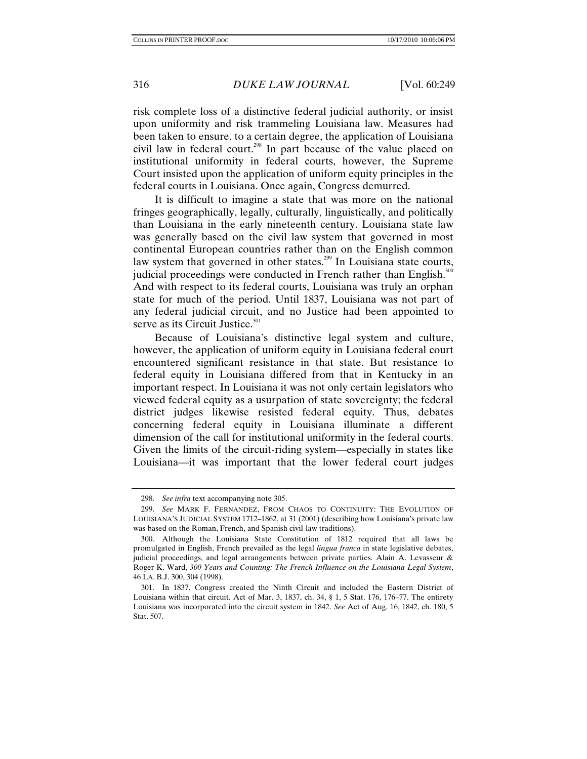risk complete loss of a distinctive federal judicial authority, or insist upon uniformity and risk trammeling Louisiana law. Measures had been taken to ensure, to a certain degree, the application of Louisiana civil law in federal court.<sup>298</sup> In part because of the value placed on institutional uniformity in federal courts, however, the Supreme Court insisted upon the application of uniform equity principles in the federal courts in Louisiana. Once again, Congress demurred.

It is difficult to imagine a state that was more on the national fringes geographically, legally, culturally, linguistically, and politically than Louisiana in the early nineteenth century. Louisiana state law was generally based on the civil law system that governed in most continental European countries rather than on the English common law system that governed in other states.<sup>299</sup> In Louisiana state courts, judicial proceedings were conducted in French rather than English.<sup>300</sup> And with respect to its federal courts, Louisiana was truly an orphan state for much of the period. Until 1837, Louisiana was not part of any federal judicial circuit, and no Justice had been appointed to serve as its Circuit Justice.<sup>301</sup>

Because of Louisiana's distinctive legal system and culture, however, the application of uniform equity in Louisiana federal court encountered significant resistance in that state. But resistance to federal equity in Louisiana differed from that in Kentucky in an important respect. In Louisiana it was not only certain legislators who viewed federal equity as a usurpation of state sovereignty; the federal district judges likewise resisted federal equity. Thus, debates concerning federal equity in Louisiana illuminate a different dimension of the call for institutional uniformity in the federal courts. Given the limits of the circuit-riding system—especially in states like Louisiana—it was important that the lower federal court judges

<sup>298.</sup> *See infra* text accompanying note 305.

<sup>299.</sup> *See* MARK F. FERNANDEZ, FROM CHAOS TO CONTINUITY: THE EVOLUTION OF LOUISIANA'S JUDICIAL SYSTEM 1712–1862, at 31 (2001) (describing how Louisiana's private law was based on the Roman, French, and Spanish civil-law traditions).

 <sup>300.</sup> Although the Louisiana State Constitution of 1812 required that all laws be promulgated in English, French prevailed as the legal *lingua franca* in state legislative debates, judicial proceedings, and legal arrangements between private parties. Alain A. Levasseur  $\&$ Roger K. Ward, *300 Years and Counting: The French Influence on the Louisiana Legal System*, 46 LA. B.J. 300, 304 (1998).

 <sup>301.</sup> In 1837, Congress created the Ninth Circuit and included the Eastern District of Louisiana within that circuit. Act of Mar. 3, 1837, ch. 34, § 1, 5 Stat. 176, 176–77. The entirety Louisiana was incorporated into the circuit system in 1842. *See* Act of Aug. 16, 1842, ch. 180, 5 Stat. 507.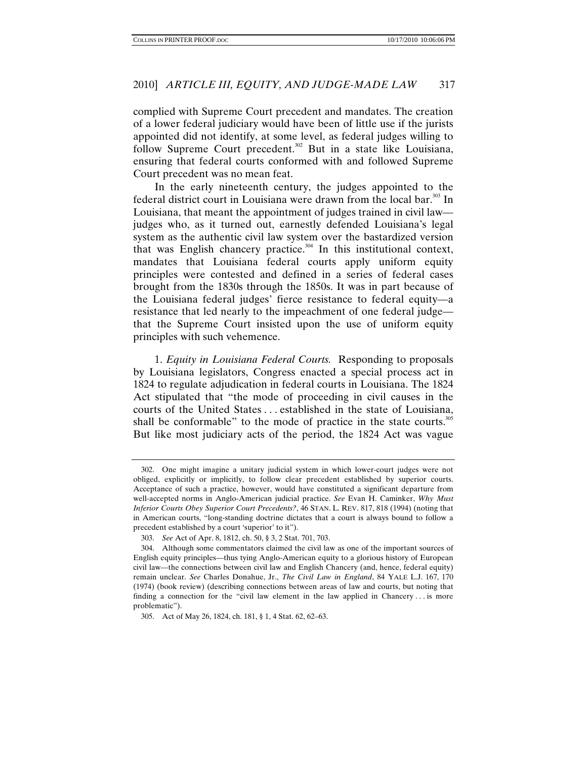complied with Supreme Court precedent and mandates. The creation of a lower federal judiciary would have been of little use if the jurists appointed did not identify, at some level, as federal judges willing to follow Supreme Court precedent.<sup>302</sup> But in a state like Louisiana, ensuring that federal courts conformed with and followed Supreme Court precedent was no mean feat.

In the early nineteenth century, the judges appointed to the federal district court in Louisiana were drawn from the local bar. $303$  In Louisiana, that meant the appointment of judges trained in civil law judges who, as it turned out, earnestly defended Louisiana's legal system as the authentic civil law system over the bastardized version that was English chancery practice.<sup>304</sup> In this institutional context, mandates that Louisiana federal courts apply uniform equity principles were contested and defined in a series of federal cases brought from the 1830s through the 1850s. It was in part because of the Louisiana federal judges' fierce resistance to federal equity—a resistance that led nearly to the impeachment of one federal judge that the Supreme Court insisted upon the use of uniform equity principles with such vehemence.

1. *Equity in Louisiana Federal Courts.* Responding to proposals by Louisiana legislators, Congress enacted a special process act in 1824 to regulate adjudication in federal courts in Louisiana. The 1824 Act stipulated that "the mode of proceeding in civil causes in the courts of the United States . . . established in the state of Louisiana, shall be conformable" to the mode of practice in the state courts.<sup>305</sup> But like most judiciary acts of the period, the 1824 Act was vague

 <sup>302.</sup> One might imagine a unitary judicial system in which lower-court judges were not obliged, explicitly or implicitly, to follow clear precedent established by superior courts. Acceptance of such a practice, however, would have constituted a significant departure from well-accepted norms in Anglo-American judicial practice. *See* Evan H. Caminker, *Why Must Inferior Courts Obey Superior Court Precedents?*, 46 STAN. L. REV. 817, 818 (1994) (noting that in American courts, "long-standing doctrine dictates that a court is always bound to follow a precedent established by a court 'superior' to it").

<sup>303.</sup> *See* Act of Apr. 8, 1812, ch. 50, § 3, 2 Stat. 701, 703.

 <sup>304.</sup> Although some commentators claimed the civil law as one of the important sources of English equity principles—thus tying Anglo-American equity to a glorious history of European civil law—the connections between civil law and English Chancery (and, hence, federal equity) remain unclear. *See* Charles Donahue, Jr., *The Civil Law in England*, 84 YALE L.J. 167, 170 (1974) (book review) (describing connections between areas of law and courts, but noting that finding a connection for the "civil law element in the law applied in Chancery . . . is more problematic").

 <sup>305.</sup> Act of May 26, 1824, ch. 181, § 1, 4 Stat. 62, 62–63.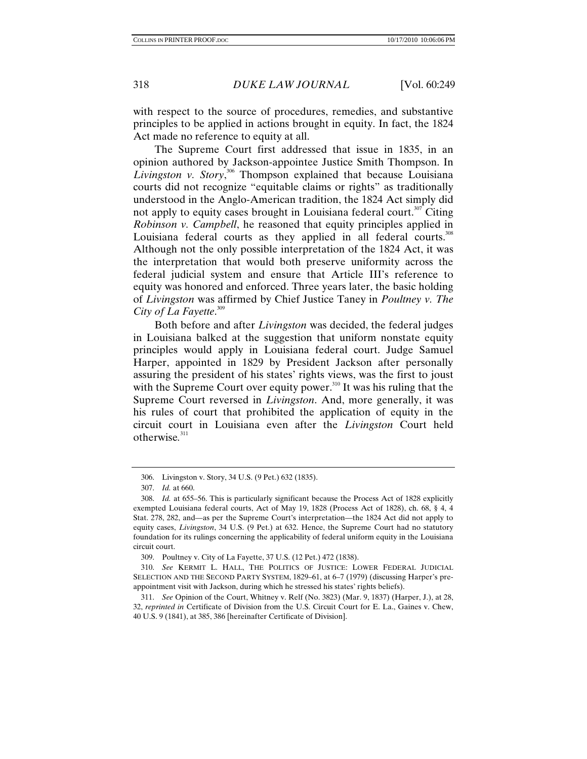with respect to the source of procedures, remedies, and substantive principles to be applied in actions brought in equity. In fact, the 1824 Act made no reference to equity at all.

The Supreme Court first addressed that issue in 1835, in an opinion authored by Jackson-appointee Justice Smith Thompson. In Livingston v. Story,<sup>306</sup> Thompson explained that because Louisiana courts did not recognize "equitable claims or rights" as traditionally understood in the Anglo-American tradition, the 1824 Act simply did not apply to equity cases brought in Louisiana federal court.<sup>307</sup> Citing *Robinson v. Campbell*, he reasoned that equity principles applied in Louisiana federal courts as they applied in all federal courts.<sup>308</sup> Although not the only possible interpretation of the 1824 Act, it was the interpretation that would both preserve uniformity across the federal judicial system and ensure that Article III's reference to equity was honored and enforced. Three years later, the basic holding of *Livingston* was affirmed by Chief Justice Taney in *Poultney v. The City of La Fayette*. 309

Both before and after *Livingston* was decided, the federal judges in Louisiana balked at the suggestion that uniform nonstate equity principles would apply in Louisiana federal court. Judge Samuel Harper, appointed in 1829 by President Jackson after personally assuring the president of his states' rights views, was the first to joust with the Supreme Court over equity power. $310$  It was his ruling that the Supreme Court reversed in *Livingston*. And, more generally, it was his rules of court that prohibited the application of equity in the circuit court in Louisiana even after the *Livingston* Court held otherwise*.* 311

 <sup>306.</sup> Livingston v. Story, 34 U.S. (9 Pet.) 632 (1835).

<sup>307.</sup> *Id.* at 660.

 <sup>308.</sup> *Id.* at 655–56. This is particularly significant because the Process Act of 1828 explicitly exempted Louisiana federal courts, Act of May 19, 1828 (Process Act of 1828), ch. 68, § 4, 4 Stat. 278, 282, and—as per the Supreme Court's interpretation—the 1824 Act did not apply to equity cases, *Livingston*, 34 U.S. (9 Pet.) at 632. Hence, the Supreme Court had no statutory foundation for its rulings concerning the applicability of federal uniform equity in the Louisiana circuit court.

 <sup>309.</sup> Poultney v. City of La Fayette, 37 U.S. (12 Pet.) 472 (1838).

<sup>310.</sup> *See* KERMIT L. HALL, THE POLITICS OF JUSTICE: LOWER FEDERAL JUDICIAL SELECTION AND THE SECOND PARTY SYSTEM, 1829–61, at 6–7 (1979) (discussing Harper's preappointment visit with Jackson, during which he stressed his states' rights beliefs).

<sup>311.</sup> *See* Opinion of the Court, Whitney v. Relf (No. 3823) (Mar. 9, 1837) (Harper, J.), at 28, 32, *reprinted in* Certificate of Division from the U.S. Circuit Court for E. La., Gaines v. Chew, 40 U.S. 9 (1841), at 385, 386 [hereinafter Certificate of Division].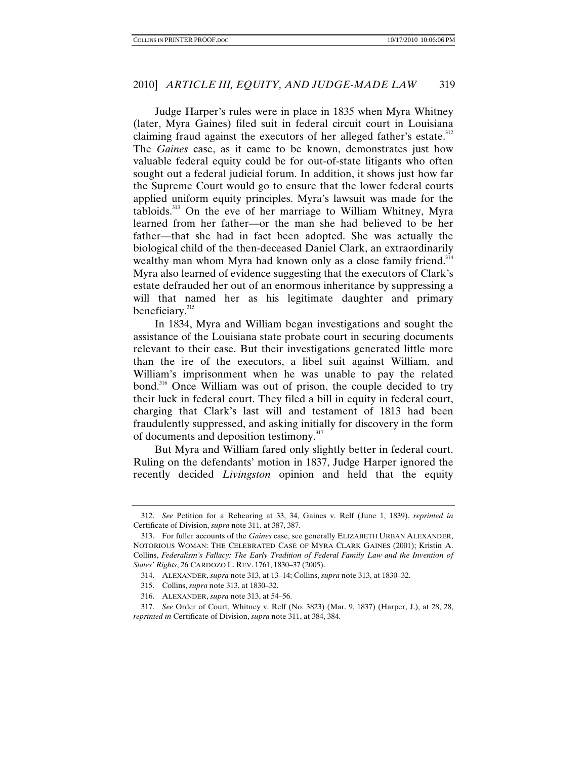Judge Harper's rules were in place in 1835 when Myra Whitney (later, Myra Gaines) filed suit in federal circuit court in Louisiana claiming fraud against the executors of her alleged father's estate.<sup>312</sup> The *Gaines* case, as it came to be known, demonstrates just how valuable federal equity could be for out-of-state litigants who often sought out a federal judicial forum. In addition, it shows just how far the Supreme Court would go to ensure that the lower federal courts applied uniform equity principles. Myra's lawsuit was made for the tabloids.<sup>313</sup> On the eve of her marriage to William Whitney, Myra learned from her father—or the man she had believed to be her father—that she had in fact been adopted. She was actually the biological child of the then-deceased Daniel Clark, an extraordinarily wealthy man whom Myra had known only as a close family friend.<sup>314</sup> Myra also learned of evidence suggesting that the executors of Clark's estate defrauded her out of an enormous inheritance by suppressing a will that named her as his legitimate daughter and primary beneficiary.<sup>315</sup>

In 1834, Myra and William began investigations and sought the assistance of the Louisiana state probate court in securing documents relevant to their case. But their investigations generated little more than the ire of the executors, a libel suit against William, and William's imprisonment when he was unable to pay the related bond.<sup>316</sup> Once William was out of prison, the couple decided to try their luck in federal court. They filed a bill in equity in federal court, charging that Clark's last will and testament of 1813 had been fraudulently suppressed, and asking initially for discovery in the form of documents and deposition testimony.<sup>317</sup>

But Myra and William fared only slightly better in federal court. Ruling on the defendants' motion in 1837, Judge Harper ignored the recently decided *Livingston* opinion and held that the equity

<sup>312.</sup> *See* Petition for a Rehearing at 33, 34, Gaines v. Relf (June 1, 1839), *reprinted in*  Certificate of Division, *supra* note 311, at 387, 387.

 <sup>313.</sup> For fuller accounts of the *Gaines* case, see generally ELIZABETH URBAN ALEXANDER, NOTORIOUS WOMAN: THE CELEBRATED CASE OF MYRA CLARK GAINES (2001); Kristin A. Collins, *Federalism's Fallacy: The Early Tradition of Federal Family Law and the Invention of States' Rights*, 26 CARDOZO L. REV. 1761, 1830–37 (2005).

 <sup>314.</sup> ALEXANDER, *supra* note 313, at 13–14; Collins, *supra* note 313, at 1830–32.

 <sup>315.</sup> Collins, *supra* note 313, at 1830–32.

 <sup>316.</sup> ALEXANDER, *supra* note 313, at 54–56.

<sup>317.</sup> *See* Order of Court, Whitney v. Relf (No. 3823) (Mar. 9, 1837) (Harper, J.), at 28, 28, *reprinted in* Certificate of Division, *supra* note 311, at 384, 384.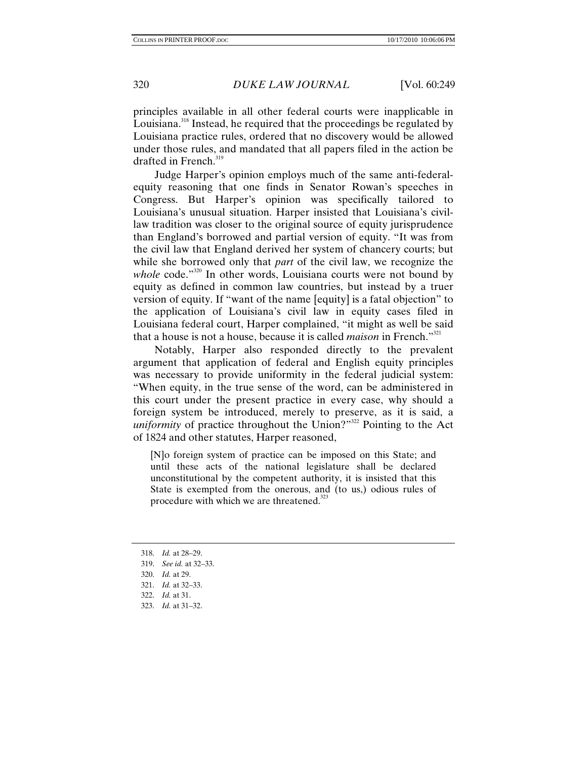principles available in all other federal courts were inapplicable in Louisiana.<sup>318</sup> Instead, he required that the proceedings be regulated by Louisiana practice rules, ordered that no discovery would be allowed under those rules, and mandated that all papers filed in the action be drafted in French.<sup>319</sup>

Judge Harper's opinion employs much of the same anti-federalequity reasoning that one finds in Senator Rowan's speeches in Congress. But Harper's opinion was specifically tailored to Louisiana's unusual situation. Harper insisted that Louisiana's civillaw tradition was closer to the original source of equity jurisprudence than England's borrowed and partial version of equity. "It was from the civil law that England derived her system of chancery courts; but while she borrowed only that *part* of the civil law, we recognize the *whole code.*"<sup>320</sup> In other words, Louisiana courts were not bound by equity as defined in common law countries, but instead by a truer version of equity. If "want of the name [equity] is a fatal objection" to the application of Louisiana's civil law in equity cases filed in Louisiana federal court, Harper complained, "it might as well be said that a house is not a house, because it is called *maison* in French."321

Notably, Harper also responded directly to the prevalent argument that application of federal and English equity principles was necessary to provide uniformity in the federal judicial system: "When equity, in the true sense of the word, can be administered in this court under the present practice in every case, why should a foreign system be introduced, merely to preserve, as it is said, a *uniformity* of practice throughout the Union?"<sup>322</sup> Pointing to the Act of 1824 and other statutes, Harper reasoned,

[N]o foreign system of practice can be imposed on this State; and until these acts of the national legislature shall be declared unconstitutional by the competent authority, it is insisted that this State is exempted from the onerous, and (to us,) odious rules of procedure with which we are threatened.<sup>323</sup>

- 319. *See id.* at 32–33.
- 320. *Id.* at 29.
- 321. *Id.* at 32–33.
- 322. *Id.* at 31.
- 323. *Id.* at 31–32.

<sup>318.</sup> *Id.* at 28–29.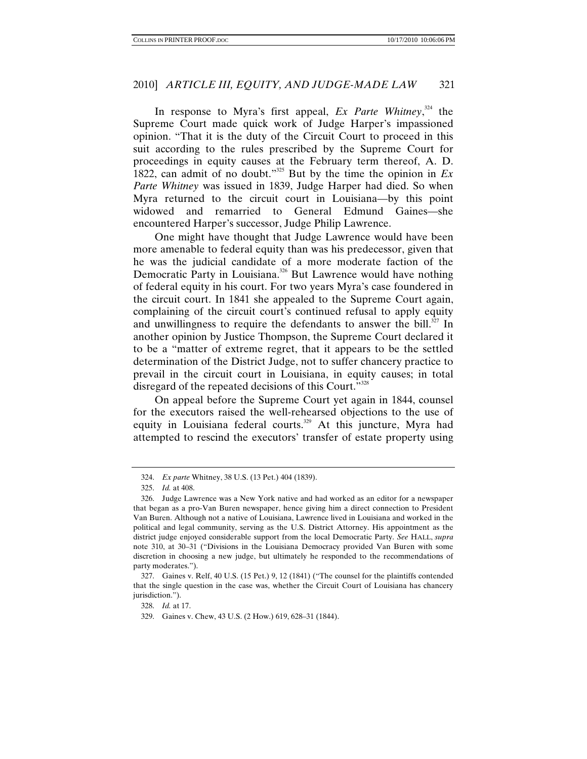In response to Myra's first appeal, *Ex Parte Whitney*, <sup>324</sup> the Supreme Court made quick work of Judge Harper's impassioned opinion. "That it is the duty of the Circuit Court to proceed in this suit according to the rules prescribed by the Supreme Court for proceedings in equity causes at the February term thereof, A. D. 1822, can admit of no doubt."325 But by the time the opinion in *Ex Parte Whitney* was issued in 1839, Judge Harper had died. So when Myra returned to the circuit court in Louisiana—by this point widowed and remarried to General Edmund Gaines—she encountered Harper's successor, Judge Philip Lawrence.

One might have thought that Judge Lawrence would have been more amenable to federal equity than was his predecessor, given that he was the judicial candidate of a more moderate faction of the Democratic Party in Louisiana.<sup>326</sup> But Lawrence would have nothing of federal equity in his court. For two years Myra's case foundered in the circuit court. In 1841 she appealed to the Supreme Court again, complaining of the circuit court's continued refusal to apply equity and unwillingness to require the defendants to answer the bill. $327 \text{ In}$ another opinion by Justice Thompson, the Supreme Court declared it to be a "matter of extreme regret, that it appears to be the settled determination of the District Judge, not to suffer chancery practice to prevail in the circuit court in Louisiana, in equity causes; in total disregard of the repeated decisions of this Court."<sup>328</sup>

On appeal before the Supreme Court yet again in 1844, counsel for the executors raised the well-rehearsed objections to the use of equity in Louisiana federal courts.<sup>329</sup> At this juncture, Myra had attempted to rescind the executors' transfer of estate property using

<sup>324.</sup> *Ex parte* Whitney, 38 U.S. (13 Pet.) 404 (1839).

<sup>325.</sup> *Id.* at 408.

 <sup>326.</sup> Judge Lawrence was a New York native and had worked as an editor for a newspaper that began as a pro-Van Buren newspaper, hence giving him a direct connection to President Van Buren. Although not a native of Louisiana, Lawrence lived in Louisiana and worked in the political and legal community, serving as the U.S. District Attorney. His appointment as the district judge enjoyed considerable support from the local Democratic Party. *See* HALL, *supra*  note 310, at 30–31 ("Divisions in the Louisiana Democracy provided Van Buren with some discretion in choosing a new judge, but ultimately he responded to the recommendations of party moderates.").

 <sup>327.</sup> Gaines v. Relf, 40 U.S. (15 Pet.) 9, 12 (1841) ("The counsel for the plaintiffs contended that the single question in the case was, whether the Circuit Court of Louisiana has chancery jurisdiction.").

<sup>328.</sup> *Id.* at 17.

 <sup>329.</sup> Gaines v. Chew, 43 U.S. (2 How.) 619, 628–31 (1844).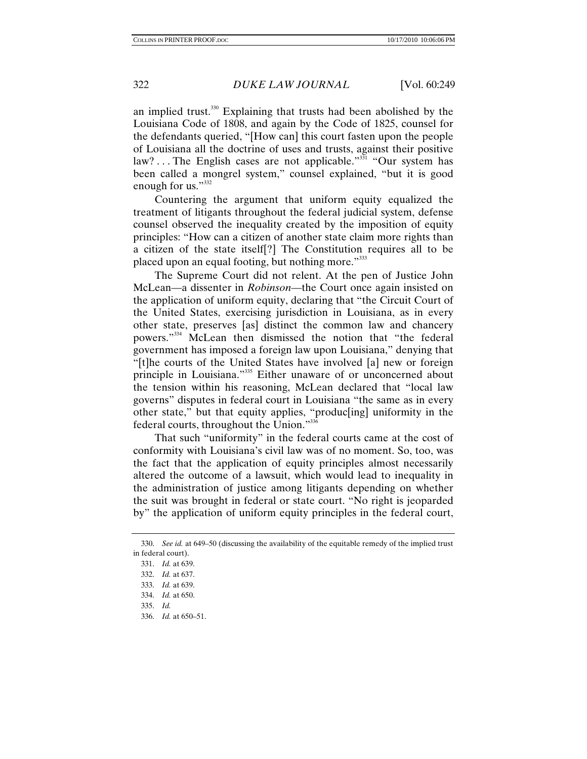an implied trust.<sup>330</sup> Explaining that trusts had been abolished by the Louisiana Code of 1808, and again by the Code of 1825, counsel for the defendants queried, "[How can] this court fasten upon the people of Louisiana all the doctrine of uses and trusts, against their positive law? ... The English cases are not applicable."<sup>331</sup> "Our system has been called a mongrel system," counsel explained, "but it is good enough for us."<sup>332</sup>

Countering the argument that uniform equity equalized the treatment of litigants throughout the federal judicial system, defense counsel observed the inequality created by the imposition of equity principles: "How can a citizen of another state claim more rights than a citizen of the state itself[?] The Constitution requires all to be placed upon an equal footing, but nothing more."333

The Supreme Court did not relent. At the pen of Justice John McLean—a dissenter in *Robinson*—the Court once again insisted on the application of uniform equity, declaring that "the Circuit Court of the United States, exercising jurisdiction in Louisiana, as in every other state, preserves [as] distinct the common law and chancery powers."<sup>334</sup> McLean then dismissed the notion that "the federal government has imposed a foreign law upon Louisiana," denying that "[t]he courts of the United States have involved [a] new or foreign principle in Louisiana."<sup>335</sup> Either unaware of or unconcerned about the tension within his reasoning, McLean declared that "local law governs" disputes in federal court in Louisiana "the same as in every other state," but that equity applies, "produc[ing] uniformity in the federal courts, throughout the Union."336

That such "uniformity" in the federal courts came at the cost of conformity with Louisiana's civil law was of no moment. So, too, was the fact that the application of equity principles almost necessarily altered the outcome of a lawsuit, which would lead to inequality in the administration of justice among litigants depending on whether the suit was brought in federal or state court. "No right is jeoparded by" the application of uniform equity principles in the federal court,

<sup>330.</sup> *See id.* at 649–50 (discussing the availability of the equitable remedy of the implied trust in federal court).

<sup>331.</sup> *Id.* at 639.

<sup>332.</sup> *Id.* at 637.

<sup>333.</sup> *Id.* at 639.

<sup>334.</sup> *Id.* at 650.

<sup>335.</sup> *Id.*

<sup>336.</sup> *Id.* at 650–51.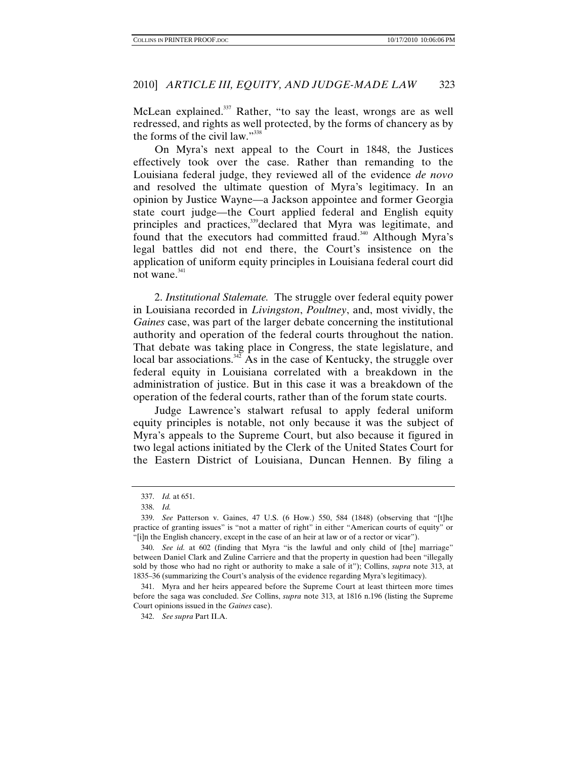McLean explained.<sup>337</sup> Rather, "to say the least, wrongs are as well redressed, and rights as well protected, by the forms of chancery as by the forms of the civil law."338

On Myra's next appeal to the Court in 1848, the Justices effectively took over the case. Rather than remanding to the Louisiana federal judge, they reviewed all of the evidence *de novo*  and resolved the ultimate question of Myra's legitimacy. In an opinion by Justice Wayne—a Jackson appointee and former Georgia state court judge—the Court applied federal and English equity principles and practices,<sup>339</sup>declared that Myra was legitimate, and found that the executors had committed fraud.<sup>340</sup> Although Myra's legal battles did not end there, the Court's insistence on the application of uniform equity principles in Louisiana federal court did not wane. $341$ 

2. *Institutional Stalemate.* The struggle over federal equity power in Louisiana recorded in *Livingston*, *Poultney*, and, most vividly, the *Gaines* case, was part of the larger debate concerning the institutional authority and operation of the federal courts throughout the nation. That debate was taking place in Congress, the state legislature, and local bar associations.<sup>342</sup> As in the case of Kentucky, the struggle over federal equity in Louisiana correlated with a breakdown in the administration of justice. But in this case it was a breakdown of the operation of the federal courts, rather than of the forum state courts.

Judge Lawrence's stalwart refusal to apply federal uniform equity principles is notable, not only because it was the subject of Myra's appeals to the Supreme Court, but also because it figured in two legal actions initiated by the Clerk of the United States Court for the Eastern District of Louisiana, Duncan Hennen. By filing a

<sup>337.</sup> *Id.* at 651.

<sup>338.</sup> *Id.*

<sup>339.</sup> *See* Patterson v. Gaines, 47 U.S. (6 How.) 550, 584 (1848) (observing that "[t]he practice of granting issues" is "not a matter of right" in either "American courts of equity" or "[i]n the English chancery, except in the case of an heir at law or of a rector or vicar").

<sup>340.</sup> *See id.* at 602 (finding that Myra "is the lawful and only child of [the] marriage" between Daniel Clark and Zuline Carriere and that the property in question had been "illegally sold by those who had no right or authority to make a sale of it"); Collins, *supra* note 313, at 1835–36 (summarizing the Court's analysis of the evidence regarding Myra's legitimacy).

 <sup>341.</sup> Myra and her heirs appeared before the Supreme Court at least thirteen more times before the saga was concluded. *See* Collins, *supra* note 313, at 1816 n.196 (listing the Supreme Court opinions issued in the *Gaines* case).

<sup>342.</sup> *See supra* Part II.A.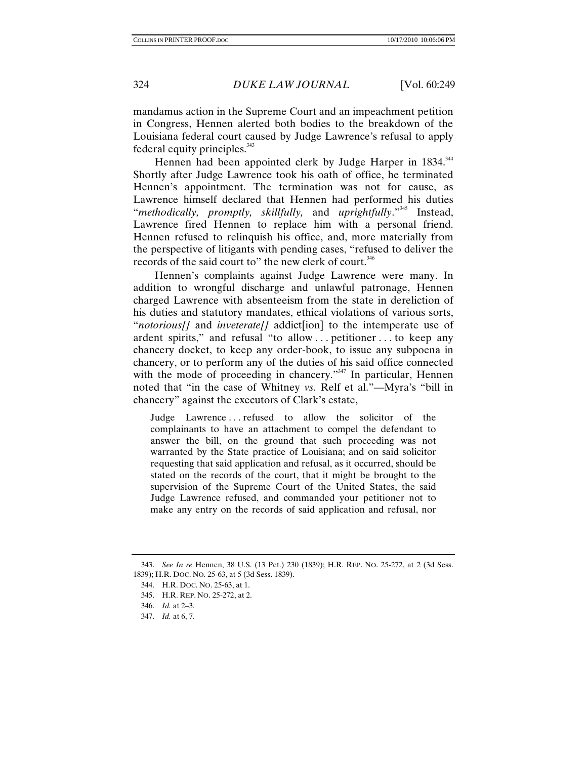mandamus action in the Supreme Court and an impeachment petition in Congress, Hennen alerted both bodies to the breakdown of the Louisiana federal court caused by Judge Lawrence's refusal to apply federal equity principles. $343$ 

Hennen had been appointed clerk by Judge Harper in 1834.<sup>344</sup> Shortly after Judge Lawrence took his oath of office, he terminated Hennen's appointment. The termination was not for cause, as Lawrence himself declared that Hennen had performed his duties "*methodically, promptly, skillfully,* and *uprightfully*."345 Instead, Lawrence fired Hennen to replace him with a personal friend. Hennen refused to relinquish his office, and, more materially from the perspective of litigants with pending cases, "refused to deliver the records of the said court to" the new clerk of court.<sup>346</sup>

Hennen's complaints against Judge Lawrence were many. In addition to wrongful discharge and unlawful patronage, Hennen charged Lawrence with absenteeism from the state in dereliction of his duties and statutory mandates, ethical violations of various sorts, "*notorious[]* and *inveterate[]* addict[ion] to the intemperate use of ardent spirits," and refusal "to allow . . . petitioner . . . to keep any chancery docket, to keep any order-book, to issue any subpoena in chancery, or to perform any of the duties of his said office connected with the mode of proceeding in chancery."<sup>347</sup> In particular, Hennen noted that "in the case of Whitney *vs.* Relf et al."—Myra's "bill in chancery" against the executors of Clark's estate,

Judge Lawrence . . . refused to allow the solicitor of the complainants to have an attachment to compel the defendant to answer the bill, on the ground that such proceeding was not warranted by the State practice of Louisiana; and on said solicitor requesting that said application and refusal, as it occurred, should be stated on the records of the court, that it might be brought to the supervision of the Supreme Court of the United States, the said Judge Lawrence refused, and commanded your petitioner not to make any entry on the records of said application and refusal, nor

<sup>343.</sup> *See In re* Hennen, 38 U.S. (13 Pet.) 230 (1839); H.R. REP. NO. 25-272, at 2 (3d Sess. 1839); H.R. DOC. NO. 25-63, at 5 (3d Sess. 1839).

 <sup>344.</sup> H.R. DOC. NO. 25-63, at 1.

 <sup>345.</sup> H.R. REP. NO. 25-272, at 2.

<sup>346.</sup> *Id.* at 2–3.

<sup>347.</sup> *Id.* at 6, 7.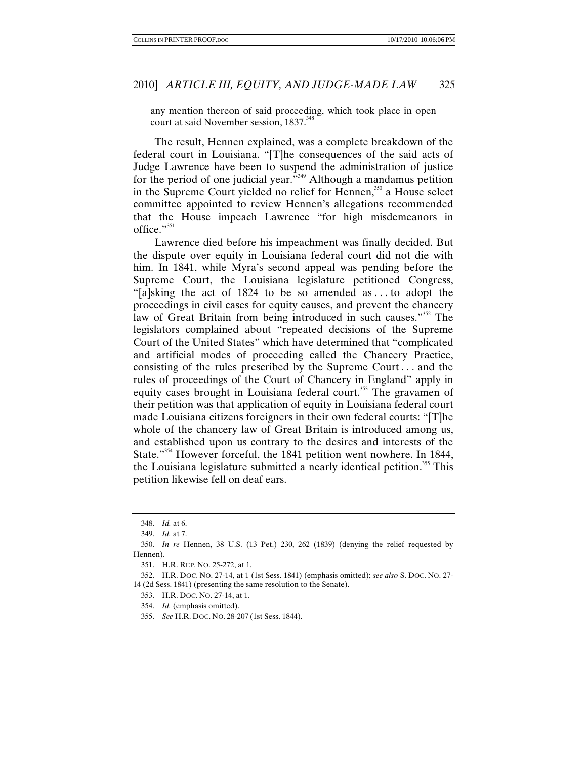any mention thereon of said proceeding, which took place in open court at said November session, 1837.<sup>348</sup>

The result, Hennen explained, was a complete breakdown of the federal court in Louisiana. "[T]he consequences of the said acts of Judge Lawrence have been to suspend the administration of justice for the period of one judicial year."349 Although a mandamus petition in the Supreme Court yielded no relief for Hennen,<sup>350</sup> a House select committee appointed to review Hennen's allegations recommended that the House impeach Lawrence "for high misdemeanors in office." $351$ 

Lawrence died before his impeachment was finally decided. But the dispute over equity in Louisiana federal court did not die with him. In 1841, while Myra's second appeal was pending before the Supreme Court, the Louisiana legislature petitioned Congress, "[a]sking the act of 1824 to be so amended as . . . to adopt the proceedings in civil cases for equity causes, and prevent the chancery law of Great Britain from being introduced in such causes."<sup>352</sup> The legislators complained about "repeated decisions of the Supreme Court of the United States" which have determined that "complicated and artificial modes of proceeding called the Chancery Practice, consisting of the rules prescribed by the Supreme Court *. . .* and the rules of proceedings of the Court of Chancery in England" apply in equity cases brought in Louisiana federal court.<sup>353</sup> The gravamen of their petition was that application of equity in Louisiana federal court made Louisiana citizens foreigners in their own federal courts: "[T]he whole of the chancery law of Great Britain is introduced among us, and established upon us contrary to the desires and interests of the State."<sup>354</sup> However forceful, the 1841 petition went nowhere. In 1844, the Louisiana legislature submitted a nearly identical petition.<sup>355</sup> This petition likewise fell on deaf ears.

<sup>348.</sup> *Id.* at 6.

<sup>349.</sup> *Id.* at 7.

<sup>350.</sup> *In re* Hennen, 38 U.S. (13 Pet.) 230, 262 (1839) (denying the relief requested by Hennen).

 <sup>351.</sup> H.R. REP. NO. 25-272, at 1.

 <sup>352.</sup> H.R. DOC. NO. 27-14, at 1 (1st Sess. 1841) (emphasis omitted); *see also* S. DOC. NO. 27- 14 (2d Sess. 1841) (presenting the same resolution to the Senate).

 <sup>353.</sup> H.R. DOC. NO. 27-14, at 1.

<sup>354.</sup> *Id.* (emphasis omitted).

<sup>355.</sup> *See* H.R. DOC. NO. 28-207 (1st Sess. 1844).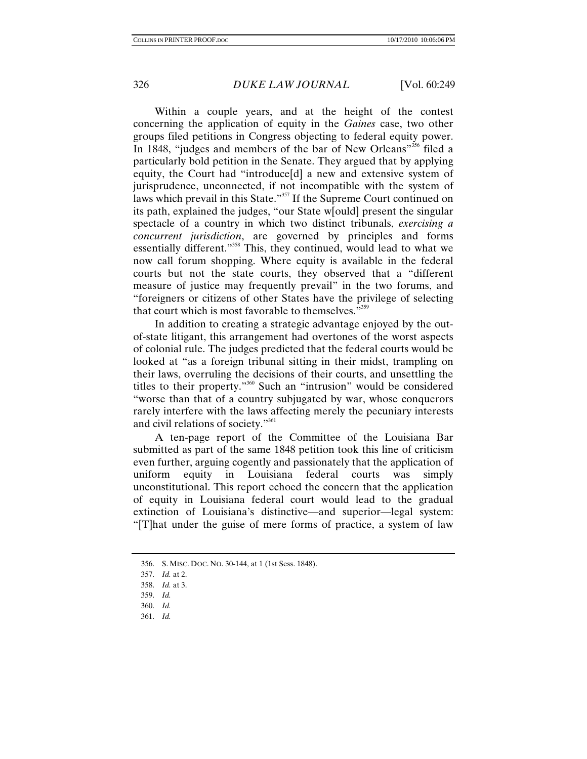Within a couple years, and at the height of the contest concerning the application of equity in the *Gaines* case, two other groups filed petitions in Congress objecting to federal equity power. In 1848, "judges and members of the bar of New Orleans"<sup>356</sup> filed a particularly bold petition in the Senate. They argued that by applying equity, the Court had "introduce[d] a new and extensive system of jurisprudence, unconnected, if not incompatible with the system of laws which prevail in this State."<sup>357</sup> If the Supreme Court continued on its path, explained the judges, "our State w[ould] present the singular spectacle of a country in which two distinct tribunals, *exercising a concurrent jurisdiction*, are governed by principles and forms essentially different."<sup>358</sup> This, they continued, would lead to what we now call forum shopping. Where equity is available in the federal courts but not the state courts, they observed that a "different measure of justice may frequently prevail" in the two forums, and "foreigners or citizens of other States have the privilege of selecting that court which is most favorable to themselves."<sup>359</sup>

In addition to creating a strategic advantage enjoyed by the outof-state litigant, this arrangement had overtones of the worst aspects of colonial rule. The judges predicted that the federal courts would be looked at "as a foreign tribunal sitting in their midst, trampling on their laws, overruling the decisions of their courts, and unsettling the titles to their property."360 Such an "intrusion" would be considered "worse than that of a country subjugated by war, whose conquerors rarely interfere with the laws affecting merely the pecuniary interests and civil relations of society."<sup>361</sup>

A ten-page report of the Committee of the Louisiana Bar submitted as part of the same 1848 petition took this line of criticism even further, arguing cogently and passionately that the application of uniform equity in Louisiana federal courts was simply unconstitutional. This report echoed the concern that the application of equity in Louisiana federal court would lead to the gradual extinction of Louisiana's distinctive—and superior—legal system: "[T]hat under the guise of mere forms of practice, a system of law

361. *Id.*

 <sup>356.</sup> S. MISC. DOC. NO. 30-144, at 1 (1st Sess. 1848).

<sup>357.</sup> *Id.* at 2.

<sup>358.</sup> *Id.* at 3.

<sup>359.</sup> *Id.*

<sup>360.</sup> *Id.*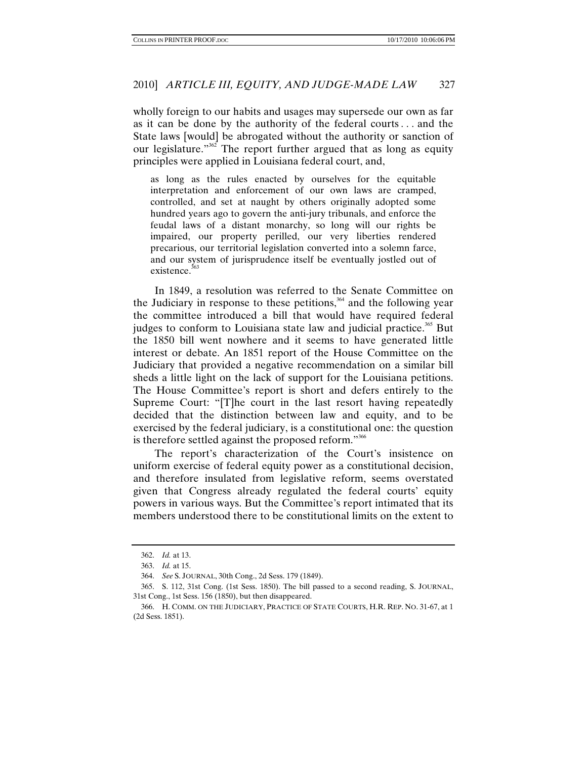wholly foreign to our habits and usages may supersede our own as far as it can be done by the authority of the federal courts *. . .* and the State laws [would] be abrogated without the authority or sanction of our legislature."<sup>362</sup> The report further argued that as long as equity principles were applied in Louisiana federal court, and,

as long as the rules enacted by ourselves for the equitable interpretation and enforcement of our own laws are cramped, controlled, and set at naught by others originally adopted some hundred years ago to govern the anti-jury tribunals, and enforce the feudal laws of a distant monarchy, so long will our rights be impaired, our property perilled, our very liberties rendered precarious, our territorial legislation converted into a solemn farce, and our system of jurisprudence itself be eventually jostled out of existence<sup>363</sup>

In 1849, a resolution was referred to the Senate Committee on the Judiciary in response to these petitions,<sup>364</sup> and the following year the committee introduced a bill that would have required federal judges to conform to Louisiana state law and judicial practice.<sup>365</sup> But the 1850 bill went nowhere and it seems to have generated little interest or debate. An 1851 report of the House Committee on the Judiciary that provided a negative recommendation on a similar bill sheds a little light on the lack of support for the Louisiana petitions. The House Committee's report is short and defers entirely to the Supreme Court: "[T]he court in the last resort having repeatedly decided that the distinction between law and equity, and to be exercised by the federal judiciary, is a constitutional one: the question is therefore settled against the proposed reform."<sup>366</sup>

The report's characterization of the Court's insistence on uniform exercise of federal equity power as a constitutional decision, and therefore insulated from legislative reform, seems overstated given that Congress already regulated the federal courts' equity powers in various ways. But the Committee's report intimated that its members understood there to be constitutional limits on the extent to

<sup>362.</sup> *Id.* at 13.

<sup>363.</sup> *Id.* at 15.

<sup>364.</sup> *See* S. JOURNAL, 30th Cong., 2d Sess. 179 (1849).

 <sup>365.</sup> S. 112, 31st Cong. (1st Sess. 1850). The bill passed to a second reading, S. JOURNAL, 31st Cong., 1st Sess. 156 (1850), but then disappeared.

 <sup>366.</sup> H. COMM. ON THE JUDICIARY, PRACTICE OF STATE COURTS, H.R. REP. NO. 31-67, at 1 (2d Sess. 1851).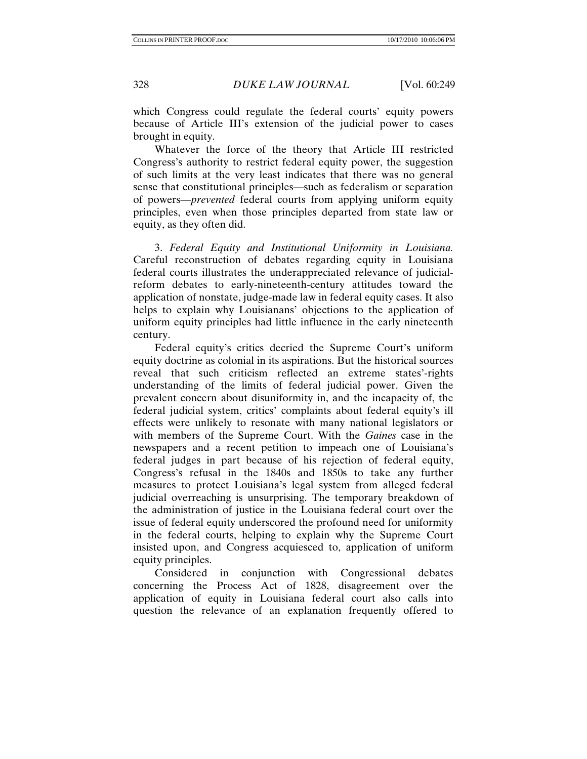which Congress could regulate the federal courts' equity powers because of Article III's extension of the judicial power to cases brought in equity.

Whatever the force of the theory that Article III restricted Congress's authority to restrict federal equity power, the suggestion of such limits at the very least indicates that there was no general sense that constitutional principles—such as federalism or separation of powers—*prevented* federal courts from applying uniform equity principles, even when those principles departed from state law or equity, as they often did.

3. *Federal Equity and Institutional Uniformity in Louisiana.* Careful reconstruction of debates regarding equity in Louisiana federal courts illustrates the underappreciated relevance of judicialreform debates to early-nineteenth-century attitudes toward the application of nonstate, judge-made law in federal equity cases. It also helps to explain why Louisianans' objections to the application of uniform equity principles had little influence in the early nineteenth century.

Federal equity's critics decried the Supreme Court's uniform equity doctrine as colonial in its aspirations. But the historical sources reveal that such criticism reflected an extreme states'-rights understanding of the limits of federal judicial power. Given the prevalent concern about disuniformity in, and the incapacity of, the federal judicial system, critics' complaints about federal equity's ill effects were unlikely to resonate with many national legislators or with members of the Supreme Court. With the *Gaines* case in the newspapers and a recent petition to impeach one of Louisiana's federal judges in part because of his rejection of federal equity, Congress's refusal in the 1840s and 1850s to take any further measures to protect Louisiana's legal system from alleged federal judicial overreaching is unsurprising. The temporary breakdown of the administration of justice in the Louisiana federal court over the issue of federal equity underscored the profound need for uniformity in the federal courts, helping to explain why the Supreme Court insisted upon, and Congress acquiesced to, application of uniform equity principles.

Considered in conjunction with Congressional debates concerning the Process Act of 1828, disagreement over the application of equity in Louisiana federal court also calls into question the relevance of an explanation frequently offered to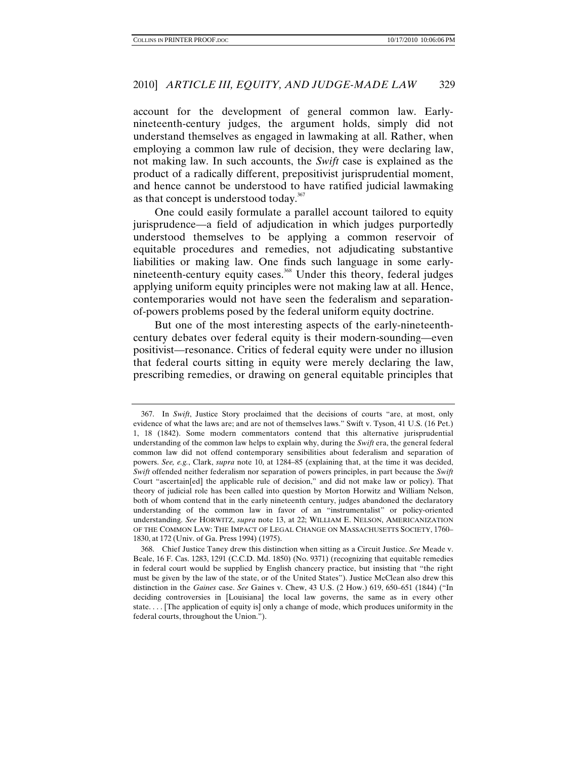account for the development of general common law. Earlynineteenth-century judges, the argument holds, simply did not understand themselves as engaged in lawmaking at all. Rather, when employing a common law rule of decision, they were declaring law, not making law. In such accounts, the *Swift* case is explained as the product of a radically different, prepositivist jurisprudential moment, and hence cannot be understood to have ratified judicial lawmaking as that concept is understood today.<sup>367</sup>

One could easily formulate a parallel account tailored to equity jurisprudence—a field of adjudication in which judges purportedly understood themselves to be applying a common reservoir of equitable procedures and remedies, not adjudicating substantive liabilities or making law. One finds such language in some earlynineteenth-century equity cases.<sup>368</sup> Under this theory, federal judges applying uniform equity principles were not making law at all. Hence, contemporaries would not have seen the federalism and separationof-powers problems posed by the federal uniform equity doctrine.

But one of the most interesting aspects of the early-nineteenthcentury debates over federal equity is their modern-sounding—even positivist—resonance. Critics of federal equity were under no illusion that federal courts sitting in equity were merely declaring the law, prescribing remedies, or drawing on general equitable principles that

 <sup>367.</sup> In *Swift*, Justice Story proclaimed that the decisions of courts "are, at most, only evidence of what the laws are; and are not of themselves laws." Swift v. Tyson, 41 U.S. (16 Pet.) 1, 18 (1842). Some modern commentators contend that this alternative jurisprudential understanding of the common law helps to explain why, during the *Swift* era, the general federal common law did not offend contemporary sensibilities about federalism and separation of powers. *See, e.g.*, Clark, *supra* note 10, at 1284–85 (explaining that, at the time it was decided, *Swift* offended neither federalism nor separation of powers principles, in part because the *Swift*  Court "ascertain[ed] the applicable rule of decision," and did not make law or policy). That theory of judicial role has been called into question by Morton Horwitz and William Nelson, both of whom contend that in the early nineteenth century, judges abandoned the declaratory understanding of the common law in favor of an "instrumentalist" or policy-oriented understanding. *See* HORWITZ, *supra* note 13, at 22; WILLIAM E. NELSON, AMERICANIZATION OF THE COMMON LAW: THE IMPACT OF LEGAL CHANGE ON MASSACHUSETTS SOCIETY, 1760– 1830, at 172 (Univ. of Ga. Press 1994) (1975).

 <sup>368.</sup> Chief Justice Taney drew this distinction when sitting as a Circuit Justice. *See* Meade v. Beale, 16 F. Cas. 1283, 1291 (C.C.D. Md. 1850) (No. 9371) (recognizing that equitable remedies in federal court would be supplied by English chancery practice, but insisting that "the right must be given by the law of the state, or of the United States"). Justice McClean also drew this distinction in the *Gaines* case. *See* Gaines v. Chew, 43 U.S. (2 How.) 619, 650–651 (1844) ("In deciding controversies in [Louisiana] the local law governs, the same as in every other state. . . . [The application of equity is] only a change of mode, which produces uniformity in the federal courts, throughout the Union.").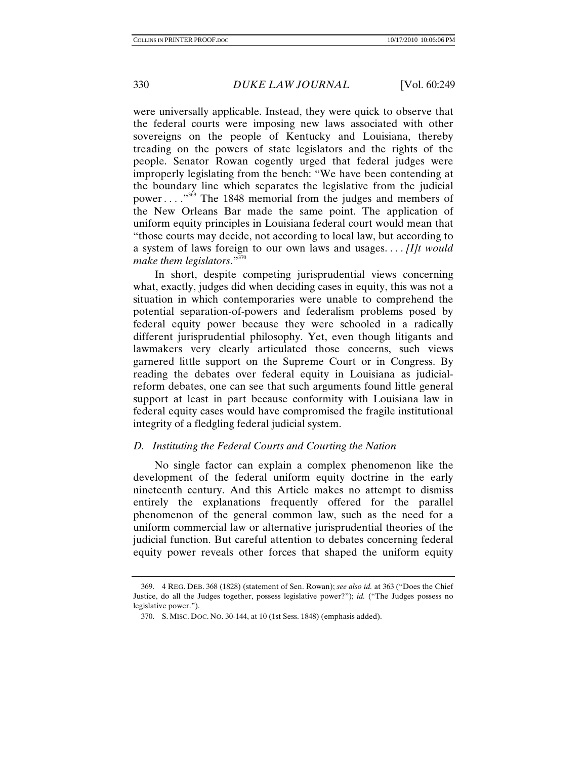were universally applicable. Instead, they were quick to observe that the federal courts were imposing new laws associated with other sovereigns on the people of Kentucky and Louisiana, thereby treading on the powers of state legislators and the rights of the people. Senator Rowan cogently urged that federal judges were improperly legislating from the bench: "We have been contending at the boundary line which separates the legislative from the judicial power . . . .<sup>3369</sup> The 1848 memorial from the judges and members of the New Orleans Bar made the same point. The application of uniform equity principles in Louisiana federal court would mean that "those courts may decide, not according to local law, but according to a system of laws foreign to our own laws and usages. . . . *[I]t would make them legislators*."<sup>370</sup>

In short, despite competing jurisprudential views concerning what, exactly, judges did when deciding cases in equity, this was not a situation in which contemporaries were unable to comprehend the potential separation-of-powers and federalism problems posed by federal equity power because they were schooled in a radically different jurisprudential philosophy. Yet, even though litigants and lawmakers very clearly articulated those concerns, such views garnered little support on the Supreme Court or in Congress. By reading the debates over federal equity in Louisiana as judicialreform debates, one can see that such arguments found little general support at least in part because conformity with Louisiana law in federal equity cases would have compromised the fragile institutional integrity of a fledgling federal judicial system.

## *D. Instituting the Federal Courts and Courting the Nation*

No single factor can explain a complex phenomenon like the development of the federal uniform equity doctrine in the early nineteenth century. And this Article makes no attempt to dismiss entirely the explanations frequently offered for the parallel phenomenon of the general common law, such as the need for a uniform commercial law or alternative jurisprudential theories of the judicial function. But careful attention to debates concerning federal equity power reveals other forces that shaped the uniform equity

 <sup>369. 4</sup> REG. DEB. 368 (1828) (statement of Sen. Rowan); *see also id.* at 363 ("Does the Chief Justice, do all the Judges together, possess legislative power?"); *id.* ("The Judges possess no legislative power.").

 <sup>370.</sup> S. MISC. DOC. NO. 30-144, at 10 (1st Sess. 1848) (emphasis added).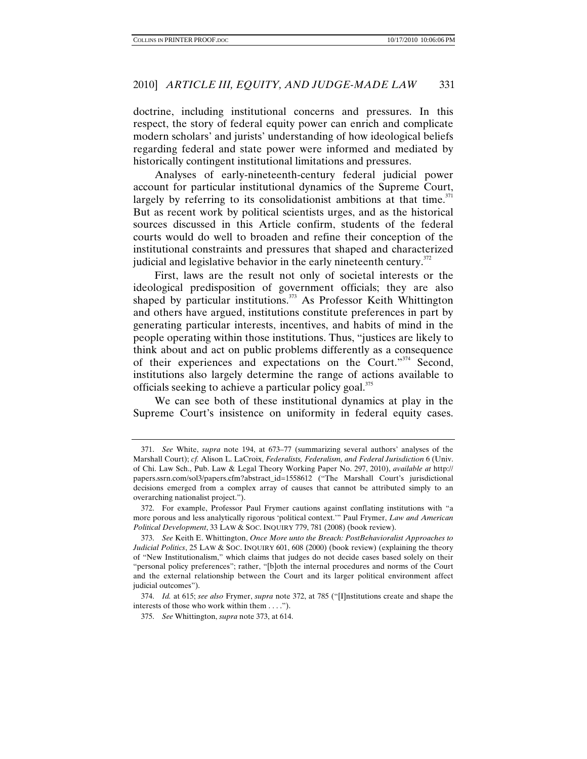doctrine, including institutional concerns and pressures. In this respect, the story of federal equity power can enrich and complicate modern scholars' and jurists' understanding of how ideological beliefs regarding federal and state power were informed and mediated by historically contingent institutional limitations and pressures.

Analyses of early-nineteenth-century federal judicial power account for particular institutional dynamics of the Supreme Court, largely by referring to its consolidationist ambitions at that time.<sup>371</sup> But as recent work by political scientists urges, and as the historical sources discussed in this Article confirm, students of the federal courts would do well to broaden and refine their conception of the institutional constraints and pressures that shaped and characterized judicial and legislative behavior in the early nineteenth century.<sup>372</sup>

First, laws are the result not only of societal interests or the ideological predisposition of government officials; they are also shaped by particular institutions.<sup>373</sup> As Professor Keith Whittington and others have argued, institutions constitute preferences in part by generating particular interests, incentives, and habits of mind in the people operating within those institutions. Thus, "justices are likely to think about and act on public problems differently as a consequence of their experiences and expectations on the Court."374 Second, institutions also largely determine the range of actions available to officials seeking to achieve a particular policy goal.<sup>375</sup>

We can see both of these institutional dynamics at play in the Supreme Court's insistence on uniformity in federal equity cases.

<sup>371.</sup> *See* White, *supra* note 194, at 673–77 (summarizing several authors' analyses of the Marshall Court); *cf.* Alison L. LaCroix, *Federalists, Federalism, and Federal Jurisdiction* 6 (Univ. of Chi. Law Sch., Pub. Law & Legal Theory Working Paper No. 297, 2010), *available at* http:// papers.ssrn.com/sol3/papers.cfm?abstract\_id=1558612 ("The Marshall Court's jurisdictional decisions emerged from a complex array of causes that cannot be attributed simply to an overarching nationalist project.").

 <sup>372.</sup> For example, Professor Paul Frymer cautions against conflating institutions with "a more porous and less analytically rigorous 'political context.'" Paul Frymer, *Law and American Political Development*, 33 LAW & SOC. INQUIRY 779, 781 (2008) (book review).

<sup>373.</sup> *See* Keith E. Whittington, *Once More unto the Breach: PostBehavioralist Approaches to Judicial Politics*, 25 LAW & SOC. INQUIRY 601, 608 (2000) (book review) (explaining the theory of "New Institutionalism," which claims that judges do not decide cases based solely on their "personal policy preferences"; rather, "[b]oth the internal procedures and norms of the Court and the external relationship between the Court and its larger political environment affect judicial outcomes").

<sup>374.</sup> *Id.* at 615; *see also* Frymer, *supra* note 372, at 785 ("[I]nstitutions create and shape the interests of those who work within them . . . .").

<sup>375.</sup> *See* Whittington, *supra* note 373, at 614.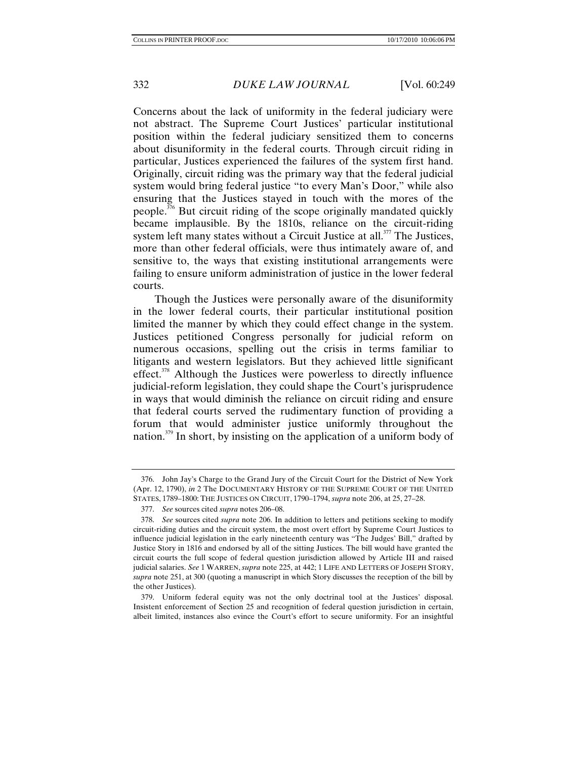Concerns about the lack of uniformity in the federal judiciary were not abstract. The Supreme Court Justices' particular institutional position within the federal judiciary sensitized them to concerns about disuniformity in the federal courts. Through circuit riding in particular, Justices experienced the failures of the system first hand. Originally, circuit riding was the primary way that the federal judicial system would bring federal justice "to every Man's Door," while also ensuring that the Justices stayed in touch with the mores of the people.<sup>376</sup> But circuit riding of the scope originally mandated quickly became implausible. By the 1810s, reliance on the circuit-riding system left many states without a Circuit Justice at all.<sup>377</sup> The Justices, more than other federal officials, were thus intimately aware of, and sensitive to, the ways that existing institutional arrangements were failing to ensure uniform administration of justice in the lower federal courts.

Though the Justices were personally aware of the disuniformity in the lower federal courts, their particular institutional position limited the manner by which they could effect change in the system. Justices petitioned Congress personally for judicial reform on numerous occasions, spelling out the crisis in terms familiar to litigants and western legislators. But they achieved little significant effect.<sup>378</sup> Although the Justices were powerless to directly influence judicial-reform legislation, they could shape the Court's jurisprudence in ways that would diminish the reliance on circuit riding and ensure that federal courts served the rudimentary function of providing a forum that would administer justice uniformly throughout the nation.<sup>379</sup> In short, by insisting on the application of a uniform body of

 <sup>376.</sup> John Jay's Charge to the Grand Jury of the Circuit Court for the District of New York (Apr. 12, 1790), *in* 2 The DOCUMENTARY HISTORY OF THE SUPREME COURT OF THE UNITED STATES, 1789–1800: THE JUSTICES ON CIRCUIT, 1790–1794, *supra* note 206, at 25, 27–28.

<sup>377.</sup> *See* sources cited *supra* notes 206–08.

<sup>378.</sup> *See* sources cited *supra* note 206. In addition to letters and petitions seeking to modify circuit-riding duties and the circuit system, the most overt effort by Supreme Court Justices to influence judicial legislation in the early nineteenth century was "The Judges' Bill," drafted by Justice Story in 1816 and endorsed by all of the sitting Justices. The bill would have granted the circuit courts the full scope of federal question jurisdiction allowed by Article III and raised judicial salaries. *See* 1 WARREN, *supra* note 225, at 442; 1 LIFE AND LETTERS OF JOSEPH STORY, *supra* note 251, at 300 (quoting a manuscript in which Story discusses the reception of the bill by the other Justices).

 <sup>379.</sup> Uniform federal equity was not the only doctrinal tool at the Justices' disposal. Insistent enforcement of Section 25 and recognition of federal question jurisdiction in certain, albeit limited, instances also evince the Court's effort to secure uniformity. For an insightful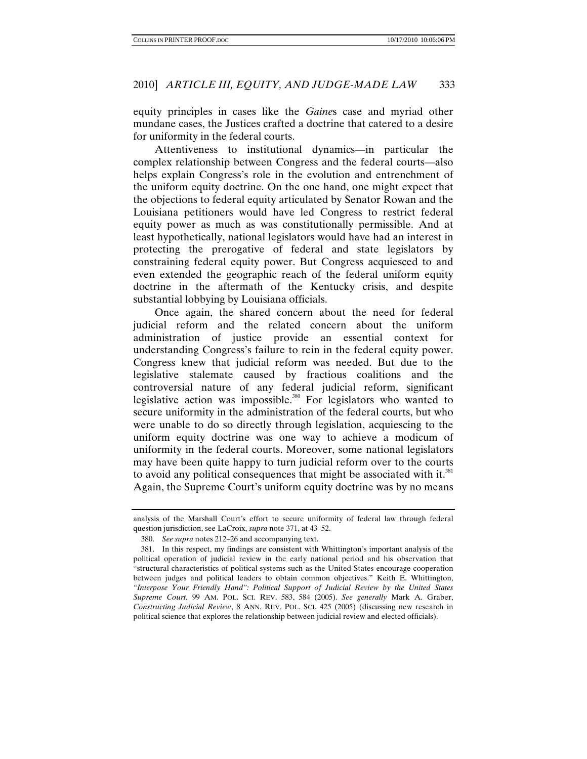equity principles in cases like the *Gaine*s case and myriad other mundane cases, the Justices crafted a doctrine that catered to a desire for uniformity in the federal courts.

Attentiveness to institutional dynamics—in particular the complex relationship between Congress and the federal courts—also helps explain Congress's role in the evolution and entrenchment of the uniform equity doctrine. On the one hand, one might expect that the objections to federal equity articulated by Senator Rowan and the Louisiana petitioners would have led Congress to restrict federal equity power as much as was constitutionally permissible. And at least hypothetically, national legislators would have had an interest in protecting the prerogative of federal and state legislators by constraining federal equity power. But Congress acquiesced to and even extended the geographic reach of the federal uniform equity doctrine in the aftermath of the Kentucky crisis, and despite substantial lobbying by Louisiana officials.

Once again, the shared concern about the need for federal judicial reform and the related concern about the uniform administration of justice provide an essential context for understanding Congress's failure to rein in the federal equity power. Congress knew that judicial reform was needed. But due to the legislative stalemate caused by fractious coalitions and the controversial nature of any federal judicial reform, significant legislative action was impossible.<sup>380</sup> For legislators who wanted to secure uniformity in the administration of the federal courts, but who were unable to do so directly through legislation, acquiescing to the uniform equity doctrine was one way to achieve a modicum of uniformity in the federal courts. Moreover, some national legislators may have been quite happy to turn judicial reform over to the courts to avoid any political consequences that might be associated with it. $381$ Again, the Supreme Court's uniform equity doctrine was by no means

analysis of the Marshall Court's effort to secure uniformity of federal law through federal question jurisdiction, see LaCroix, *supra* note 371, at 43–52.

<sup>380.</sup> *See supra* notes 212–26 and accompanying text.

 <sup>381.</sup> In this respect, my findings are consistent with Whittington's important analysis of the political operation of judicial review in the early national period and his observation that "structural characteristics of political systems such as the United States encourage cooperation between judges and political leaders to obtain common objectives." Keith E. Whittington, *"Interpose Your Friendly Hand": Political Support of Judicial Review by the United States Supreme Court*, 99 AM. POL. SCI. REV. 583, 584 (2005). *See generally* Mark A. Graber, *Constructing Judicial Review*, 8 ANN. REV. POL. SCI. 425 (2005) (discussing new research in political science that explores the relationship between judicial review and elected officials).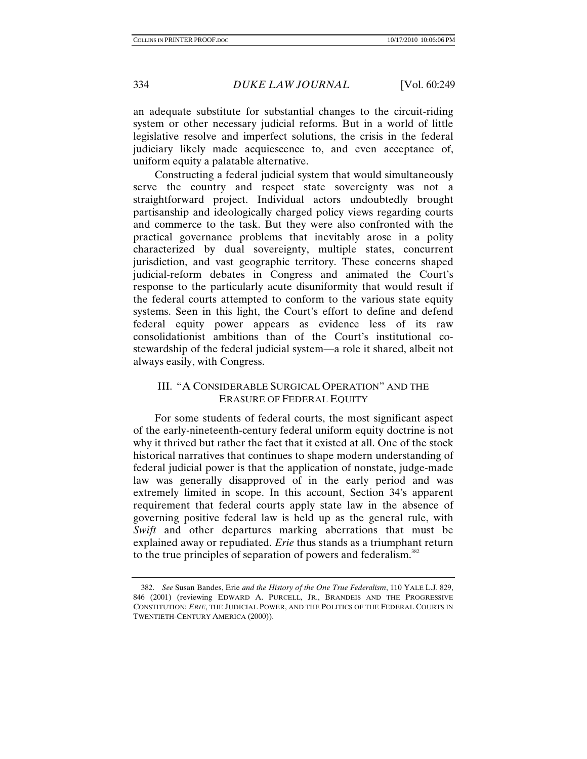an adequate substitute for substantial changes to the circuit-riding system or other necessary judicial reforms. But in a world of little legislative resolve and imperfect solutions, the crisis in the federal judiciary likely made acquiescence to, and even acceptance of, uniform equity a palatable alternative.

Constructing a federal judicial system that would simultaneously serve the country and respect state sovereignty was not a straightforward project. Individual actors undoubtedly brought partisanship and ideologically charged policy views regarding courts and commerce to the task. But they were also confronted with the practical governance problems that inevitably arose in a polity characterized by dual sovereignty, multiple states, concurrent jurisdiction, and vast geographic territory. These concerns shaped judicial-reform debates in Congress and animated the Court's response to the particularly acute disuniformity that would result if the federal courts attempted to conform to the various state equity systems. Seen in this light, the Court's effort to define and defend federal equity power appears as evidence less of its raw consolidationist ambitions than of the Court's institutional costewardship of the federal judicial system—a role it shared, albeit not always easily, with Congress.

## III. "A CONSIDERABLE SURGICAL OPERATION" AND THE ERASURE OF FEDERAL EQUITY

For some students of federal courts, the most significant aspect of the early-nineteenth-century federal uniform equity doctrine is not why it thrived but rather the fact that it existed at all. One of the stock historical narratives that continues to shape modern understanding of federal judicial power is that the application of nonstate, judge-made law was generally disapproved of in the early period and was extremely limited in scope. In this account, Section 34's apparent requirement that federal courts apply state law in the absence of governing positive federal law is held up as the general rule, with *Swift* and other departures marking aberrations that must be explained away or repudiated. *Erie* thus stands as a triumphant return to the true principles of separation of powers and federalism.<sup>382</sup>

 <sup>382.</sup> *See* Susan Bandes, Erie *and the History of the One True Federalism*, 110 YALE L.J. 829, 846 (2001) (reviewing EDWARD A. PURCELL, JR., BRANDEIS AND THE PROGRESSIVE CONSTITUTION: *ERIE*, THE JUDICIAL POWER, AND THE POLITICS OF THE FEDERAL COURTS IN TWENTIETH-CENTURY AMERICA (2000)).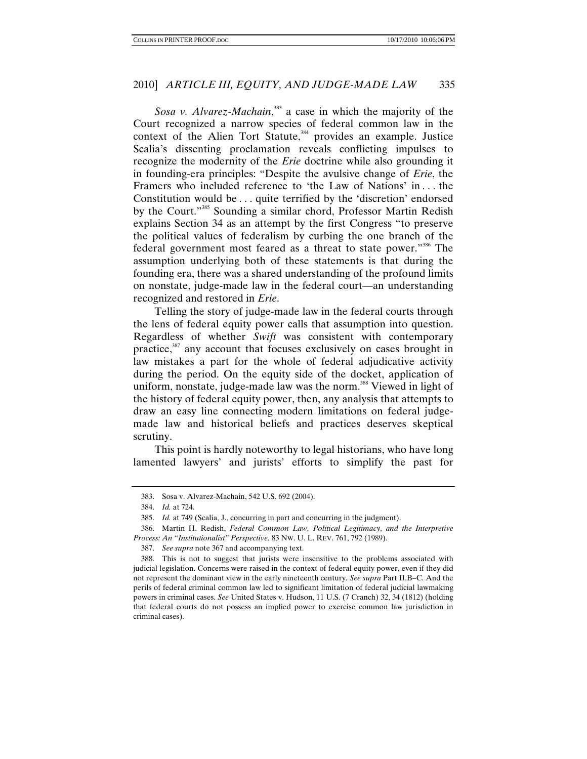Sosa v. Alvarez-Machain,<sup>383</sup> a case in which the majority of the Court recognized a narrow species of federal common law in the context of the Alien Tort Statute,<sup>384</sup> provides an example. Justice Scalia's dissenting proclamation reveals conflicting impulses to recognize the modernity of the *Erie* doctrine while also grounding it in founding-era principles: "Despite the avulsive change of *Erie*, the Framers who included reference to 'the Law of Nations' in *. . .* the Constitution would be . . . quite terrified by the 'discretion' endorsed by the Court."385 Sounding a similar chord, Professor Martin Redish explains Section 34 as an attempt by the first Congress "to preserve the political values of federalism by curbing the one branch of the federal government most feared as a threat to state power."386 The assumption underlying both of these statements is that during the founding era, there was a shared understanding of the profound limits on nonstate, judge-made law in the federal court—an understanding recognized and restored in *Erie*.

Telling the story of judge-made law in the federal courts through the lens of federal equity power calls that assumption into question. Regardless of whether *Swift* was consistent with contemporary practice,<sup>387</sup> any account that focuses exclusively on cases brought in law mistakes a part for the whole of federal adjudicative activity during the period. On the equity side of the docket, application of uniform, nonstate, judge-made law was the norm.<sup>388</sup> Viewed in light of the history of federal equity power, then, any analysis that attempts to draw an easy line connecting modern limitations on federal judgemade law and historical beliefs and practices deserves skeptical scrutiny.

This point is hardly noteworthy to legal historians, who have long lamented lawyers' and jurists' efforts to simplify the past for

 <sup>383.</sup> Sosa v. Alvarez-Machain, 542 U.S. 692 (2004).

 <sup>384.</sup> *Id.* at 724.

<sup>385.</sup> *Id.* at 749 (Scalia, J., concurring in part and concurring in the judgment).

 <sup>386.</sup> Martin H. Redish, *Federal Common Law, Political Legitimacy, and the Interpretive Process: An "Institutionalist" Perspective*, 83 NW. U. L. REV. 761, 792 (1989).

<sup>387.</sup> *See supra* note 367 and accompanying text.

 <sup>388.</sup> This is not to suggest that jurists were insensitive to the problems associated with judicial legislation. Concerns were raised in the context of federal equity power, even if they did not represent the dominant view in the early nineteenth century. *See supra* Part II.B–C. And the perils of federal criminal common law led to significant limitation of federal judicial lawmaking powers in criminal cases. *See* United States v. Hudson, 11 U.S. (7 Cranch) 32, 34 (1812) (holding that federal courts do not possess an implied power to exercise common law jurisdiction in criminal cases).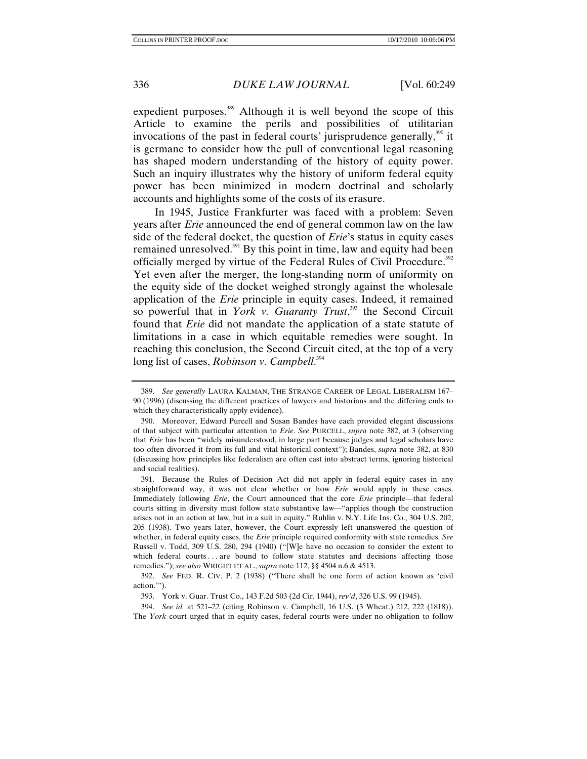expedient purposes.<sup>389</sup> Although it is well beyond the scope of this Article to examine the perils and possibilities of utilitarian invocations of the past in federal courts' jurisprudence generally, $390$  it is germane to consider how the pull of conventional legal reasoning has shaped modern understanding of the history of equity power. Such an inquiry illustrates why the history of uniform federal equity power has been minimized in modern doctrinal and scholarly accounts and highlights some of the costs of its erasure.

In 1945, Justice Frankfurter was faced with a problem: Seven years after *Erie* announced the end of general common law on the law side of the federal docket, the question of *Erie*'s status in equity cases remained unresolved.<sup>391</sup> By this point in time, law and equity had been officially merged by virtue of the Federal Rules of Civil Procedure.<sup>392</sup> Yet even after the merger, the long-standing norm of uniformity on the equity side of the docket weighed strongly against the wholesale application of the *Erie* principle in equity cases. Indeed, it remained so powerful that in *York v. Guaranty Trust*, 393 the Second Circuit found that *Erie* did not mandate the application of a state statute of limitations in a case in which equitable remedies were sought. In reaching this conclusion, the Second Circuit cited, at the top of a very long list of cases, *Robinson v. Campbell*. 394

394. *See id.* at 521–22 (citing Robinson v. Campbell, 16 U.S. (3 Wheat.) 212, 222 (1818)). The *York* court urged that in equity cases, federal courts were under no obligation to follow

<sup>389.</sup> *See generally* LAURA KALMAN, THE STRANGE CAREER OF LEGAL LIBERALISM 167– 90 (1996) (discussing the different practices of lawyers and historians and the differing ends to which they characteristically apply evidence).

 <sup>390.</sup> Moreover, Edward Purcell and Susan Bandes have each provided elegant discussions of that subject with particular attention to *Erie*. *See* PURCELL, *supra* note 382, at 3 (observing that *Erie* has been "widely misunderstood, in large part because judges and legal scholars have too often divorced it from its full and vital historical context"); Bandes, *supra* note 382, at 830 (discussing how principles like federalism are often cast into abstract terms, ignoring historical and social realities).

 <sup>391.</sup> Because the Rules of Decision Act did not apply in federal equity cases in any straightforward way, it was not clear whether or how *Erie* would apply in these cases. Immediately following *Erie*, the Court announced that the core *Erie* principle—that federal courts sitting in diversity must follow state substantive law—"applies though the construction arises not in an action at law, but in a suit in equity." Ruhlin v. N.Y. Life Ins. Co., 304 U.S. 202, 205 (1938). Two years later, however, the Court expressly left unanswered the question of whether, in federal equity cases, the *Erie* principle required conformity with state remedies. *See* Russell v. Todd, 309 U.S. 280, 294 (1940) ("[W]e have no occasion to consider the extent to which federal courts . . . are bound to follow state statutes and decisions affecting those remedies."); *see also* WRIGHT ET AL., *supra* note 112, §§ 4504 n.6 & 4513.

<sup>392.</sup> *See* FED. R. CIV. P. 2 (1938) ("There shall be one form of action known as 'civil action.'").

 <sup>393.</sup> York v. Guar. Trust Co., 143 F.2d 503 (2d Cir. 1944), *rev'd*, 326 U.S. 99 (1945).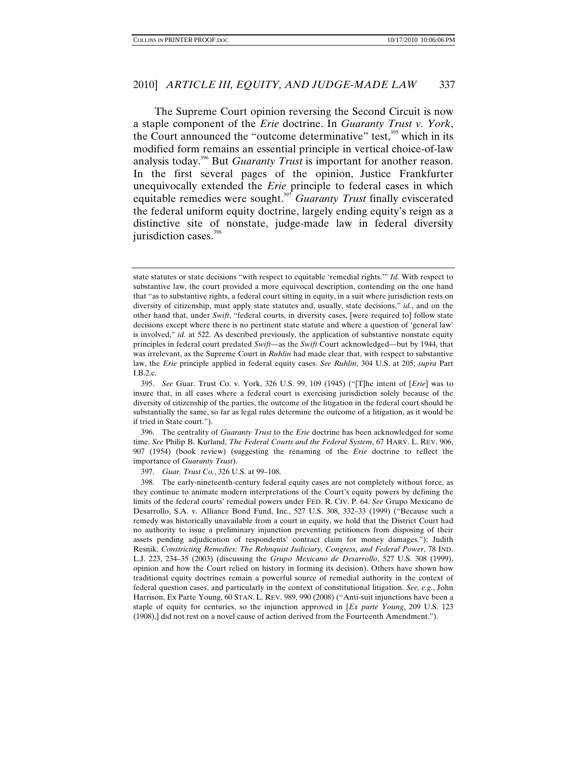The Supreme Court opinion reversing the Second Circuit is now a staple component of the *Erie* doctrine. In *Guaranty Trust v. York*, the Court announced the "outcome determinative" test,<sup>395</sup> which in its modified form remains an essential principle in vertical choice-of-law analysis today.396 But *Guaranty Trust* is important for another reason. In the first several pages of the opinion, Justice Frankfurter unequivocally extended the *Erie* principle to federal cases in which equitable remedies were sought.397 *Guaranty Trust* finally eviscerated the federal uniform equity doctrine, largely ending equity's reign as a distinctive site of nonstate, judge-made law in federal diversity jurisdiction cases.<sup>398</sup>

 396. The centrality of *Guaranty Trust* to the *Erie* doctrine has been acknowledged for some time. *See* Philip B. Kurland, *The Federal Courts and the Federal System*, 67 HARV. L. REV. 906, 907 (1954) (book review) (suggesting the renaming of the *Erie* doctrine to reflect the importance of *Guaranty Trust*).

397. *Guar. Trust Co.*, 326 U.S. at 99–108.

 398. The early-nineteenth-century federal equity cases are not completely without force, as they continue to animate modern interpretations of the Court's equity powers by defining the limits of the federal courts' remedial powers under FED. R. CIV. P. 64. *See* Grupo Mexicano de Desarrollo, S.A. v. Alliance Bond Fund, Inc., 527 U.S. 308, 332–33 (1999) ("Because such a remedy was historically unavailable from a court in equity, we hold that the District Court had no authority to issue a preliminary injunction preventing petitioners from disposing of their assets pending adjudication of respondents' contract claim for money damages."); Judith Resnik, *Constricting Remedies: The Rehnquist Judiciary, Congress, and Federal Power*, 78 IND. L.J. 223, 234–35 (2003) (discussing the *Grupo Mexicano de Desarrollo*, 527 U.S. 308 (1999), opinion and how the Court relied on history in forming its decision). Others have shown how traditional equity doctrines remain a powerful source of remedial authority in the context of federal question cases, and particularly in the context of constitutional litigation. *See, e.g.*, John Harrison, Ex Parte Young, 60 STAN. L. REV. 989, 990 (2008) ("Anti-suit injunctions have been a staple of equity for centuries, so the injunction approved in [*Ex parte Young*, 209 U.S. 123 (1908),] did not rest on a novel cause of action derived from the Fourteenth Amendment.").

state statutes or state decisions "with respect to equitable 'remedial rights.'" *Id.* With respect to substantive law, the court provided a more equivocal description, contending on the one hand that "as to substantive rights, a federal court sitting in equity, in a suit where jurisdiction rests on diversity of citizenship, must apply state statutes and, usually, state decisions," *id.*, and on the other hand that, under *Swift*, "federal courts, in diversity cases, [were required to] follow state decisions except where there is no pertinent state statute and where a question of 'general law' is involved," *id.* at 522. As described previously, the application of substantive nonstate equity principles in federal court predated *Swift—*as the *Swift* Court acknowledged—but by 1944, that was irrelevant, as the Supreme Court in *Ruhlin* had made clear that, with respect to substantive law, the *Erie* principle applied in federal equity cases. *See Ruhlin*, 304 U.S. at 205; *supra* Part I.B.2.c.

<sup>395.</sup> *See* Guar. Trust Co. v. York, 326 U.S. 99, 109 (1945) ("[T]he intent of [*Erie*] was to insure that, in all cases where a federal court is exercising jurisdiction solely because of the diversity of citizenship of the parties, the outcome of the litigation in the federal court should be substantially the same, so far as legal rules determine the outcome of a litigation, as it would be if tried in State court.").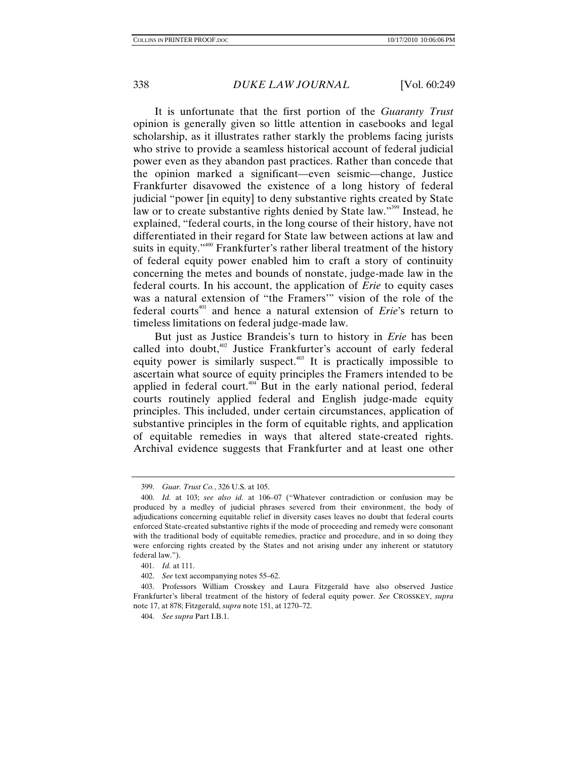It is unfortunate that the first portion of the *Guaranty Trust* opinion is generally given so little attention in casebooks and legal scholarship, as it illustrates rather starkly the problems facing jurists who strive to provide a seamless historical account of federal judicial power even as they abandon past practices. Rather than concede that the opinion marked a significant—even seismic—change, Justice Frankfurter disavowed the existence of a long history of federal judicial "power [in equity] to deny substantive rights created by State law or to create substantive rights denied by State law."<sup>399</sup> Instead, he explained, "federal courts, in the long course of their history, have not differentiated in their regard for State law between actions at law and suits in equity."<sup>400</sup> Frankfurter's rather liberal treatment of the history of federal equity power enabled him to craft a story of continuity concerning the metes and bounds of nonstate, judge-made law in the federal courts. In his account, the application of *Erie* to equity cases was a natural extension of "the Framers'" vision of the role of the federal courts<sup>401</sup> and hence a natural extension of *Erie*'s return to timeless limitations on federal judge-made law.

But just as Justice Brandeis's turn to history in *Erie* has been called into doubt,<sup>402</sup> Justice Frankfurter's account of early federal equity power is similarly suspect. $403$  It is practically impossible to ascertain what source of equity principles the Framers intended to be applied in federal court.<sup>404</sup> But in the early national period, federal courts routinely applied federal and English judge-made equity principles. This included, under certain circumstances, application of substantive principles in the form of equitable rights, and application of equitable remedies in ways that altered state-created rights. Archival evidence suggests that Frankfurter and at least one other

<sup>399.</sup> *Guar. Trust Co.*, 326 U.S. at 105.

<sup>400.</sup> *Id.* at 103; *see also id.* at 106–07 ("Whatever contradiction or confusion may be produced by a medley of judicial phrases severed from their environment, the body of adjudications concerning equitable relief in diversity cases leaves no doubt that federal courts enforced State-created substantive rights if the mode of proceeding and remedy were consonant with the traditional body of equitable remedies, practice and procedure, and in so doing they were enforcing rights created by the States and not arising under any inherent or statutory federal law.").

<sup>401.</sup> *Id.* at 111.

<sup>402.</sup> *See* text accompanying notes 55–62.

 <sup>403.</sup> Professors William Crosskey and Laura Fitzgerald have also observed Justice Frankfurter's liberal treatment of the history of federal equity power. *See* CROSSKEY, *supra*  note 17, at 878; Fitzgerald, *supra* note 151, at 1270–72.

<sup>404.</sup> *See supra* Part I.B.1.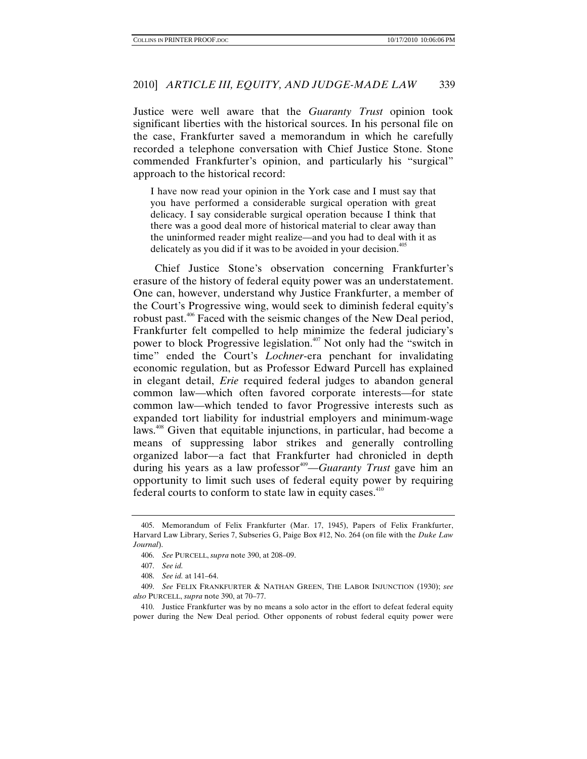Justice were well aware that the *Guaranty Trust* opinion took significant liberties with the historical sources. In his personal file on the case, Frankfurter saved a memorandum in which he carefully recorded a telephone conversation with Chief Justice Stone. Stone commended Frankfurter's opinion, and particularly his "surgical" approach to the historical record:

I have now read your opinion in the York case and I must say that you have performed a considerable surgical operation with great delicacy. I say considerable surgical operation because I think that there was a good deal more of historical material to clear away than the uninformed reader might realize—and you had to deal with it as delicately as you did if it was to be avoided in your decision.<sup>405</sup>

Chief Justice Stone's observation concerning Frankfurter's erasure of the history of federal equity power was an understatement. One can, however, understand why Justice Frankfurter, a member of the Court's Progressive wing, would seek to diminish federal equity's robust past.406 Faced with the seismic changes of the New Deal period, Frankfurter felt compelled to help minimize the federal judiciary's power to block Progressive legislation.<sup>407</sup> Not only had the "switch in time" ended the Court's *Lochner*-era penchant for invalidating economic regulation, but as Professor Edward Purcell has explained in elegant detail, *Erie* required federal judges to abandon general common law—which often favored corporate interests—for state common law—which tended to favor Progressive interests such as expanded tort liability for industrial employers and minimum-wage laws.<sup>408</sup> Given that equitable injunctions, in particular, had become a means of suppressing labor strikes and generally controlling organized labor—a fact that Frankfurter had chronicled in depth during his years as a law professor<sup>409</sup>—*Guaranty Trust* gave him an opportunity to limit such uses of federal equity power by requiring federal courts to conform to state law in equity cases. $410$ 

 <sup>405.</sup> Memorandum of Felix Frankfurter (Mar. 17, 1945), Papers of Felix Frankfurter, Harvard Law Library, Series 7, Subseries G, Paige Box #12, No. 264 (on file with the *Duke Law Journal*).

<sup>406.</sup> *See* PURCELL, *supra* note 390, at 208–09.

<sup>407.</sup> *See id.*

<sup>408.</sup> *See id.* at 141–64.

<sup>409.</sup> *See* FELIX FRANKFURTER & NATHAN GREEN, THE LABOR INJUNCTION (1930); *see also* PURCELL, *supra* note 390, at 70–77.

 <sup>410.</sup> Justice Frankfurter was by no means a solo actor in the effort to defeat federal equity power during the New Deal period. Other opponents of robust federal equity power were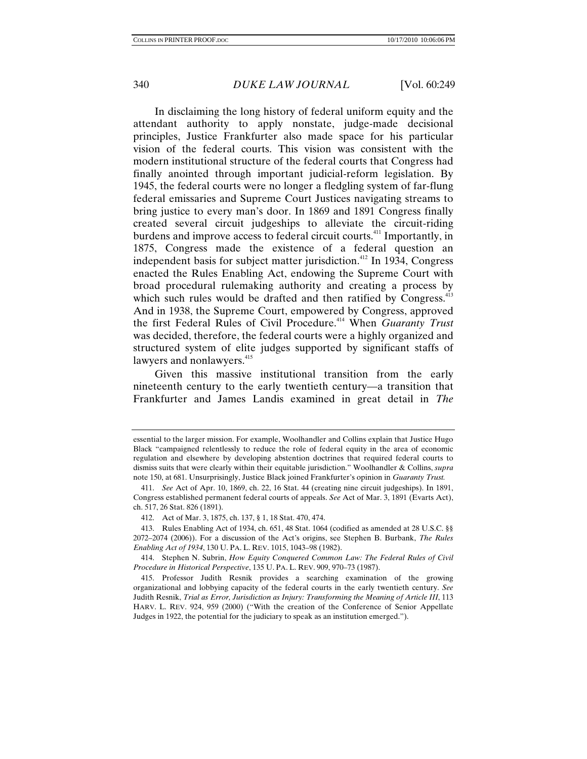In disclaiming the long history of federal uniform equity and the attendant authority to apply nonstate, judge-made decisional principles, Justice Frankfurter also made space for his particular vision of the federal courts. This vision was consistent with the modern institutional structure of the federal courts that Congress had finally anointed through important judicial-reform legislation. By 1945, the federal courts were no longer a fledgling system of far-flung federal emissaries and Supreme Court Justices navigating streams to bring justice to every man's door. In 1869 and 1891 Congress finally created several circuit judgeships to alleviate the circuit-riding burdens and improve access to federal circuit courts.411 Importantly, in 1875, Congress made the existence of a federal question an independent basis for subject matter jurisdiction.<sup>412</sup> In 1934, Congress enacted the Rules Enabling Act, endowing the Supreme Court with broad procedural rulemaking authority and creating a process by which such rules would be drafted and then ratified by Congress. $413$ And in 1938, the Supreme Court, empowered by Congress, approved the first Federal Rules of Civil Procedure.<sup>414</sup> When *Guaranty Trust* was decided, therefore, the federal courts were a highly organized and structured system of elite judges supported by significant staffs of lawyers and nonlawyers.<sup>415</sup>

Given this massive institutional transition from the early nineteenth century to the early twentieth century—a transition that Frankfurter and James Landis examined in great detail in *The* 

essential to the larger mission. For example, Woolhandler and Collins explain that Justice Hugo Black "campaigned relentlessly to reduce the role of federal equity in the area of economic regulation and elsewhere by developing abstention doctrines that required federal courts to dismiss suits that were clearly within their equitable jurisdiction." Woolhandler & Collins, *supra*  note 150, at 681. Unsurprisingly, Justice Black joined Frankfurter's opinion in *Guaranty Trust.*

<sup>411.</sup> *See* Act of Apr. 10, 1869, ch. 22, 16 Stat. 44 (creating nine circuit judgeships). In 1891, Congress established permanent federal courts of appeals. *See* Act of Mar. 3, 1891 (Evarts Act), ch. 517, 26 Stat. 826 (1891).

 <sup>412.</sup> Act of Mar. 3, 1875, ch. 137, § 1, 18 Stat. 470, 474.

 <sup>413.</sup> Rules Enabling Act of 1934, ch. 651, 48 Stat. 1064 (codified as amended at 28 U.S.C. §§ 2072–2074 (2006)). For a discussion of the Act's origins, see Stephen B. Burbank, *The Rules Enabling Act of 1934*, 130 U. PA. L. REV. 1015, 1043–98 (1982).

 <sup>414.</sup> Stephen N. Subrin, *How Equity Conquered Common Law: The Federal Rules of Civil Procedure in Historical Perspective*, 135 U. PA. L. REV. 909, 970–73 (1987).

 <sup>415.</sup> Professor Judith Resnik provides a searching examination of the growing organizational and lobbying capacity of the federal courts in the early twentieth century. *See* Judith Resnik, *Trial as Error, Jurisdiction as Injury: Transforming the Meaning of Article III*, 113 HARV. L. REV. 924, 959 (2000) ("With the creation of the Conference of Senior Appellate Judges in 1922, the potential for the judiciary to speak as an institution emerged.").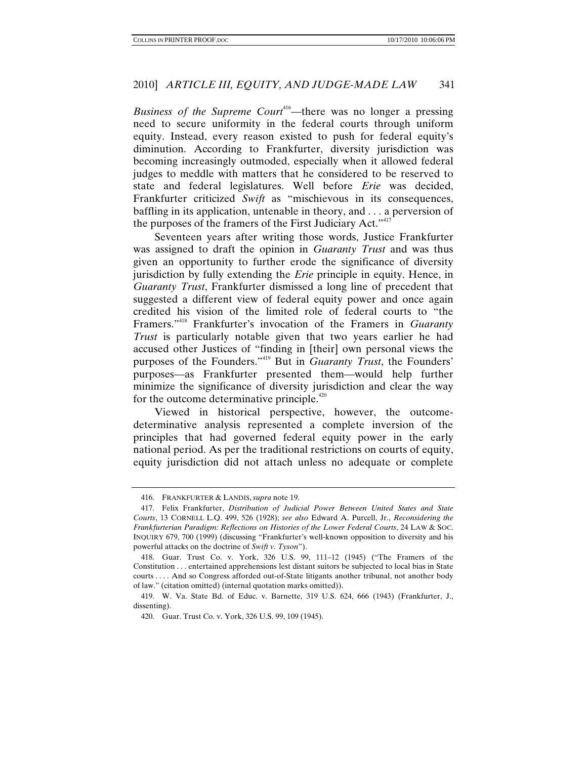*Business of the Supreme Court*<sup>416</sup>—there was no longer a pressing need to secure uniformity in the federal courts through uniform equity. Instead, every reason existed to push for federal equity's diminution. According to Frankfurter, diversity jurisdiction was becoming increasingly outmoded, especially when it allowed federal judges to meddle with matters that he considered to be reserved to state and federal legislatures. Well before *Erie* was decided, Frankfurter criticized *Swift* as "mischievous in its consequences, baffling in its application, untenable in theory, and . . . a perversion of the purposes of the framers of the First Judiciary Act."<sup>417</sup>

Seventeen years after writing those words, Justice Frankfurter was assigned to draft the opinion in *Guaranty Trust* and was thus given an opportunity to further erode the significance of diversity jurisdiction by fully extending the *Erie* principle in equity. Hence, in *Guaranty Trust*, Frankfurter dismissed a long line of precedent that suggested a different view of federal equity power and once again credited his vision of the limited role of federal courts to "the Framers."418 Frankfurter's invocation of the Framers in *Guaranty Trust* is particularly notable given that two years earlier he had accused other Justices of "finding in [their] own personal views the purposes of the Founders."419 But in *Guaranty Trust*, the Founders' purposes—as Frankfurter presented them—would help further minimize the significance of diversity jurisdiction and clear the way for the outcome determinative principle.<sup>420</sup>

Viewed in historical perspective, however, the outcomedeterminative analysis represented a complete inversion of the principles that had governed federal equity power in the early national period. As per the traditional restrictions on courts of equity, equity jurisdiction did not attach unless no adequate or complete

 <sup>416.</sup> FRANKFURTER & LANDIS, *supra* note 19.

 <sup>417.</sup> Felix Frankfurter, *Distribution of Judicial Power Between United States and State Courts*, 13 CORNELL L.Q. 499, 526 (1928); *see also* Edward A. Purcell, Jr., *Reconsidering the Frankfurterian Paradigm: Reflections on Histories of the Lower Federal Courts*, 24 LAW & SOC. INQUIRY 679, 700 (1999) (discussing "Frankfurter's well-known opposition to diversity and his powerful attacks on the doctrine of *Swift v. Tyson*").

 <sup>418.</sup> Guar. Trust Co. v. York, 326 U.S. 99, 111–12 (1945) ("The Framers of the Constitution . . . entertained apprehensions lest distant suitors be subjected to local bias in State courts . . . . And so Congress afforded out-of-State litigants another tribunal, not another body of law." (citation omitted) (internal quotation marks omitted)).

 <sup>419.</sup> W. Va. State Bd. of Educ. v. Barnette, 319 U.S. 624, 666 (1943) (Frankfurter, J., dissenting).

 <sup>420.</sup> Guar. Trust Co. v. York, 326 U.S. 99, 109 (1945).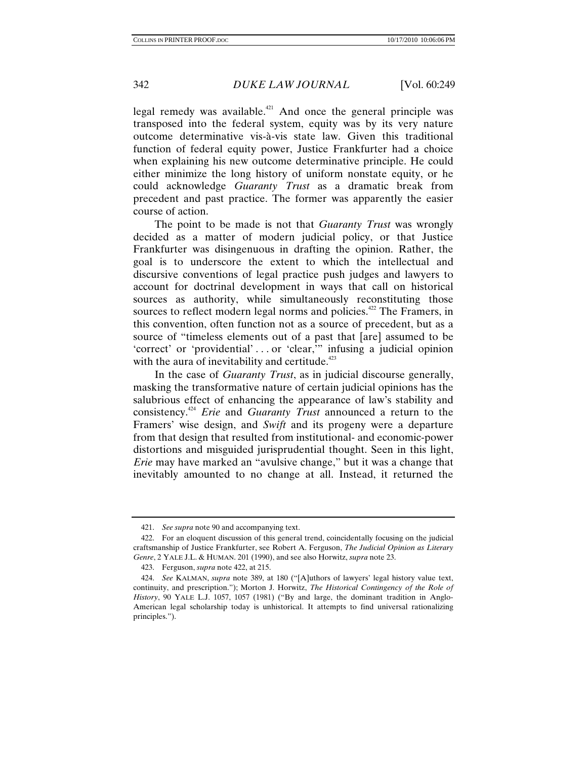legal remedy was available.<sup> $421$ </sup> And once the general principle was transposed into the federal system, equity was by its very nature outcome determinative vis-à-vis state law. Given this traditional function of federal equity power, Justice Frankfurter had a choice when explaining his new outcome determinative principle. He could either minimize the long history of uniform nonstate equity, or he could acknowledge *Guaranty Trust* as a dramatic break from precedent and past practice. The former was apparently the easier course of action.

The point to be made is not that *Guaranty Trust* was wrongly decided as a matter of modern judicial policy, or that Justice Frankfurter was disingenuous in drafting the opinion. Rather, the goal is to underscore the extent to which the intellectual and discursive conventions of legal practice push judges and lawyers to account for doctrinal development in ways that call on historical sources as authority, while simultaneously reconstituting those sources to reflect modern legal norms and policies.<sup>422</sup> The Framers, in this convention, often function not as a source of precedent, but as a source of "timeless elements out of a past that [are] assumed to be 'correct' or 'providential' . . . or 'clear,'" infusing a judicial opinion with the aura of inevitability and certitude. $423$ 

In the case of *Guaranty Trust*, as in judicial discourse generally, masking the transformative nature of certain judicial opinions has the salubrious effect of enhancing the appearance of law's stability and consistency.424 *Erie* and *Guaranty Trust* announced a return to the Framers' wise design, and *Swift* and its progeny were a departure from that design that resulted from institutional- and economic-power distortions and misguided jurisprudential thought. Seen in this light, *Erie* may have marked an "avulsive change," but it was a change that inevitably amounted to no change at all. Instead, it returned the

<sup>421.</sup> *See supra* note 90 and accompanying text.

 <sup>422.</sup> For an eloquent discussion of this general trend, coincidentally focusing on the judicial craftsmanship of Justice Frankfurter, see Robert A. Ferguson, *The Judicial Opinion as Literary Genre*, 2 YALE J.L. & HUMAN. 201 (1990), and see also Horwitz, *supra* note 23.

 <sup>423.</sup> Ferguson, *supra* note 422, at 215.

<sup>424.</sup> *See* KALMAN, *supra* note 389, at 180 ("[A]uthors of lawyers' legal history value text, continuity, and prescription."); Morton J. Horwitz, *The Historical Contingency of the Role of History*, 90 YALE L.J. 1057, 1057 (1981) ("By and large, the dominant tradition in Anglo-American legal scholarship today is unhistorical. It attempts to find universal rationalizing principles.").